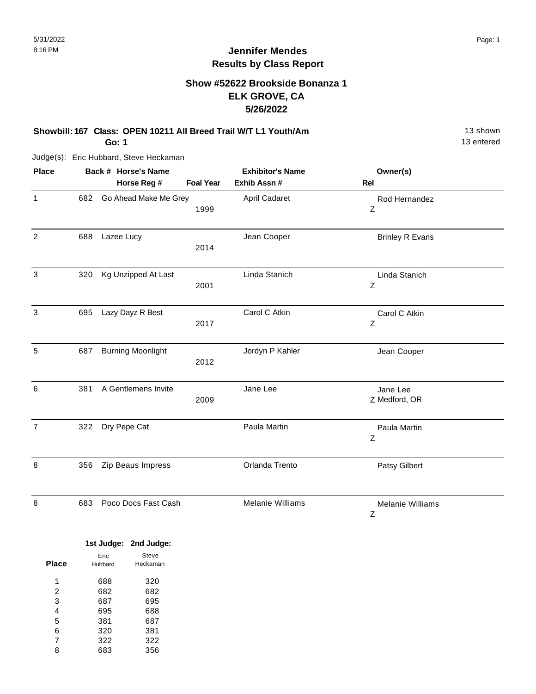# **Show #52622 Brookside Bonanza 1 ELK GROVE, CA 5/26/2022**

#### **Showbill: 167 Class: OPEN 10211 All Breed Trail W/T L1 Youth/Am** 13 Shown 13 shown **Go: 1**

Judge(s): Eric Hubbard, Steve Heckaman

| <b>Place</b>   |     | Back # Horse's Name<br>Horse Reg # | <b>Foal Year</b> | <b>Exhibitor's Name</b><br>Exhib Assn # | Owner(s)<br><b>Rel</b>       |  |
|----------------|-----|------------------------------------|------------------|-----------------------------------------|------------------------------|--|
| $\mathbf{1}$   | 682 | Go Ahead Make Me Grey              | 1999             | April Cadaret                           | Rod Hernandez<br>Ζ           |  |
| $\overline{2}$ | 688 | Lazee Lucy                         | 2014             | Jean Cooper                             | <b>Brinley R Evans</b>       |  |
| 3              | 320 | Kg Unzipped At Last                | 2001             | Linda Stanich                           | Linda Stanich<br>Z           |  |
| 3              | 695 | Lazy Dayz R Best                   | 2017             | Carol C Atkin                           | Carol C Atkin<br>Z           |  |
| 5              | 687 | <b>Burning Moonlight</b>           | 2012             | Jordyn P Kahler                         | Jean Cooper                  |  |
| $\,6\,$        | 381 | A Gentlemens Invite                | 2009             | Jane Lee                                | Jane Lee<br>Z Medford, OR    |  |
| $\overline{7}$ | 322 | Dry Pepe Cat                       |                  | Paula Martin                            | Paula Martin<br>Z            |  |
| 8              | 356 | Zip Beaus Impress                  |                  | Orlanda Trento                          | Patsy Gilbert                |  |
| 8              | 683 | Poco Docs Fast Cash                |                  | Melanie Williams                        | <b>Melanie Williams</b><br>Ζ |  |

|              |         | 1st Judge: 2nd Judge: |
|--------------|---------|-----------------------|
|              | Eric    | Steve                 |
| <b>Place</b> | Hubbard | Heckaman              |
| 1            | 688     | 320                   |
| 2            | 682     | 682                   |
| 3            | 687     | 695                   |
| 4            | 695     | 688                   |
| 5            | 381     | 687                   |
| 6            | 320     | 381                   |
| 7            | 322     | 322                   |
| 8            | 683     | 356                   |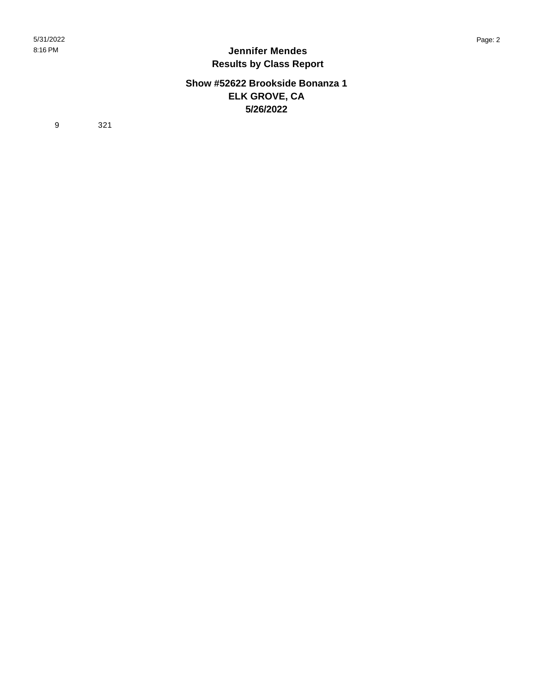## **Show #52622 Brookside Bonanza 1 ELK GROVE, CA 5/26/2022**

9 321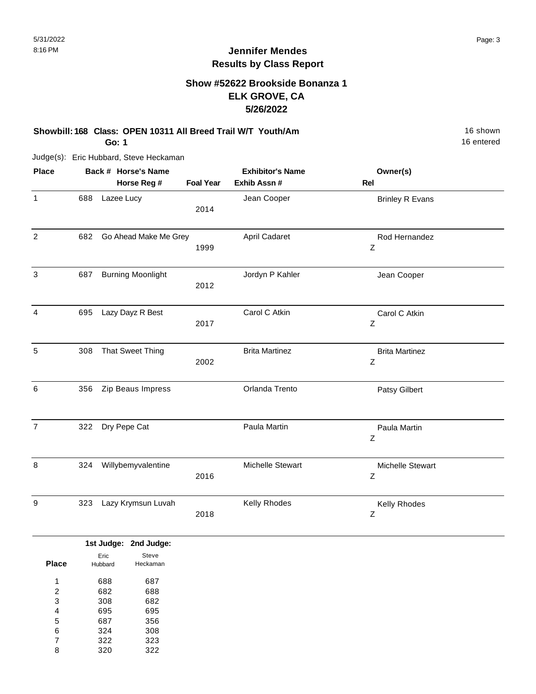# **Show #52622 Brookside Bonanza 1 ELK GROVE, CA 5/26/2022**

#### **Showbill: 168 Class: OPEN 10311 All Breed Trail W/T Youth/Am** 16 Shown 16 shown **Go: 1**

Judge(s): Eric Hubbard, Steve Heckaman

| <b>Place</b>   |     | Back # Horse's Name      |                  | <b>Exhibitor's Name</b> | Owner(s)                   |  |
|----------------|-----|--------------------------|------------------|-------------------------|----------------------------|--|
|                |     | Horse Reg #              | <b>Foal Year</b> | Exhib Assn #            | <b>Rel</b>                 |  |
| 1              | 688 | Lazee Lucy               | 2014             | Jean Cooper             | <b>Brinley R Evans</b>     |  |
| $\overline{2}$ | 682 | Go Ahead Make Me Grey    | 1999             | April Cadaret           | Rod Hernandez<br>Z         |  |
| 3              | 687 | <b>Burning Moonlight</b> | 2012             | Jordyn P Kahler         | Jean Cooper                |  |
| 4              | 695 | Lazy Dayz R Best         | 2017             | Carol C Atkin           | Carol C Atkin<br>Z         |  |
| 5              | 308 | <b>That Sweet Thing</b>  | 2002             | <b>Brita Martinez</b>   | <b>Brita Martinez</b><br>Z |  |
| 6              | 356 | Zip Beaus Impress        |                  | Orlanda Trento          | Patsy Gilbert              |  |
| $\overline{7}$ | 322 | Dry Pepe Cat             |                  | Paula Martin            | Paula Martin<br>Z          |  |
| 8              | 324 | Willybemyvalentine       | 2016             | Michelle Stewart        | Michelle Stewart<br>Z      |  |
| 9              | 323 | Lazy Krymsun Luvah       | 2018             | Kelly Rhodes            | Kelly Rhodes<br>Ζ          |  |

|       |         | 1st Judge: 2nd Judge: |
|-------|---------|-----------------------|
|       | Eric    | Steve                 |
| Place | Hubbard | Heckaman              |
|       |         |                       |
| 1     | 688     | 687                   |
| 2     | 682     | 688                   |
| 3     | 308     | 682                   |
| 4     | 695     | 695                   |
| 5     | 687     | 356                   |
| 6     | 324     | 308                   |
| 7     | 322     | 323                   |
| 8     | 320     | 322                   |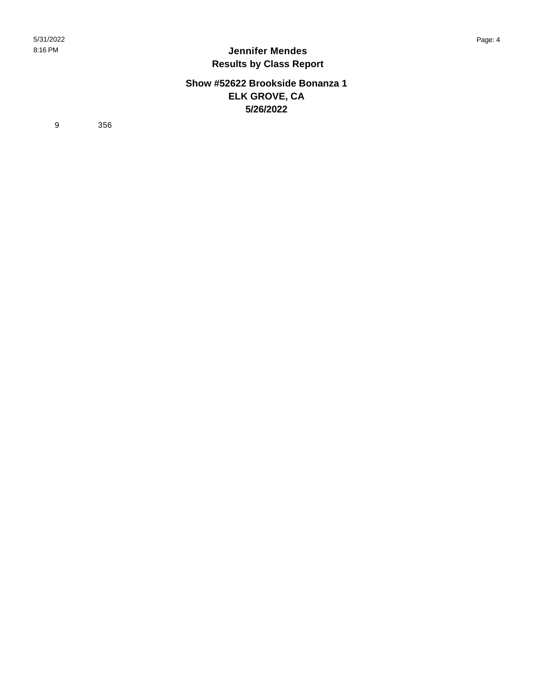## **Show #52622 Brookside Bonanza 1 ELK GROVE, CA 5/26/2022**

9 356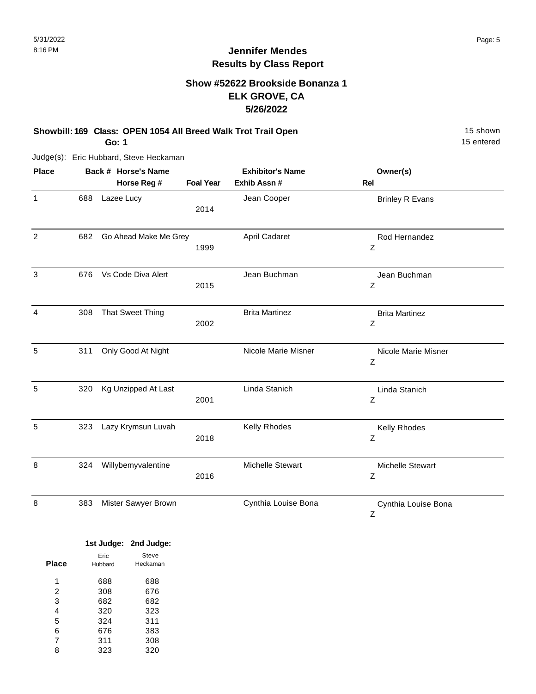# **Show #52622 Brookside Bonanza 1 ELK GROVE, CA 5/26/2022**

#### **Showbill: 169 Class: OPEN 1054 All Breed Walk Trot Trail Open** 15 Shown 15 shown **Go: 1**

Judge(s): Eric Hubbard, Steve Heckaman

| <b>Place</b>   |     | Back # Horse's Name     | <b>Exhibitor's Name</b> |                       | Owner(s)                     |  |
|----------------|-----|-------------------------|-------------------------|-----------------------|------------------------------|--|
|                |     | Horse Reg #             | <b>Foal Year</b>        | Exhib Assn #          | <b>Rel</b>                   |  |
| $\mathbf{1}$   | 688 | Lazee Lucy              | 2014                    | Jean Cooper           | <b>Brinley R Evans</b>       |  |
| $\overline{2}$ | 682 | Go Ahead Make Me Grey   | 1999                    | April Cadaret         | Rod Hernandez<br>Z           |  |
| 3              | 676 | Vs Code Diva Alert      | 2015                    | Jean Buchman          | Jean Buchman<br>$\mathsf Z$  |  |
| 4              | 308 | <b>That Sweet Thing</b> | 2002                    | <b>Brita Martinez</b> | <b>Brita Martinez</b><br>Ζ   |  |
| 5              | 311 | Only Good At Night      |                         | Nicole Marie Misner   | Nicole Marie Misner<br>Z     |  |
| 5              | 320 | Kg Unzipped At Last     | 2001                    | Linda Stanich         | Linda Stanich<br>Z           |  |
| 5              | 323 | Lazy Krymsun Luvah      | 2018                    | Kelly Rhodes          | Kelly Rhodes<br>Ζ            |  |
| 8              | 324 | Willybemyvalentine      | 2016                    | Michelle Stewart      | <b>Michelle Stewart</b><br>Z |  |
| 8              | 383 | Mister Sawyer Brown     |                         | Cynthia Louise Bona   | Cynthia Louise Bona<br>Z     |  |

|              |         | 1st Judge: 2nd Judge: |
|--------------|---------|-----------------------|
|              | Eric    | Steve                 |
| <b>Place</b> | Hubbard | Heckaman              |
| и            | 688     | 688                   |
| 2            | 308     | 676                   |
| 3            | 682     | 682                   |
| 4            | 320     | 323                   |
| 5            | 324     | 311                   |
| 6            | 676     | 383                   |
| 7            | 311     | 308                   |
| 8            | 323     | 320                   |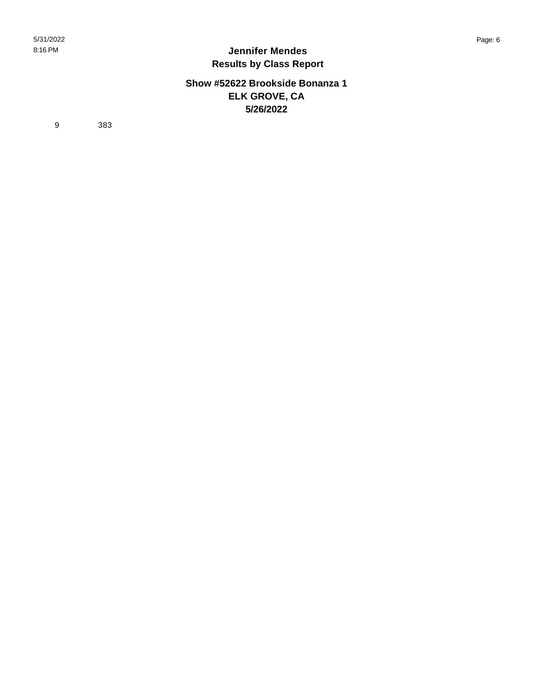## **Show #52622 Brookside Bonanza 1 ELK GROVE, CA 5/26/2022**

9 383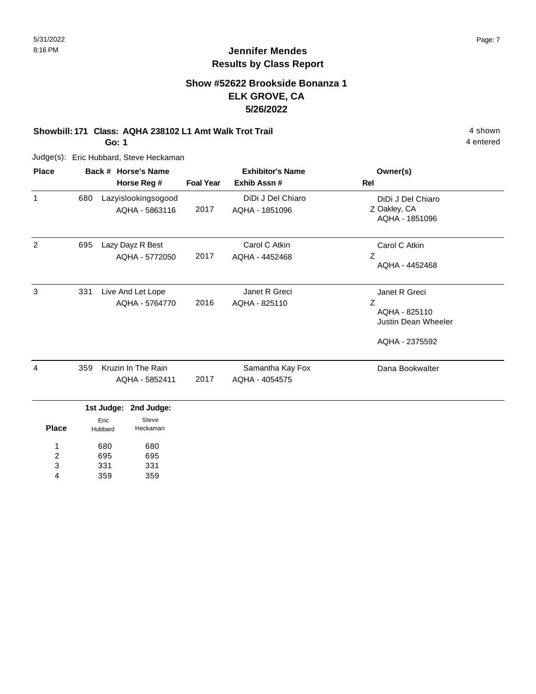# **Show #52622 Brookside Bonanza 1 ELK GROVE, CA 5/26/2022**

# **Showbill: 171 Class: AQHA 238102 L1 Amt Walk Trot Trail** 4 shown

**Go: 1**

Judge(s): Eric Hubbard, Steve Heckaman

| <b>Place</b>                           | Back # Horse's Name<br>Horse Reg # |                                       |                                     | <b>Exhibitor's Name</b> |                                     | Owner(s)                                                                            |  |
|----------------------------------------|------------------------------------|---------------------------------------|-------------------------------------|-------------------------|-------------------------------------|-------------------------------------------------------------------------------------|--|
|                                        |                                    |                                       |                                     | <b>Foal Year</b>        | Exhib Assn #                        | <b>Rel</b>                                                                          |  |
| $\mathbf{1}$                           | 680                                | Lazyislookingsogood<br>AQHA - 5863116 |                                     | 2017                    | DiDi J Del Chiaro<br>AQHA - 1851096 | DiDi J Del Chiaro<br>Z Oakley, CA<br>AQHA - 1851096                                 |  |
| $\overline{2}$                         | 695                                |                                       | Lazy Dayz R Best<br>AQHA - 5772050  | 2017                    | Carol C Atkin<br>AQHA - 4452468     | Carol C Atkin<br>Ζ<br>AQHA - 4452468                                                |  |
| 3                                      | 331                                |                                       | Live And Let Lope<br>AQHA - 5764770 | 2016                    | Janet R Greci<br>AQHA - 825110      | Janet R Greci<br>Z<br>AQHA - 825110<br><b>Justin Dean Wheeler</b><br>AQHA - 2375592 |  |
| 4                                      | 359                                | Kruzin In The Rain<br>AQHA - 5852411  |                                     | 2017                    | Samantha Kay Fox<br>AQHA - 4054575  | Dana Bookwalter                                                                     |  |
|                                        |                                    |                                       | 1st Judge: 2nd Judge:               |                         |                                     |                                                                                     |  |
| <b>Place</b>                           |                                    | Eric<br>Hubbard                       | Steve<br>Heckaman                   |                         |                                     |                                                                                     |  |
| 1<br>$\overline{\mathbf{c}}$<br>3<br>4 | 680<br>695<br>331<br>359           |                                       | 680<br>695<br>331<br>359            |                         |                                     |                                                                                     |  |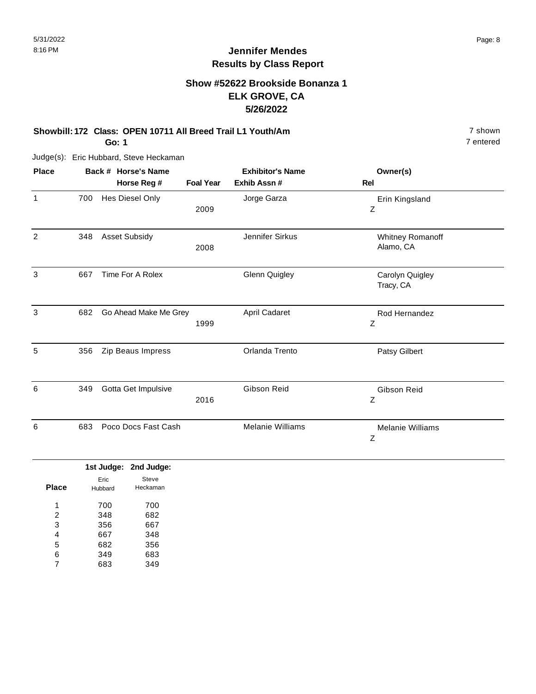# **Show #52622 Brookside Bonanza 1 ELK GROVE, CA 5/26/2022**

#### **Showbill: 172 Class: OPEN 10711 All Breed Trail L1 Youth/Am** 7 shown 7 shown **Go: 1**

Judge(s): Eric Hubbard, Steve Heckaman

| <b>Place</b> |     | Back # Horse's Name   | <b>Exhibitor's Name</b> |                         | Owner(s)                      |
|--------------|-----|-----------------------|-------------------------|-------------------------|-------------------------------|
|              |     | Horse Reg #           | <b>Foal Year</b>        | Exhib Assn#             | Rel                           |
| $\mathbf{1}$ | 700 | Hes Diesel Only       | 2009                    | Jorge Garza             | Erin Kingsland<br>Ζ           |
| 2            | 348 | <b>Asset Subsidy</b>  | 2008                    | Jennifer Sirkus         | Whitney Romanoff<br>Alamo, CA |
| 3            | 667 | Time For A Rolex      |                         | <b>Glenn Quigley</b>    | Carolyn Quigley<br>Tracy, CA  |
| 3            | 682 | Go Ahead Make Me Grey | 1999                    | April Cadaret           | Rod Hernandez<br>Z            |
| 5            | 356 | Zip Beaus Impress     |                         | Orlanda Trento          | Patsy Gilbert                 |
| 6            | 349 | Gotta Get Impulsive   | 2016                    | Gibson Reid             | Gibson Reid<br>Ζ              |
| 6            | 683 | Poco Docs Fast Cash   |                         | <b>Melanie Williams</b> | <b>Melanie Williams</b><br>Ζ  |

|                |         | 1st Judge: 2nd Judge: |
|----------------|---------|-----------------------|
| Place          | Eric    | Steve<br>Heckaman     |
|                | Hubbard |                       |
| 1              | 700     | 700                   |
| $\overline{2}$ | 348     | 682                   |
| 3              | 356     | 667                   |
| 4              | 667     | 348                   |
| 5              | 682     | 356                   |
| 6              | 349     | 683                   |
|                | 683     | 349                   |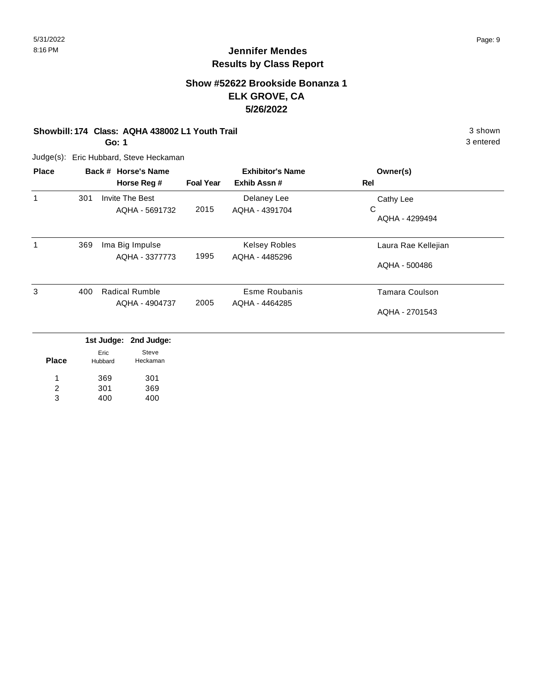# **Show #52622 Brookside Bonanza 1 ELK GROVE, CA 5/26/2022**

#### **Showbill: 174 Class: AQHA 438002 L1 Youth Trail** 3 shown

**Go: 1**

Judge(s): Eric Hubbard, Steve Heckaman

| <b>Place</b> |     | Back # Horse's Name   |                  | <b>Exhibitor's Name</b> | Owner(s)              |
|--------------|-----|-----------------------|------------------|-------------------------|-----------------------|
|              |     | Horse Reg #           | <b>Foal Year</b> | Exhib Assn#             | Rel                   |
| $\mathbf{1}$ | 301 | Invite The Best       |                  | Delaney Lee             | Cathy Lee             |
|              |     | AQHA - 5691732        | 2015             | AQHA - 4391704          | C<br>AQHA - 4299494   |
| 1            | 369 | Ima Big Impulse       |                  | <b>Kelsey Robles</b>    | Laura Rae Kellejian   |
|              |     | AQHA - 3377773        | 1995             | AQHA - 4485296          | AQHA - 500486         |
| 3            | 400 | <b>Radical Rumble</b> |                  | Esme Roubanis           | <b>Tamara Coulson</b> |
|              |     | AQHA - 4904737        | 2005             | AQHA - 4464285          | AQHA - 2701543        |
|              |     |                       |                  |                         |                       |

|              |                 | 1st Judge: 2nd Judge: |
|--------------|-----------------|-----------------------|
| <b>Place</b> | Eric<br>Hubbard | Steve<br>Heckaman     |
| 1            | 369             | 301                   |
| 2            | 301             | 369                   |
| 3            | 400             | 400                   |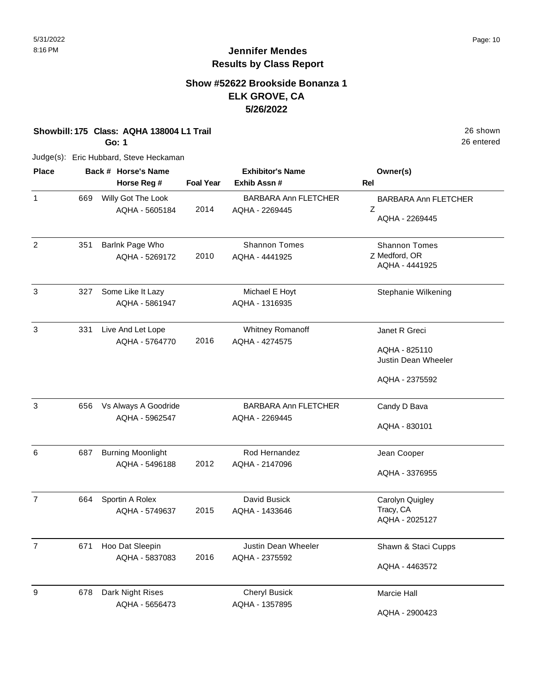26 entered

# **Jennifer Mendes Results by Class Report**

# **Show #52622 Brookside Bonanza 1 ELK GROVE, CA 5/26/2022**

**Showbill: 175 Class: AQHA 138004 L1 Trail** 26 shown

**Go: 1**

Judge(s): Eric Hubbard, Steve Heckaman

| <b>Place</b>   | Back # Horse's Name |                                            | <b>Exhibitor's Name</b> |                                               | Owner(s)                                                                |
|----------------|---------------------|--------------------------------------------|-------------------------|-----------------------------------------------|-------------------------------------------------------------------------|
|                |                     | Horse Reg #                                | <b>Foal Year</b>        | Exhib Assn #                                  | <b>Rel</b>                                                              |
| $\mathbf{1}$   | 669                 | Willy Got The Look<br>AQHA - 5605184       | 2014                    | <b>BARBARA Ann FLETCHER</b><br>AQHA - 2269445 | <b>BARBARA Ann FLETCHER</b><br>Z<br>AQHA - 2269445                      |
| $\overline{c}$ | 351                 | Barlnk Page Who<br>AQHA - 5269172          | 2010                    | <b>Shannon Tomes</b><br>AQHA - 4441925        | <b>Shannon Tomes</b><br>Z Medford, OR<br>AQHA - 4441925                 |
| 3              | 327                 | Some Like It Lazy<br>AQHA - 5861947        |                         | Michael E Hoyt<br>AQHA - 1316935              | Stephanie Wilkening                                                     |
| 3              | 331                 | Live And Let Lope<br>AQHA - 5764770        | 2016                    | Whitney Romanoff<br>AQHA - 4274575            | Janet R Greci<br>AQHA - 825110<br>Justin Dean Wheeler<br>AQHA - 2375592 |
| 3              | 656                 | Vs Always A Goodride<br>AQHA - 5962547     |                         | <b>BARBARA Ann FLETCHER</b><br>AQHA - 2269445 | Candy D Bava<br>AQHA - 830101                                           |
| 6              | 687                 | <b>Burning Moonlight</b><br>AQHA - 5496188 | 2012                    | Rod Hernandez<br>AQHA - 2147096               | Jean Cooper<br>AQHA - 3376955                                           |
| $\overline{7}$ | 664                 | Sportin A Rolex<br>AQHA - 5749637          | 2015                    | David Busick<br>AQHA - 1433646                | Carolyn Quigley<br>Tracy, CA<br>AQHA - 2025127                          |
| $\overline{7}$ | 671                 | Hoo Dat Sleepin<br>AQHA - 5837083          | 2016                    | Justin Dean Wheeler<br>AQHA - 2375592         | Shawn & Staci Cupps<br>AQHA - 4463572                                   |
| 9              | 678                 | Dark Night Rises<br>AQHA - 5656473         |                         | <b>Cheryl Busick</b><br>AQHA - 1357895        | Marcie Hall<br>AQHA - 2900423                                           |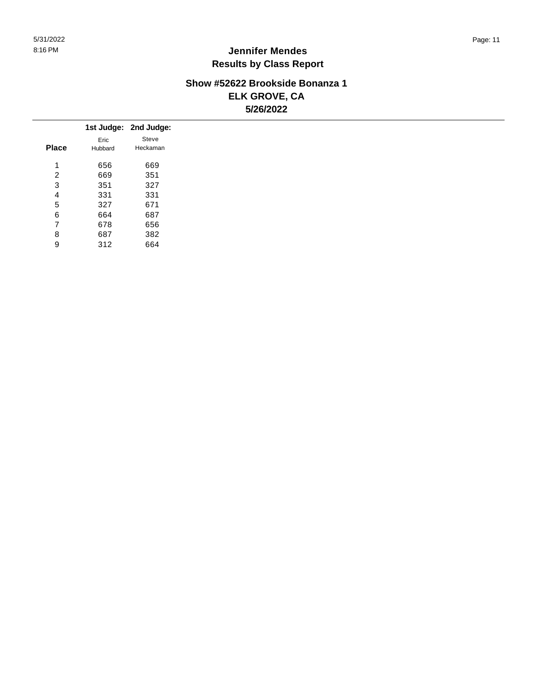### **Show #52622 Brookside Bonanza 1 ELK GROVE, CA 5/26/2022**

|              |         | 1st Judge: 2nd Judge: |
|--------------|---------|-----------------------|
|              | Eric    | Steve                 |
| <b>Place</b> | Hubbard | Heckaman              |
| 4            | 656     | 669                   |
| 2            | 669     | 351                   |
| 3            | 351     | 327                   |
| 4            | 331     | 331                   |
| 5            | 327     | 671                   |
| 6            | 664     | 687                   |
| 7            | 678     | 656                   |
| 8            | 687     | 382                   |
| 9            | 312     | 664                   |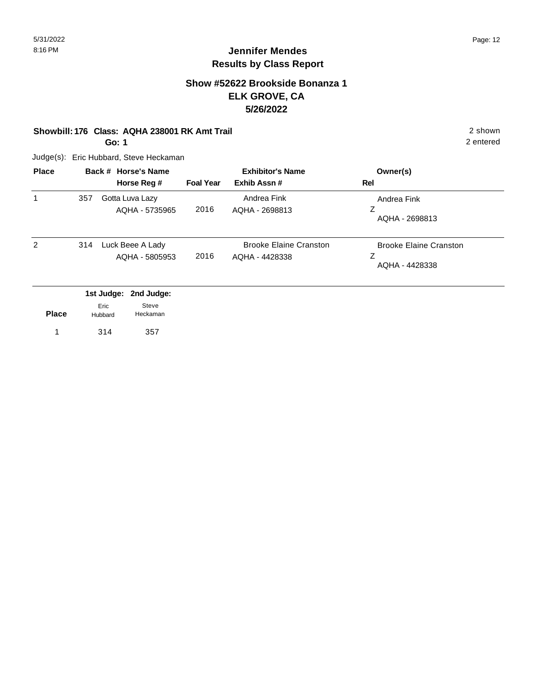# **Show #52622 Brookside Bonanza 1 ELK GROVE, CA 5/26/2022**

#### **Showbill: 176 Class: AQHA 238001 RK Amt Trail** 2 shown

**Go: 1**

Judge(s): Eric Hubbard, Steve Heckaman

| <b>Place</b> |     | Back # Horse's Name<br>Horse Reg #        | <b>Foal Year</b> | <b>Exhibitor's Name</b><br>Exhib Assn#          | Owner(s)<br>Rel                                      |
|--------------|-----|-------------------------------------------|------------------|-------------------------------------------------|------------------------------------------------------|
| 1            | 357 | Gotta Luva Lazy<br>AQHA - 5735965         | 2016             | Andrea Fink<br>AQHA - 2698813                   | Andrea Fink<br>Ζ<br>AQHA - 2698813                   |
| 2            | 314 | Luck Beee A Lady<br>AQHA - 5805953        | 2016             | <b>Brooke Elaine Cranston</b><br>AQHA - 4428338 | <b>Brooke Elaine Cranston</b><br>Z<br>AQHA - 4428338 |
|              |     | 2nd Judge:<br>1st Judge:<br>Steve<br>Eric |                  |                                                 |                                                      |

|              | ---     | -----    |
|--------------|---------|----------|
| <b>Place</b> | Hubbard | Heckaman |

1 314 357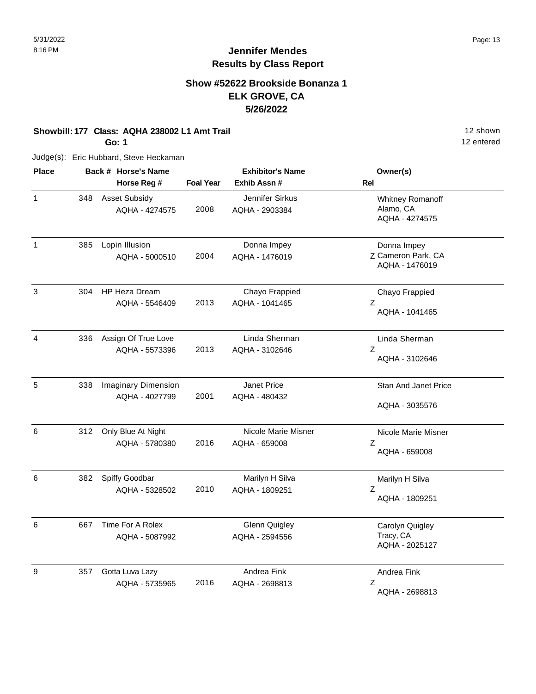# **Show #52622 Brookside Bonanza 1 ELK GROVE, CA 5/26/2022**

#### **Showbill: 177 Class: AQHA 238002 L1 Amt Trail 12 Shown 12 shown**

**Go: 1**

Judge(s): Eric Hubbard, Steve Heckaman

| <b>Place</b>   |     | Back # Horse's Name                          |                  | <b>Exhibitor's Name</b>                | Owner(s)                                            |
|----------------|-----|----------------------------------------------|------------------|----------------------------------------|-----------------------------------------------------|
|                |     | Horse Reg #                                  | <b>Foal Year</b> | Exhib Assn #                           | Rel                                                 |
| $\mathbf{1}$   | 348 | <b>Asset Subsidy</b><br>AQHA - 4274575       | 2008             | Jennifer Sirkus<br>AQHA - 2903384      | Whitney Romanoff<br>Alamo, CA<br>AQHA - 4274575     |
| $\mathbf{1}$   | 385 | Lopin Illusion<br>AQHA - 5000510             | 2004             | Donna Impey<br>AQHA - 1476019          | Donna Impey<br>Z Cameron Park, CA<br>AQHA - 1476019 |
| 3              | 304 | <b>HP Heza Dream</b><br>AQHA - 5546409       | 2013             | Chayo Frappied<br>AQHA - 1041465       | Chayo Frappied<br>Z<br>AQHA - 1041465               |
| $\overline{4}$ | 336 | Assign Of True Love<br>AQHA - 5573396        | 2013             | Linda Sherman<br>AQHA - 3102646        | Linda Sherman<br>$\mathsf Z$<br>AQHA - 3102646      |
| 5              | 338 | <b>Imaginary Dimension</b><br>AQHA - 4027799 | 2001             | Janet Price<br>AQHA - 480432           | <b>Stan And Janet Price</b><br>AQHA - 3035576       |
| 6              | 312 | Only Blue At Night<br>AQHA - 5780380         | 2016             | Nicole Marie Misner<br>AQHA - 659008   | Nicole Marie Misner<br>Ζ<br>AQHA - 659008           |
| 6              | 382 | Spiffy Goodbar<br>AQHA - 5328502             | 2010             | Marilyn H Silva<br>AQHA - 1809251      | Marilyn H Silva<br>Ζ<br>AQHA - 1809251              |
| 6              | 667 | Time For A Rolex<br>AQHA - 5087992           |                  | <b>Glenn Quigley</b><br>AQHA - 2594556 | Carolyn Quigley<br>Tracy, CA<br>AQHA - 2025127      |
| 9              | 357 | Gotta Luva Lazy<br>AQHA - 5735965            | 2016             | Andrea Fink<br>AQHA - 2698813          | Andrea Fink<br>Z<br>AQHA - 2698813                  |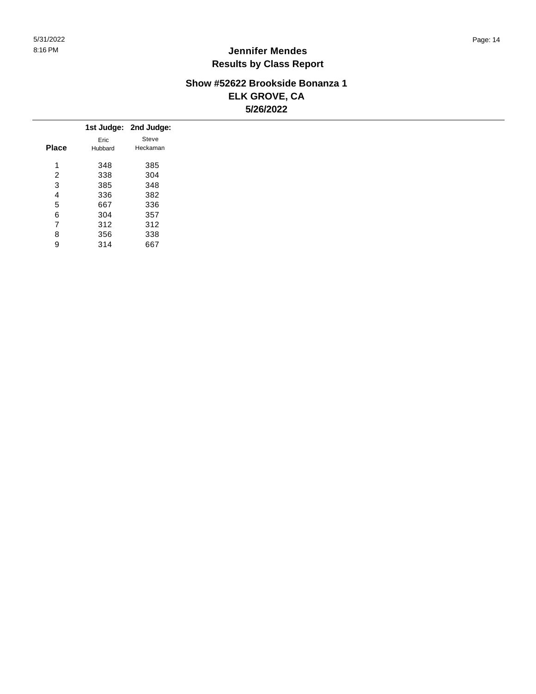### **Show #52622 Brookside Bonanza 1 ELK GROVE, CA 5/26/2022**

|                |         | 1st Judge: 2nd Judge: |
|----------------|---------|-----------------------|
|                | Eric    | Steve                 |
| <b>Place</b>   | Hubbard | Heckaman              |
| -1             | 348     | 385                   |
| 2              | 338     | 304                   |
| 3              | 385     | 348                   |
| 4              | 336     | 382                   |
| 5              | 667     | 336                   |
| 6              | 304     | 357                   |
| $\overline{ }$ | 312     | 312                   |
| 8              | 356     | 338                   |
| 9              | 314     | 667                   |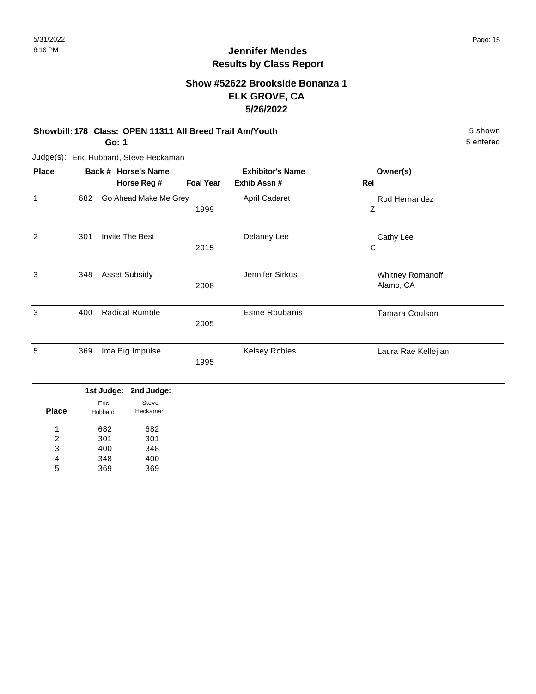# **Show #52622 Brookside Bonanza 1 ELK GROVE, CA 5/26/2022**

#### **Showbill: 178 Class: OPEN 11311 All Breed Trail Am/Youth** 5 shown

**Go: 1**

Judge(s): Eric Hubbard, Steve Heckaman

| <b>Place</b> |     | Back # Horse's Name      |                  | <b>Exhibitor's Name</b> | Owner(s)              |  |
|--------------|-----|--------------------------|------------------|-------------------------|-----------------------|--|
|              |     | Horse Reg #              | <b>Foal Year</b> | Exhib Assn #            | Rel                   |  |
| 1            | 682 | Go Ahead Make Me Grey    |                  | April Cadaret           | Rod Hernandez         |  |
|              |     |                          | 1999             |                         | Ζ                     |  |
| 2            | 301 | Invite The Best          |                  | Delaney Lee             | Cathy Lee             |  |
|              |     |                          | 2015             |                         | С                     |  |
| 3            | 348 | <b>Asset Subsidy</b>     |                  | Jennifer Sirkus         | Whitney Romanoff      |  |
|              |     |                          | 2008             |                         | Alamo, CA             |  |
| 3            | 400 | <b>Radical Rumble</b>    |                  | <b>Esme Roubanis</b>    | <b>Tamara Coulson</b> |  |
|              |     |                          | 2005             |                         |                       |  |
| 5            | 369 | Ima Big Impulse          |                  | <b>Kelsey Robles</b>    | Laura Rae Kellejian   |  |
|              |     |                          | 1995             |                         |                       |  |
|              |     | 1st Judge:<br>2nd Judge: |                  |                         |                       |  |

| <b>Place</b> | Eric<br>Hubbard | Steve<br>Heckaman |
|--------------|-----------------|-------------------|
| 1            | 682             | 682               |
| 2            | 301             | 301               |
| 3            | 400             | 348               |
| 4            | 348             | 400               |
| 5            | 369             | 369               |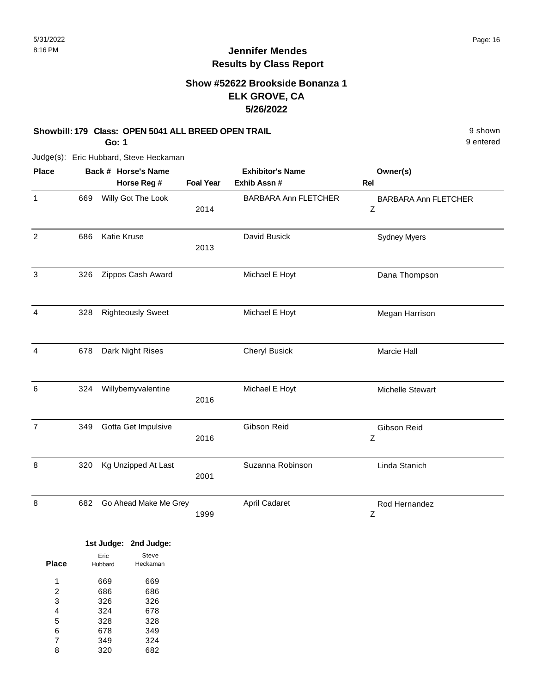9 entered

# **Jennifer Mendes Results by Class Report**

# **Show #52622 Brookside Bonanza 1 ELK GROVE, CA 5/26/2022**

#### **Showbill: 179 Class: OPEN 5041 ALL BREED OPEN TRAIL Shown** 9 shown

**Go: 1**

Judge(s): Eric Hubbard, Steve Heckaman

| <b>Place</b>   |     | Back # Horse's Name<br>Horse Reg # | <b>Foal Year</b> | <b>Exhibitor's Name</b><br>Exhib Assn # | Owner(s)<br><b>Rel</b>           |
|----------------|-----|------------------------------------|------------------|-----------------------------------------|----------------------------------|
| $\mathbf{1}$   | 669 | Willy Got The Look                 | 2014             | <b>BARBARA Ann FLETCHER</b>             | <b>BARBARA Ann FLETCHER</b><br>Ζ |
| $\overline{2}$ | 686 | Katie Kruse                        | 2013             | David Busick                            | <b>Sydney Myers</b>              |
| 3              | 326 | Zippos Cash Award                  |                  | Michael E Hoyt                          | Dana Thompson                    |
| 4              | 328 | <b>Righteously Sweet</b>           |                  | Michael E Hoyt                          | Megan Harrison                   |
| 4              | 678 | Dark Night Rises                   |                  | <b>Cheryl Busick</b>                    | Marcie Hall                      |
| 6              | 324 | Willybemyvalentine                 | 2016             | Michael E Hoyt                          | Michelle Stewart                 |
| $\overline{7}$ | 349 | Gotta Get Impulsive                | 2016             | Gibson Reid                             | Gibson Reid<br>Ζ                 |
| 8              | 320 | Kg Unzipped At Last                | 2001             | Suzanna Robinson                        | Linda Stanich                    |
| 8              | 682 | Go Ahead Make Me Grey              | 1999             | April Cadaret                           | Rod Hernandez<br>Ζ               |

|              |         | 1st Judge: 2nd Judge: |
|--------------|---------|-----------------------|
|              | Eric    | Steve                 |
| <b>Place</b> | Hubbard | Heckaman              |
|              |         |                       |
| 1            | 669     | 669                   |
| 2            | 686     | 686                   |
| 3            | 326     | 326                   |
| 4            | 324     | 678                   |
| 5            | 328     | 328                   |
| 6            | 678     | 349                   |
| 7            | 349     | 324                   |
| 8            | 320     | 682                   |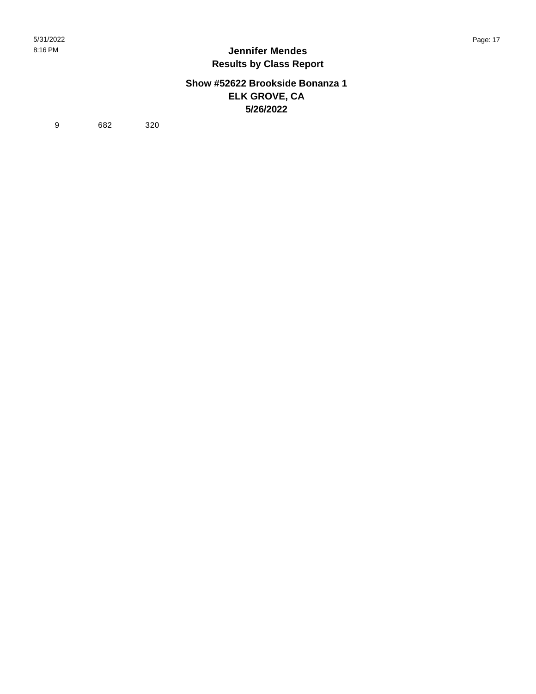## **Show #52622 Brookside Bonanza 1 ELK GROVE, CA 5/26/2022**

9 682 320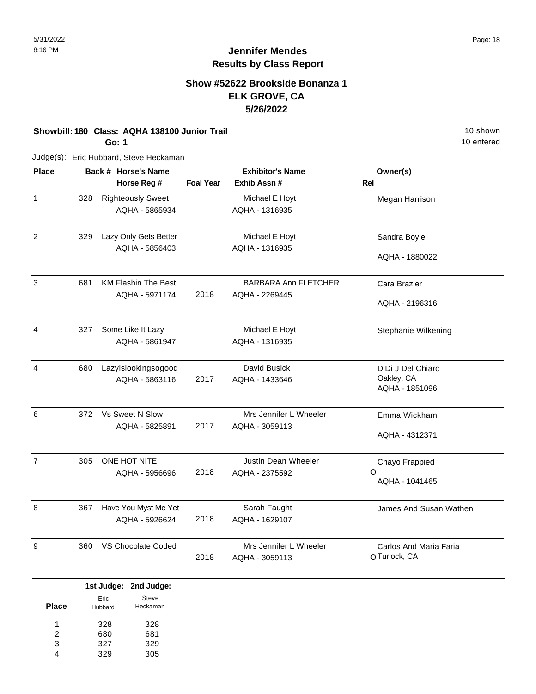# **Show #52622 Brookside Bonanza 1 ELK GROVE, CA 5/26/2022**

#### **Showbill: 180 Class: AQHA 138100 Junior Trail 10 shown 10 shown 10 shown**

**Go: 1**

Judge(s): Eric Hubbard, Steve Heckaman

| <b>Place</b>   |     | Back # Horse's Name<br>Horse Reg #           | <b>Foal Year</b> | <b>Exhibitor's Name</b><br>Exhib Assn #       | Owner(s)<br>Rel                                   |
|----------------|-----|----------------------------------------------|------------------|-----------------------------------------------|---------------------------------------------------|
| 1              | 328 | <b>Righteously Sweet</b><br>AQHA - 5865934   |                  | Michael E Hoyt<br>AQHA - 1316935              | Megan Harrison                                    |
| 2              | 329 | Lazy Only Gets Better<br>AQHA - 5856403      |                  | Michael E Hoyt<br>AQHA - 1316935              | Sandra Boyle<br>AQHA - 1880022                    |
| 3              | 681 | <b>KM Flashin The Best</b><br>AQHA - 5971174 | 2018             | <b>BARBARA Ann FLETCHER</b><br>AQHA - 2269445 | Cara Brazier<br>AQHA - 2196316                    |
| 4              | 327 | Some Like It Lazy<br>AQHA - 5861947          |                  | Michael E Hoyt<br>AQHA - 1316935              | Stephanie Wilkening                               |
| 4              | 680 | Lazyislookingsogood<br>AQHA - 5863116        | 2017             | David Busick<br>AQHA - 1433646                | DiDi J Del Chiaro<br>Oakley, CA<br>AQHA - 1851096 |
| 6              | 372 | Vs Sweet N Slow<br>AQHA - 5825891            | 2017             | Mrs Jennifer L Wheeler<br>AQHA - 3059113      | Emma Wickham<br>AQHA - 4312371                    |
| $\overline{7}$ | 305 | ONE HOT NITE<br>AQHA - 5956696               | 2018             | Justin Dean Wheeler<br>AQHA - 2375592         | Chayo Frappied<br>O<br>AQHA - 1041465             |
| 8              | 367 | Have You Myst Me Yet<br>AQHA - 5926624       | 2018             | Sarah Faught<br>AQHA - 1629107                | James And Susan Wathen                            |
| 9              | 360 | VS Chocolate Coded                           | 2018             | Mrs Jennifer L Wheeler<br>AQHA - 3059113      | Carlos And Maria Faria<br>O Turlock, CA           |

|              |                 | 1st Judge: 2nd Judge: |
|--------------|-----------------|-----------------------|
| <b>Place</b> | Eric<br>Hubbard | Steve<br>Heckaman     |
| 1            | 328             | 328                   |
| 2            | 680             | 681                   |
| 3            | 327             | 329                   |
|              | 329             | 305                   |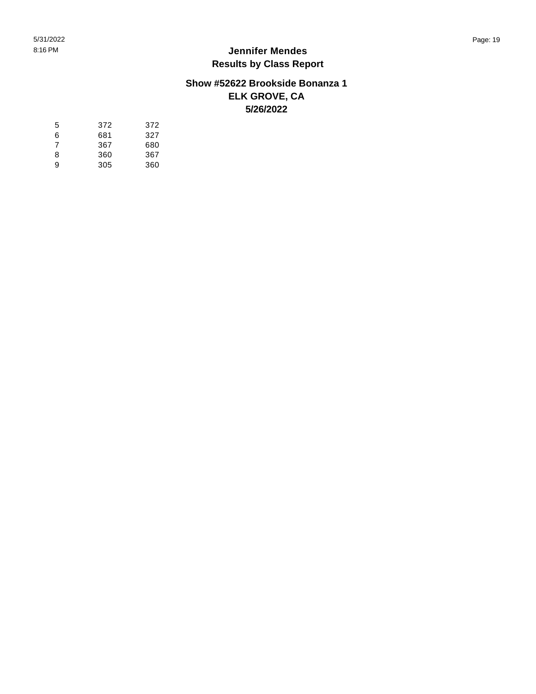# **Show #52622 Brookside Bonanza 1 ELK GROVE, CA 5/26/2022**

| 5 | 372 | 372 |
|---|-----|-----|
| 6 | 681 | 327 |
| 7 | 367 | 680 |
| 8 | 360 | 367 |
| 9 | 305 | 360 |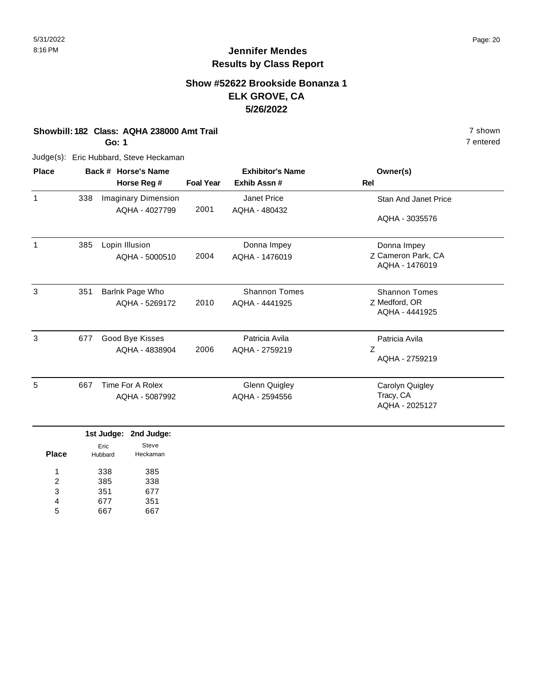# **Show #52622 Brookside Bonanza 1 ELK GROVE, CA 5/26/2022**

**Showbill: 182 Class: AQHA 238000 Amt Trail** 7 shown

**Go: 1**

Judge(s): Eric Hubbard, Steve Heckaman

|     |                            |                                       | <b>Exhibitor's Name</b> | Owner(s)                             |
|-----|----------------------------|---------------------------------------|-------------------------|--------------------------------------|
|     | Horse Reg #                | <b>Foal Year</b>                      | Exhib Assn#             | Rel                                  |
| 338 | <b>Imaginary Dimension</b> |                                       | Janet Price             | Stan And Janet Price                 |
|     |                            |                                       |                         | AQHA - 3035576                       |
| 385 | Lopin Illusion             |                                       | Donna Impey             | Donna Impey                          |
|     | AQHA - 5000510             | 2004                                  | AQHA - 1476019          | Z Cameron Park, CA<br>AQHA - 1476019 |
| 351 | Barlnk Page Who            |                                       | <b>Shannon Tomes</b>    | <b>Shannon Tomes</b>                 |
|     | AQHA - 5269172             | 2010                                  | AQHA - 4441925          | Z Medford, OR<br>AQHA - 4441925      |
| 677 | Good Bye Kisses            |                                       | Patricia Avila          | Patricia Avila                       |
|     | AQHA - 4838904             | 2006                                  | AQHA - 2759219          | Ζ<br>AQHA - 2759219                  |
| 667 | Time For A Rolex           |                                       | <b>Glenn Quigley</b>    | Carolyn Quigley                      |
|     | AQHA - 5087992             |                                       | AQHA - 2594556          | Tracy, CA<br>AQHA - 2025127          |
|     |                            | Back # Horse's Name<br>AQHA - 4027799 | 2001                    | AQHA - 480432                        |

|              |         | 1st Judge: 2nd Judge: |
|--------------|---------|-----------------------|
|              | Eric    | Steve                 |
| <b>Place</b> | Hubbard | Heckaman              |
| 1            | 338     | 385                   |
| 2            | 385     | 338                   |
| 3            | 351     | 677                   |
| 4            | 677     | 351                   |
| 5            |         |                       |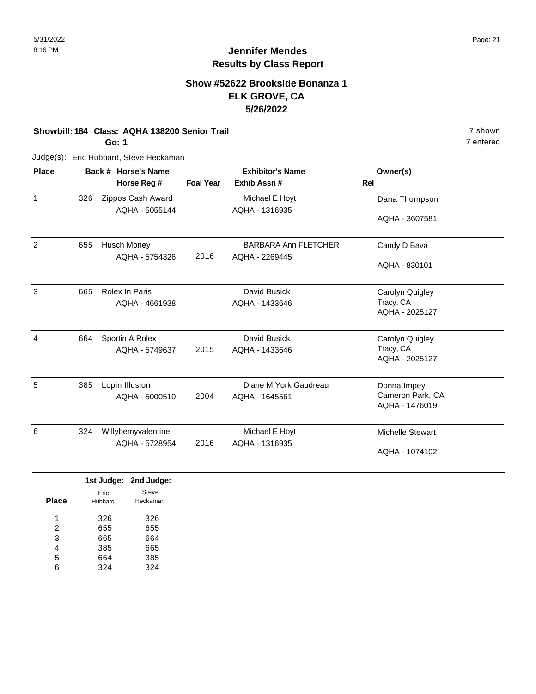# **Show #52622 Brookside Bonanza 1 ELK GROVE, CA 5/26/2022**

#### **Showbill: 184 Class: AQHA 138200 Senior Trail** 7 shown

**Go: 1**

Judge(s): Eric Hubbard, Steve Heckaman

| <b>Place</b>   |     | Back # Horse's Name |                  | <b>Exhibitor's Name</b>     | Owner(s)                           |  |
|----------------|-----|---------------------|------------------|-----------------------------|------------------------------------|--|
|                |     | Horse Reg #         | <b>Foal Year</b> | Exhib Assn#                 | <b>Rel</b>                         |  |
| $\mathbf{1}$   | 326 | Zippos Cash Award   |                  | Michael E Hoyt              | Dana Thompson                      |  |
|                |     | AQHA - 5055144      |                  | AQHA - 1316935              | AQHA - 3607581                     |  |
| $\overline{2}$ | 655 | <b>Husch Money</b>  |                  | <b>BARBARA Ann FLETCHER</b> | Candy D Bava                       |  |
|                |     | AQHA - 5754326      | 2016             | AQHA - 2269445              | AQHA - 830101                      |  |
| 3              | 665 | Rolex In Paris      |                  | David Busick                | Carolyn Quigley                    |  |
|                |     | AQHA - 4661938      |                  | AQHA - 1433646              | Tracy, CA<br>AQHA - 2025127        |  |
| 4              | 664 | Sportin A Rolex     |                  | David Busick                | Carolyn Quigley                    |  |
|                |     | AQHA - 5749637      | 2015             | AQHA - 1433646              | Tracy, CA<br>AQHA - 2025127        |  |
| 5              | 385 | Lopin Illusion      |                  | Diane M York Gaudreau       | Donna Impey                        |  |
|                |     | AQHA - 5000510      | 2004             | AQHA - 1645561              | Cameron Park, CA<br>AQHA - 1476019 |  |
| 6              | 324 | Willybemyvalentine  |                  | Michael E Hoyt              | <b>Michelle Stewart</b>            |  |
|                |     | AQHA - 5728954      | 2016             | AQHA - 1316935              | AQHA - 1074102                     |  |

|       |                 | 1st Judge: 2nd Judge: |
|-------|-----------------|-----------------------|
| Place | Fric<br>Hubbard | Steve<br>Heckaman     |
| 1     | 326             | 326                   |
| 2     | 655             | 655                   |
| 3     | 665             | 664                   |
| 4     | 385             | 665                   |
| 5     | 664             | 385                   |
| հ     | 324             | 324                   |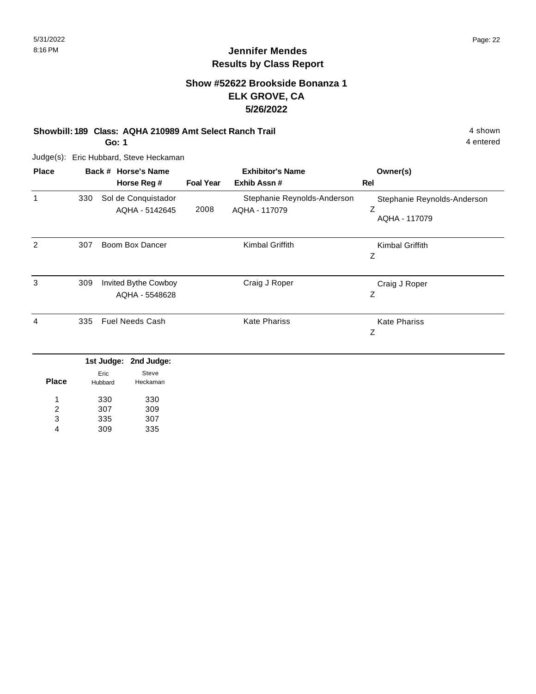4 entered

# **Jennifer Mendes Results by Class Report**

# **Show #52622 Brookside Bonanza 1 ELK GROVE, CA 5/26/2022**

#### **Showbill: 189 Class: AQHA 210989 Amt Select Ranch Trail** 4 shown

**Go: 1**

Judge(s): Eric Hubbard, Steve Heckaman

| <b>Place</b> |     | Back # Horse's Name                    |                  | <b>Exhibitor's Name</b>                      | Owner(s)                                          |
|--------------|-----|----------------------------------------|------------------|----------------------------------------------|---------------------------------------------------|
|              |     | Horse Reg #                            | <b>Foal Year</b> | Exhib Assn #                                 | Rel                                               |
| 1            | 330 | Sol de Conquistador<br>AQHA - 5142645  | 2008             | Stephanie Reynolds-Anderson<br>AQHA - 117079 | Stephanie Reynolds-Anderson<br>Ζ<br>AQHA - 117079 |
| 2            | 307 | Boom Box Dancer                        |                  | Kimbal Griffith                              | Kimbal Griffith<br>Ζ                              |
| 3            | 309 | Invited Bythe Cowboy<br>AQHA - 5548628 |                  | Craig J Roper                                | Craig J Roper<br>Ζ                                |
| 4            | 335 | <b>Fuel Needs Cash</b>                 |                  | <b>Kate Phariss</b>                          | <b>Kate Phariss</b><br>Ζ                          |
|              |     | 1st Judge:<br>2nd Judge:               |                  |                                              |                                                   |
| <b>Place</b> |     | Steve<br>Eric<br>Heckaman<br>Hubbard   |                  |                                              |                                                   |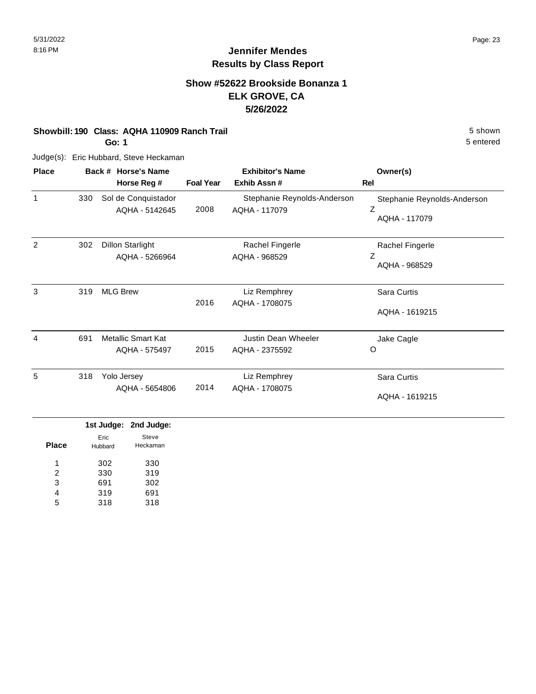5 entered

# **Jennifer Mendes Results by Class Report**

# **Show #52622 Brookside Bonanza 1 ELK GROVE, CA 5/26/2022**

#### **Showbill: 190 Class: AQHA 110909 Ranch Trail 5 Shown 5 shown 5 shown**

**Go: 1**

Judge(s): Eric Hubbard, Steve Heckaman

| <b>Place</b> |     | Back # Horse's Name                       |                  | <b>Exhibitor's Name</b>                      | Owner(s)                                          |
|--------------|-----|-------------------------------------------|------------------|----------------------------------------------|---------------------------------------------------|
|              |     | Horse Reg #                               | <b>Foal Year</b> | Exhib Assn#                                  | Rel                                               |
| 1            | 330 | Sol de Conquistador<br>AQHA - 5142645     | 2008             | Stephanie Reynolds-Anderson<br>AQHA - 117079 | Stephanie Reynolds-Anderson<br>Ζ<br>AQHA - 117079 |
| 2            | 302 | <b>Dillon Starlight</b><br>AQHA - 5266964 |                  | Rachel Fingerle<br>AQHA - 968529             | Rachel Fingerle<br>Ζ<br>AQHA - 968529             |
| 3            | 319 | <b>MLG Brew</b>                           | 2016             | Liz Remphrey<br>AQHA - 1708075               | Sara Curtis<br>AQHA - 1619215                     |
| 4            | 691 | Metallic Smart Kat<br>AQHA - 575497       | 2015             | Justin Dean Wheeler<br>AQHA - 2375592        | Jake Cagle<br>O                                   |
| 5            | 318 | Yolo Jersey<br>AQHA - 5654806             | 2014             | Liz Remphrey<br>AQHA - 1708075               | Sara Curtis<br>AQHA - 1619215                     |

|              |                 | 1st Judge: 2nd Judge: |
|--------------|-----------------|-----------------------|
| <b>Place</b> | Eric<br>Hubbard | Steve<br>Heckaman     |
| 1            | 302             | 330                   |
| 2            | 330             | 319                   |
| 3            | 691             | 302                   |
| 4            | 319             | 691                   |
| 5            | 318             | 318                   |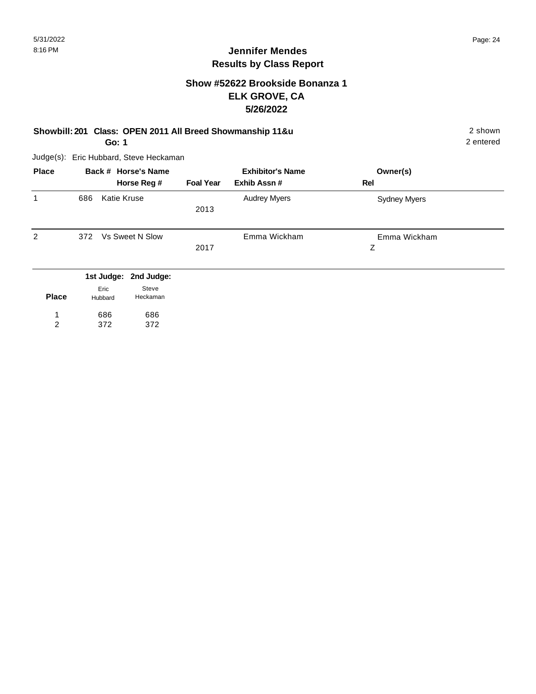# **Show #52622 Brookside Bonanza 1 ELK GROVE, CA 5/26/2022**

# **Showbill: 201 Class: OPEN 2011 All Breed Showmanship 11&u** 2 shown

**Go: 1**

Judge(s): Eric Hubbard, Steve Heckaman

686 372

1 2 686 372

| <b>Place</b> |         | Back # Horse's Name      |                  | <b>Exhibitor's Name</b> | Owner(s)            |  |
|--------------|---------|--------------------------|------------------|-------------------------|---------------------|--|
|              |         | Horse Reg #              | <b>Foal Year</b> | Exhib Assn#             | Rel                 |  |
| 1            | 686     | <b>Katie Kruse</b>       |                  | <b>Audrey Myers</b>     | <b>Sydney Myers</b> |  |
|              |         |                          | 2013             |                         |                     |  |
|              |         |                          |                  |                         |                     |  |
| 2            | 372     | <b>Vs Sweet N Slow</b>   |                  | Emma Wickham            | Emma Wickham        |  |
|              |         |                          | 2017             |                         | Z                   |  |
|              |         |                          |                  |                         |                     |  |
|              |         | 1st Judge:<br>2nd Judge: |                  |                         |                     |  |
|              |         | Steve<br>Eric            |                  |                         |                     |  |
| <b>Place</b> | Hubbard | Heckaman                 |                  |                         |                     |  |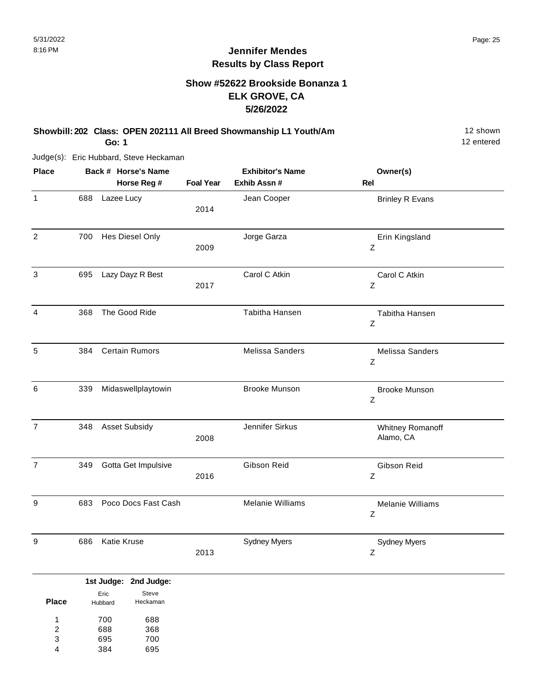# **Show #52622 Brookside Bonanza 1 ELK GROVE, CA 5/26/2022**

# **Showbill: 202 Class: OPEN 202111 All Breed Showmanship L1 Youth/Am** 12 Shown

**Go: 1**

Judge(s): Eric Hubbard, Steve Heckaman

| <b>Place</b>     |     | Back # Horse's Name   |                  | <b>Exhibitor's Name</b> | Owner(s)                            |  |
|------------------|-----|-----------------------|------------------|-------------------------|-------------------------------------|--|
|                  |     | Horse Reg #           | <b>Foal Year</b> | Exhib Assn #            | Rel                                 |  |
| $\mathbf{1}$     | 688 | Lazee Lucy            | 2014             | Jean Cooper             | <b>Brinley R Evans</b>              |  |
| $\overline{2}$   | 700 | Hes Diesel Only       | 2009             | Jorge Garza             | Erin Kingsland<br>$\mathsf Z$       |  |
| 3                | 695 | Lazy Dayz R Best      | 2017             | Carol C Atkin           | Carol C Atkin<br>$\mathsf Z$        |  |
| $\overline{4}$   | 368 | The Good Ride         |                  | Tabitha Hansen          | Tabitha Hansen<br>$\mathsf Z$       |  |
| 5                | 384 | <b>Certain Rumors</b> |                  | Melissa Sanders         | Melissa Sanders<br>$\mathsf Z$      |  |
| 6                | 339 | Midaswellplaytowin    |                  | <b>Brooke Munson</b>    | <b>Brooke Munson</b><br>$\mathsf Z$ |  |
| $\overline{7}$   | 348 | <b>Asset Subsidy</b>  | 2008             | Jennifer Sirkus         | Whitney Romanoff<br>Alamo, CA       |  |
| $\overline{7}$   | 349 | Gotta Get Impulsive   | 2016             | Gibson Reid             | Gibson Reid<br>Z                    |  |
| $\boldsymbol{9}$ | 683 | Poco Docs Fast Cash   |                  | Melanie Williams        | Melanie Williams<br>Z               |  |
| $\boldsymbol{9}$ | 686 | Katie Kruse           | 2013             | <b>Sydney Myers</b>     | <b>Sydney Myers</b><br>$\mathsf Z$  |  |

|              |                 | 1st Judge: 2nd Judge: |
|--------------|-----------------|-----------------------|
| <b>Place</b> | Eric<br>Hubbard | Steve<br>Heckaman     |
| 1            | 700             | 688                   |
| 2            | 688             | 368                   |
| 3            | 695             | 700                   |
|              | 384             | 695                   |
|              |                 |                       |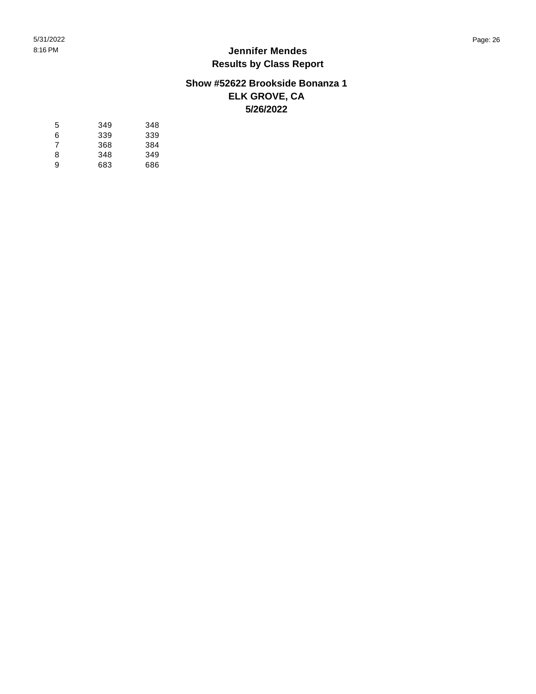## **Show #52622 Brookside Bonanza 1 ELK GROVE, CA 5/26/2022**

| 5 | 349 | 348 |
|---|-----|-----|
| 6 | 339 | 339 |
| 7 | 368 | 384 |
| 8 | 348 | 349 |
| 9 | 683 | 686 |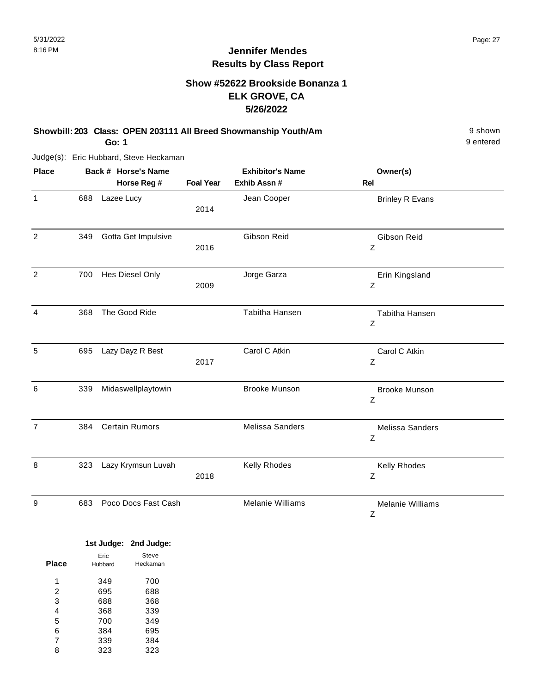# **Show #52622 Brookside Bonanza 1 ELK GROVE, CA 5/26/2022**

**Showbill: 203 Class: OPEN 203111 All Breed Showmanship Youth/Am** 9 shown

**Go: 1**

Judge(s): Eric Hubbard, Steve Heckaman

| <b>Place</b>   |     | Back # Horse's Name   |                  | <b>Exhibitor's Name</b> | Owner(s)                     |  |
|----------------|-----|-----------------------|------------------|-------------------------|------------------------------|--|
|                |     | Horse Reg #           | <b>Foal Year</b> | Exhib Assn #            | <b>Rel</b>                   |  |
| $\mathbf{1}$   | 688 | Lazee Lucy            | 2014             | Jean Cooper             | <b>Brinley R Evans</b>       |  |
| 2              | 349 | Gotta Get Impulsive   | 2016             | Gibson Reid             | Gibson Reid<br>Z             |  |
| $\overline{2}$ | 700 | Hes Diesel Only       | 2009             | Jorge Garza             | Erin Kingsland<br>Ζ          |  |
| 4              | 368 | The Good Ride         |                  | Tabitha Hansen          | Tabitha Hansen<br>Z          |  |
| 5              | 695 | Lazy Dayz R Best      | 2017             | Carol C Atkin           | Carol C Atkin<br>Z           |  |
| 6              | 339 | Midaswellplaytowin    |                  | <b>Brooke Munson</b>    | <b>Brooke Munson</b><br>Z    |  |
| $\overline{7}$ | 384 | <b>Certain Rumors</b> |                  | <b>Melissa Sanders</b>  | Melissa Sanders<br>Z         |  |
| 8              | 323 | Lazy Krymsun Luvah    | 2018             | Kelly Rhodes            | Kelly Rhodes<br>Z            |  |
| 9              | 683 | Poco Docs Fast Cash   |                  | <b>Melanie Williams</b> | <b>Melanie Williams</b><br>Ζ |  |

|              |         | 1st Judge: 2nd Judge: |
|--------------|---------|-----------------------|
|              | Eric    | Steve                 |
| <b>Place</b> | Hubbard | Heckaman              |
| л            | 349     | 700                   |
| 2            | 695     | 688                   |
| 3            | 688     | 368                   |
| 4            | 368     | 339                   |
| 5            | 700     | 349                   |
| 6            | 384     | 695                   |
| 7            | 339     | 384                   |
| 8            | 323     | 323                   |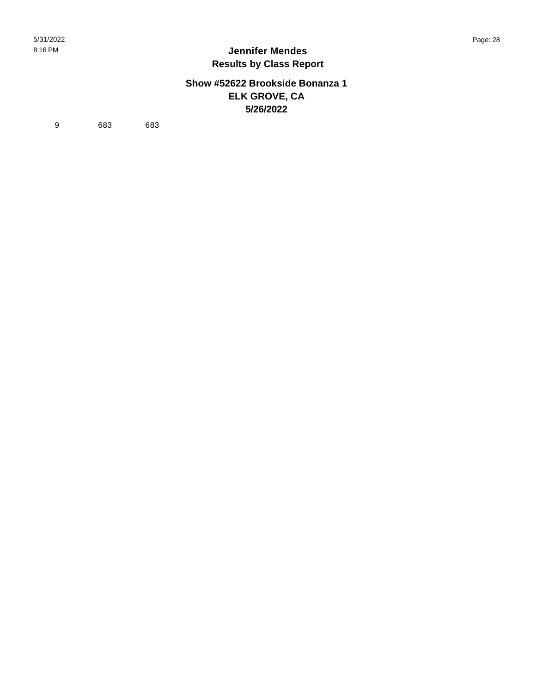## **Show #52622 Brookside Bonanza 1 ELK GROVE, CA 5/26/2022**

9 683 683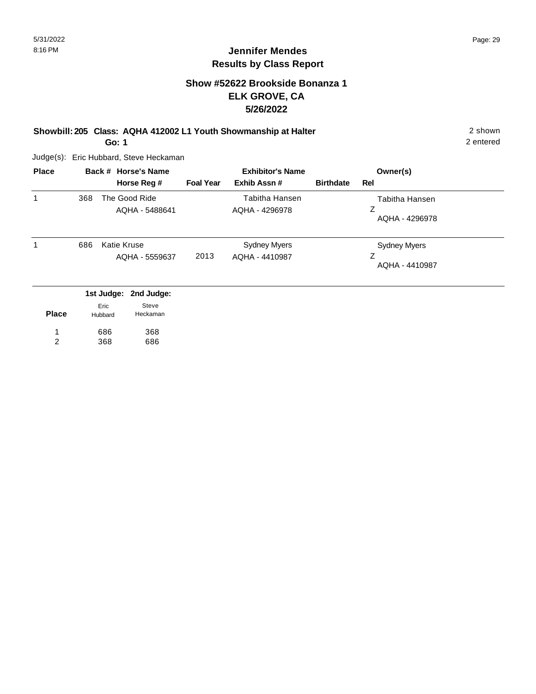# **Show #52622 Brookside Bonanza 1 ELK GROVE, CA 5/26/2022**

**Showbill: 205 Class: AQHA 412002 L1 Youth Showmanship at Halter** 2 shown

**Go: 1**

Judge(s): Eric Hubbard, Steve Heckaman

| <b>Place</b> |     |                               | Back # Horse's Name                  |                  | <b>Exhibitor's Name</b>                 |                  | Owner(s)                                   |
|--------------|-----|-------------------------------|--------------------------------------|------------------|-----------------------------------------|------------------|--------------------------------------------|
|              |     |                               | Horse Reg #                          | <b>Foal Year</b> | Exhib Assn#                             | <b>Birthdate</b> | Rel                                        |
|              | 368 |                               | The Good Ride<br>AQHA - 5488641      |                  | <b>Tabitha Hansen</b><br>AQHA - 4296978 |                  | Tabitha Hansen<br>Z<br>AQHA - 4296978      |
|              | 686 |                               | <b>Katie Kruse</b><br>AQHA - 5559637 | 2013             | <b>Sydney Myers</b><br>AQHA - 4410987   |                  | <b>Sydney Myers</b><br>Z<br>AQHA - 4410987 |
| <b>Place</b> |     | 1st Judge:<br>Eric<br>Hubbard | 2nd Judge:<br>Steve<br>Heckaman      |                  |                                         |                  |                                            |

| <b>Place</b> | Hubbard | Heckaman |
|--------------|---------|----------|
|              | 686     | 368      |
| 2            | 368     | 686      |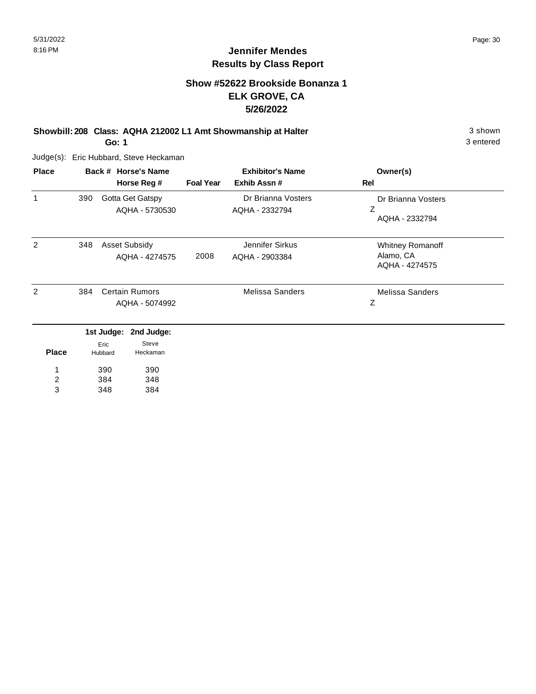# **Show #52622 Brookside Bonanza 1 ELK GROVE, CA 5/26/2022**

**Showbill: 208 Class: AQHA 212002 L1 Amt Showmanship at Halter** 3 shown

**Go: 1**

Judge(s): Eric Hubbard, Steve Heckaman

| <b>Place</b> | Back # Horse's Name |                 |                       | <b>Exhibitor's Name</b> |                        | Owner(s)                    |
|--------------|---------------------|-----------------|-----------------------|-------------------------|------------------------|-----------------------------|
|              |                     |                 | Horse Reg #           | <b>Foal Year</b>        | Exhib Assn #           | <b>Rel</b>                  |
| 1            | 390                 |                 | Gotta Get Gatspy      |                         | Dr Brianna Vosters     | Dr Brianna Vosters          |
|              |                     |                 | AQHA - 5730530        |                         | AQHA - 2332794         | Z<br>AQHA - 2332794         |
| 2            | 348                 |                 | <b>Asset Subsidy</b>  |                         | Jennifer Sirkus        | Whitney Romanoff            |
|              |                     |                 | AQHA - 4274575        | 2008                    | AQHA - 2903384         | Alamo, CA<br>AQHA - 4274575 |
| 2            | 384                 |                 | <b>Certain Rumors</b> |                         | <b>Melissa Sanders</b> | Melissa Sanders             |
|              |                     |                 | AQHA - 5074992        |                         |                        | Z                           |
|              |                     |                 | 1st Judge: 2nd Judge: |                         |                        |                             |
| <b>Place</b> |                     | Eric<br>Hubbard | Steve<br>Heckaman     |                         |                        |                             |
|              |                     | 390             | 390                   |                         |                        |                             |
| 2            |                     | 384             | 348                   |                         |                        |                             |
| 3            |                     | 348             | 384                   |                         |                        |                             |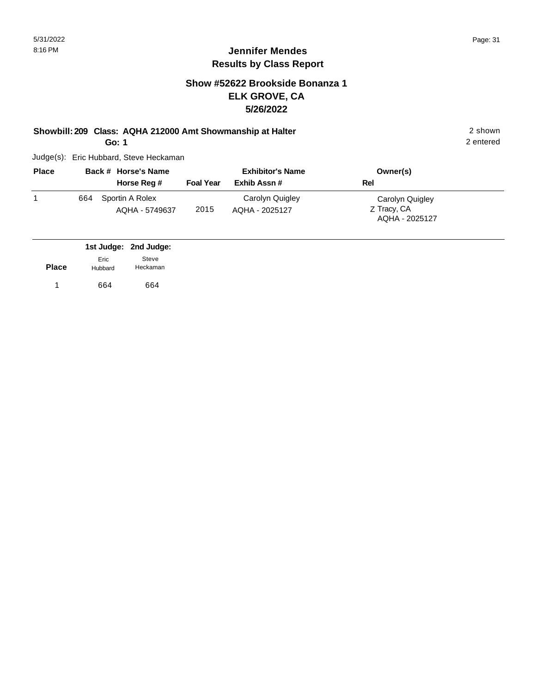# **Show #52622 Brookside Bonanza 1 ELK GROVE, CA 5/26/2022**

### **Showbill: 209 Class: AQHA 212000 Amt Showmanship at Halter** 2 shown

**Go: 1**

Judge(s): Eric Hubbard, Steve Heckaman

| <b>Place</b> |     | Back # Horse's Name               |                  | <b>Exhibitor's Name</b>           | Owner(s)                                         |  |
|--------------|-----|-----------------------------------|------------------|-----------------------------------|--------------------------------------------------|--|
|              |     | Horse Reg #                       | <b>Foal Year</b> | Exhib Assn#                       | Rel                                              |  |
|              | 664 | Sportin A Rolex<br>AQHA - 5749637 | 2015             | Carolyn Quigley<br>AQHA - 2025127 | Carolyn Quigley<br>Z Tracy, CA<br>AQHA - 2025127 |  |

|              |                 | 1st Judge: 2nd Judge: |
|--------------|-----------------|-----------------------|
| <b>Place</b> | Eric<br>Hubbard | Steve<br>Heckaman     |
|              | 664             | 664                   |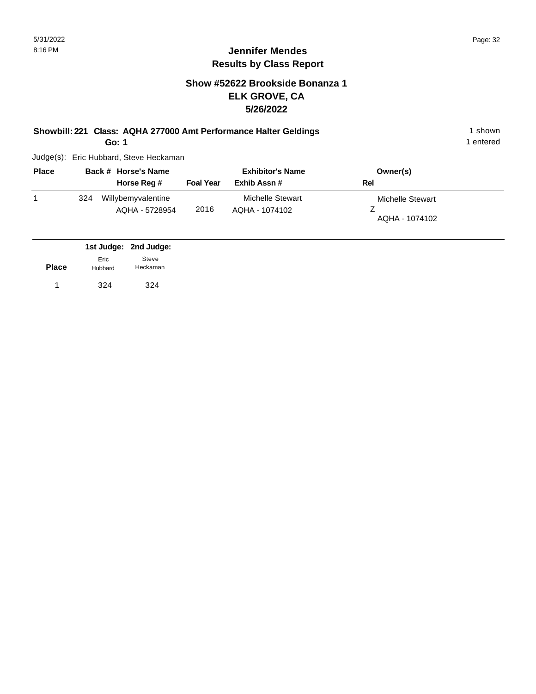# **Show #52622 Brookside Bonanza 1 ELK GROVE, CA 5/26/2022**

**Showbill: 221 Class: AQHA 277000 Amt Performance Halter Geldings** 1 shown

**Go: 1**

Judge(s): Eric Hubbard, Steve Heckaman

| <b>Place</b> |     | Back # Horse's Name                  |                  | <b>Exhibitor's Name</b>            | Owner(s)                           |
|--------------|-----|--------------------------------------|------------------|------------------------------------|------------------------------------|
|              |     | Horse Reg #                          | <b>Foal Year</b> | Exhib Assn#                        | Rel                                |
|              | 324 | Willybemyvalentine<br>AQHA - 5728954 | 2016             | Michelle Stewart<br>AQHA - 1074102 | Michelle Stewart<br>AQHA - 1074102 |

|              |                 | 1st Judge: 2nd Judge: |
|--------------|-----------------|-----------------------|
| <b>Place</b> | Eric<br>Hubbard | Steve<br>Heckaman     |
|              | 324             | 324                   |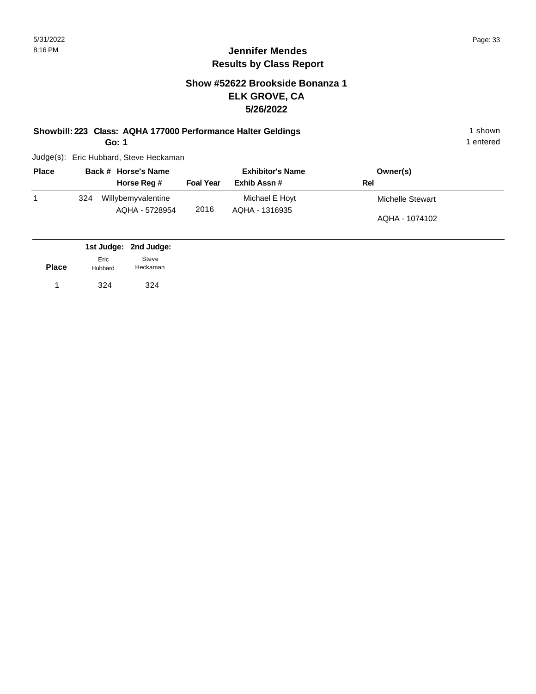# **Show #52622 Brookside Bonanza 1 ELK GROVE, CA 5/26/2022**

**Showbill: 223 Class: AQHA 177000 Performance Halter Geldings** 1 shown 1 shown

**Go: 1**

Judge(s): Eric Hubbard, Steve Heckaman

| <b>Place</b> |     | Back # Horse's Name                  |                  | <b>Exhibitor's Name</b>          | Owner(s)         |
|--------------|-----|--------------------------------------|------------------|----------------------------------|------------------|
|              |     | Horse Reg #                          | <b>Foal Year</b> | Exhib Assn#                      | Rel              |
|              | 324 | Willybemyvalentine<br>AQHA - 5728954 | 2016             | Michael E Hoyt<br>AQHA - 1316935 | Michelle Stewart |
|              |     |                                      |                  |                                  | AQHA - 1074102   |

|              |                 | 1st Judge: 2nd Judge: |  |
|--------------|-----------------|-----------------------|--|
| <b>Place</b> | Eric<br>Hubbard | Steve<br>Heckaman     |  |
| 1            | 324             | 324                   |  |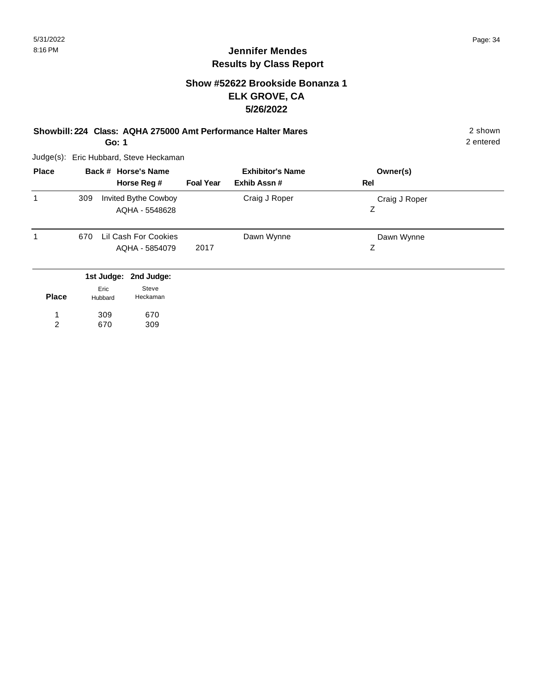# **Show #52622 Brookside Bonanza 1 ELK GROVE, CA 5/26/2022**

**Showbill: 224 Class: AQHA 275000 Amt Performance Halter Mares** 2 shown

**Go: 1**

Judge(s): Eric Hubbard, Steve Heckaman

| <b>Place</b> | Back # Horse's Name<br>Horse Reg #                   | <b>Foal Year</b> | <b>Exhibitor's Name</b><br>Exhib Assn# | Owner(s)<br>Rel    |  |
|--------------|------------------------------------------------------|------------------|----------------------------------------|--------------------|--|
| 1            | <b>Invited Bythe Cowboy</b><br>309<br>AQHA - 5548628 |                  | Craig J Roper                          | Craig J Roper<br>Ζ |  |
| 1            | Lil Cash For Cookies<br>670<br>AQHA - 5854079        | 2017             | Dawn Wynne                             | Dawn Wynne<br>Ζ    |  |
|              | 1st Judge: 2nd Judge:<br>Steve<br>Eric               |                  |                                        |                    |  |

| <b>Place</b> | сне<br>Hubbard | uuv<br>Heckaman |
|--------------|----------------|-----------------|
| 1            | 309            | 670             |
| 2            | 670            | 309             |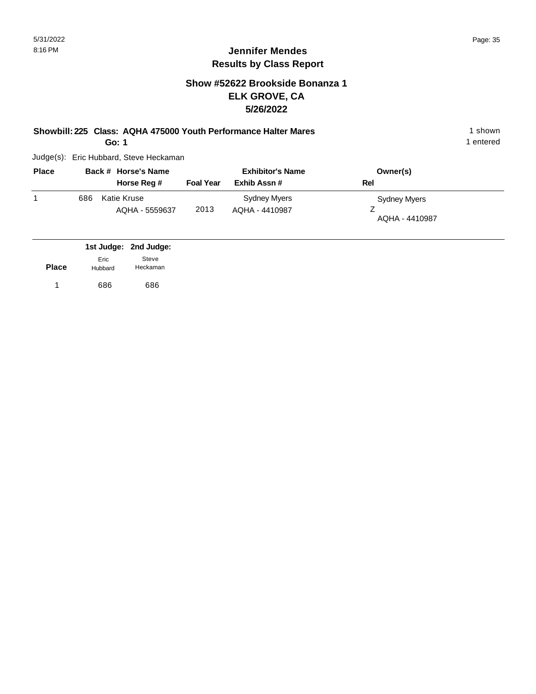# **Show #52622 Brookside Bonanza 1 ELK GROVE, CA 5/26/2022**

**Showbill: 225 Class: AQHA 475000 Youth Performance Halter Mares** 1 **Shown** 1 shown

**Go: 1**

Judge(s): Eric Hubbard, Steve Heckaman

| <b>Place</b> | Back # Horse's Name |                               | <b>Exhibitor's Name</b> |                                | Owner(s)                       |
|--------------|---------------------|-------------------------------|-------------------------|--------------------------------|--------------------------------|
|              |                     | Horse Reg #                   | <b>Foal Year</b>        | Exhib Assn#                    | Rel                            |
|              | 686                 | Katie Kruse<br>AQHA - 5559637 | 2013                    | Sydney Myers<br>AQHA - 4410987 | Sydney Myers<br>AQHA - 4410987 |

|              |                 | 1st Judge: 2nd Judge: |
|--------------|-----------------|-----------------------|
| <b>Place</b> | Eric<br>Hubbard | Steve<br>Heckaman     |
| $\mathbf{1}$ | 686             | 686                   |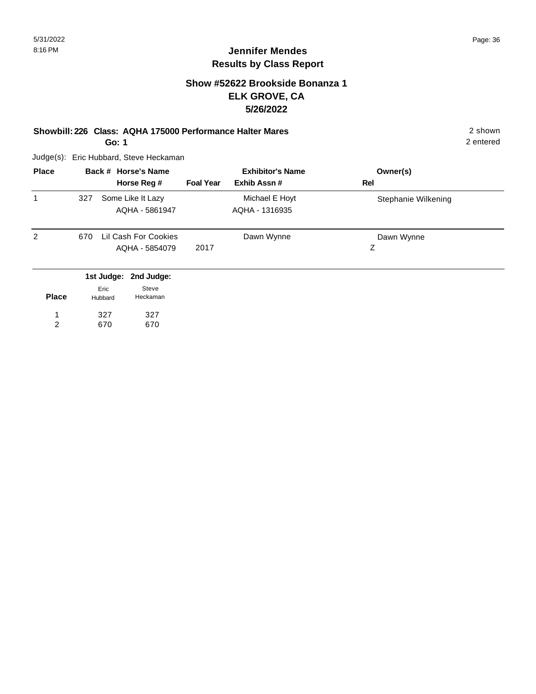# **Show #52622 Brookside Bonanza 1 ELK GROVE, CA 5/26/2022**

#### **Showbill: 226 Class: AQHA 175000 Performance Halter Mares** 2 shown **Go: 1**

2 entered

Judge(s): Eric Hubbard, Steve Heckaman

| <b>Place</b> | Back # Horse's Name |                       | <b>Exhibitor's Name</b> |                | Owner(s)            |
|--------------|---------------------|-----------------------|-------------------------|----------------|---------------------|
|              |                     | Horse Reg #           | <b>Foal Year</b>        | Exhib Assn#    | Rel                 |
|              | 327                 | Some Like It Lazy     |                         | Michael E Hoyt | Stephanie Wilkening |
|              |                     | AQHA - 5861947        |                         | AQHA - 1316935 |                     |
| 2            | 670                 | Lil Cash For Cookies  |                         | Dawn Wynne     | Dawn Wynne          |
|              |                     | AQHA - 5854079        | 2017                    |                | Ζ                   |
|              |                     | 1st Judge: 2nd Judge: |                         |                |                     |
|              |                     | Steve<br>Eric         |                         |                |                     |

| <b>Place</b> | Hubbard | Heckaman |  |
|--------------|---------|----------|--|
|              | 327     | 327      |  |
| 2            | 670     | 670      |  |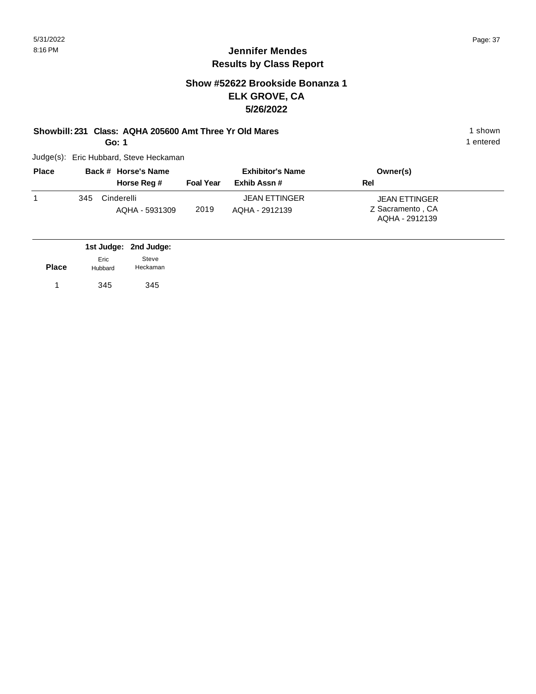## **Show #52622 Brookside Bonanza 1 ELK GROVE, CA 5/26/2022**

#### **Showbill: 231 Class: AQHA 205600 Amt Three Yr Old Mares** 1 Shown 1 shown

**Go: 1**

Judge(s): Eric Hubbard, Steve Heckaman

| <b>Place</b> |     | Back # Horse's Name          |                  | <b>Exhibitor's Name</b>                | Owner(s)                          |
|--------------|-----|------------------------------|------------------|----------------------------------------|-----------------------------------|
|              |     | Horse Reg #                  | <b>Foal Year</b> | Exhib Assn#                            | Rel                               |
|              | 345 | Cinderelli<br>AQHA - 5931309 | 2019             | <b>JEAN ETTINGER</b><br>AQHA - 2912139 | JEAN ETTINGER<br>Z Sacramento, CA |
|              |     |                              |                  |                                        | AQHA - 2912139                    |

|              |                 | 1st Judge: 2nd Judge: |
|--------------|-----------------|-----------------------|
| <b>Place</b> | Eric<br>Hubbard | Steve<br>Heckaman     |
|              | 345             | 345                   |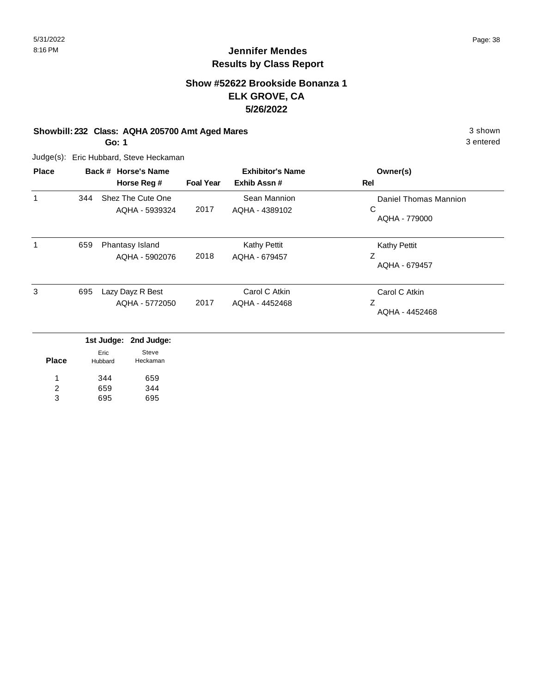# **Jennifer Mendes Results by Class Report**

# **Show #52622 Brookside Bonanza 1 ELK GROVE, CA 5/26/2022**

#### **Showbill: 232 Class: AQHA 205700 Amt Aged Mares** 3 shown

**Go: 1**

| <b>Place</b> |     | Back # Horse's Name<br>Horse Reg #  | <b>Foal Year</b> | <b>Exhibitor's Name</b><br>Exhib Assn# | Owner(s)<br>Rel                             |
|--------------|-----|-------------------------------------|------------------|----------------------------------------|---------------------------------------------|
| 1            | 344 | Shez The Cute One<br>AQHA - 5939324 | 2017             | Sean Mannion<br>AQHA - 4389102         | Daniel Thomas Mannion<br>C<br>AQHA - 779000 |
| 1            | 659 | Phantasy Island<br>AQHA - 5902076   | 2018             | <b>Kathy Pettit</b><br>AQHA - 679457   | <b>Kathy Pettit</b><br>Ζ<br>AQHA - 679457   |
| 3            | 695 | Lazy Dayz R Best<br>AQHA - 5772050  | 2017             | Carol C Atkin<br>AQHA - 4452468        | Carol C Atkin<br>Ζ<br>AQHA - 4452468        |

|              |         | ---------- |
|--------------|---------|------------|
|              | Eric    | Steve      |
| <b>Place</b> | Hubbard | Heckaman   |
| 1            | 344     | 659        |
| 2            | 659     | 344        |
| 3            | 695     | 695        |
|              |         |            |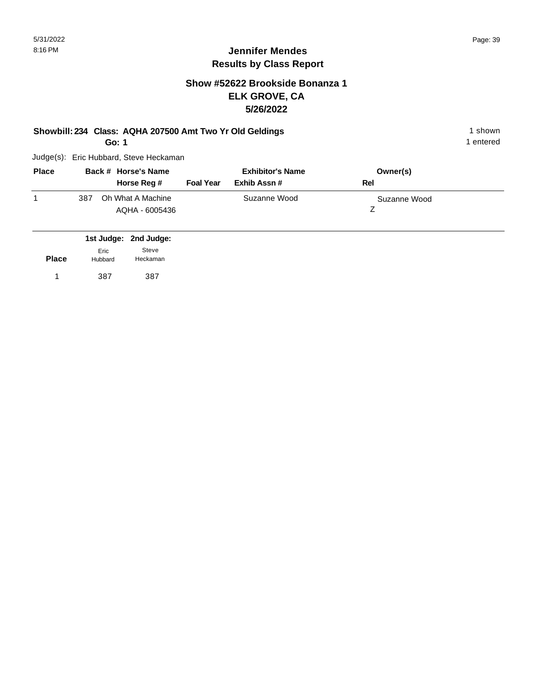# **Show #52622 Brookside Bonanza 1 ELK GROVE, CA 5/26/2022**

#### **Showbill: 234 Class: AQHA 207500 Amt Two Yr Old Geldings** 1 Shown 1 shown

**Go: 1**

Judge(s): Eric Hubbard, Steve Heckaman

| <b>Place</b> | Back # Horse's Name<br>Horse Reg #         | <b>Foal Year</b> | <b>Exhibitor's Name</b><br>Exhib Assn # | Owner(s)<br>Rel |
|--------------|--------------------------------------------|------------------|-----------------------------------------|-----------------|
|              | Oh What A Machine<br>387<br>AQHA - 6005436 |                  | Suzanne Wood                            | Suzanne Wood    |

|              |                 | 1st Judge: 2nd Judge: |
|--------------|-----------------|-----------------------|
| <b>Place</b> | Fric<br>Hubbard | Steve<br>Heckaman     |
| 1            | 387             | 387                   |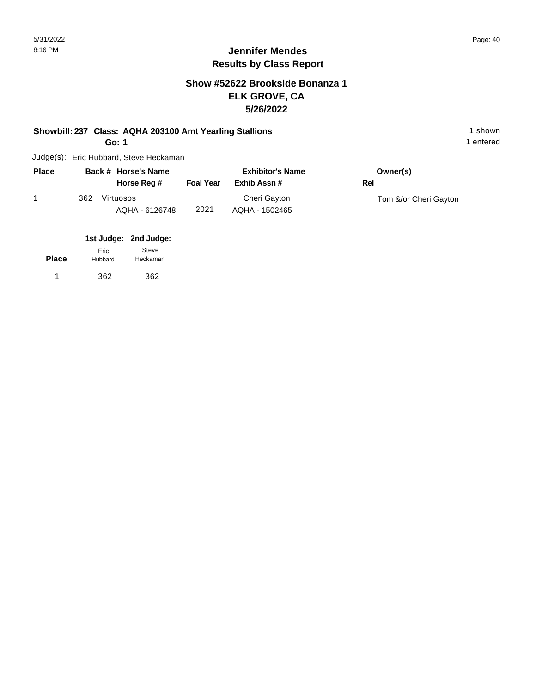## **Show #52622 Brookside Bonanza 1 ELK GROVE, CA 5/26/2022**

#### **Showbill: 237 Class: AQHA 203100 Amt Yearling Stallions** 1 Shown 1 shown

**Go: 1**

Judge(s): Eric Hubbard, Steve Heckaman

| <b>Place</b> |     | Back # Horse's Name         |                  | <b>Exhibitor's Name</b>        | Owner(s)              |
|--------------|-----|-----------------------------|------------------|--------------------------------|-----------------------|
|              |     | Horse Reg #                 | <b>Foal Year</b> | Exhib Assn #                   | Rel                   |
|              | 362 | Virtuosos<br>AQHA - 6126748 | 2021             | Cheri Gayton<br>AQHA - 1502465 | Tom &/or Cheri Gayton |

|              |                 | 1st Judge: 2nd Judge: |
|--------------|-----------------|-----------------------|
| <b>Place</b> | Fric<br>Hubbard | Steve<br>Heckaman     |
| 1            | 362             | 362                   |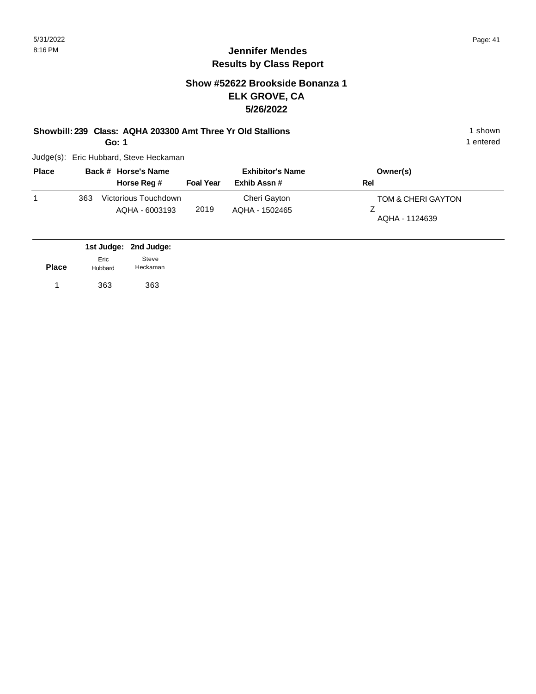#### **Show #52622 Brookside Bonanza 1 ELK GROVE, CA 5/26/2022**

# **Showbill: 239 Class: AQHA 203300 Amt Three Yr Old Stallions** 1 shown

**Go: 1**

Judge(s): Eric Hubbard, Steve Heckaman

| <b>Place</b> |     | Back # Horse's Name                    |                  | <b>Exhibitor's Name</b>        | Owner(s)                             |
|--------------|-----|----------------------------------------|------------------|--------------------------------|--------------------------------------|
|              |     | Horse Reg #                            | <b>Foal Year</b> | Exhib Assn #                   | Rel                                  |
|              | 363 | Victorious Touchdown<br>AQHA - 6003193 | 2019             | Cheri Gayton<br>AQHA - 1502465 | TOM & CHERI GAYTON<br>AQHA - 1124639 |

|              |                 | 1st Judge: 2nd Judge: |
|--------------|-----------------|-----------------------|
| <b>Place</b> | Eric<br>Hubbard | Steve<br>Heckaman     |
| 1            | 363             | 363                   |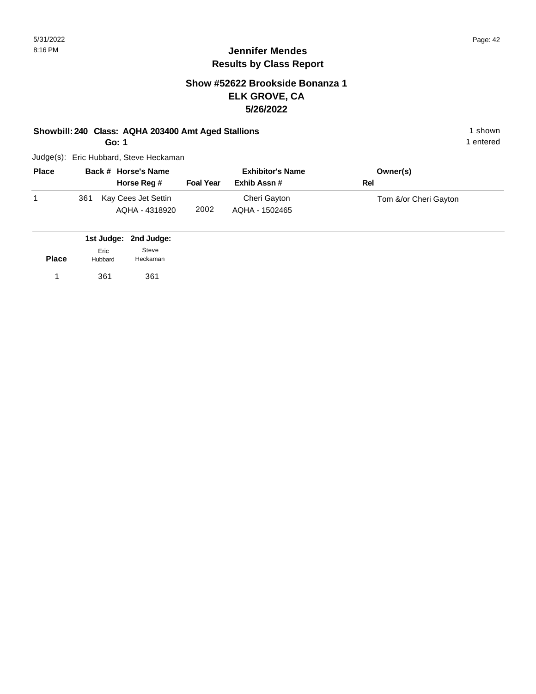## **Show #52622 Brookside Bonanza 1 ELK GROVE, CA 5/26/2022**

#### **Showbill: 240 Class: AQHA 203400 Amt Aged Stallions** 1 shown 1 shown

**Go: 1**

Judge(s): Eric Hubbard, Steve Heckaman

| <b>Place</b> |     | Back # Horse's Name                   |                  | <b>Exhibitor's Name</b>        | Owner(s)              |
|--------------|-----|---------------------------------------|------------------|--------------------------------|-----------------------|
|              |     | Horse Reg #                           | <b>Foal Year</b> | Exhib Assn #                   | Rel                   |
|              | 361 | Kay Cees Jet Settin<br>AQHA - 4318920 | 2002             | Cheri Gayton<br>AQHA - 1502465 | Tom &/or Cheri Gayton |

|              |                 | 1st Judge: 2nd Judge: |
|--------------|-----------------|-----------------------|
| <b>Place</b> | Eric<br>Hubbard | Steve<br>Heckaman     |
| 1            | 361             | 361                   |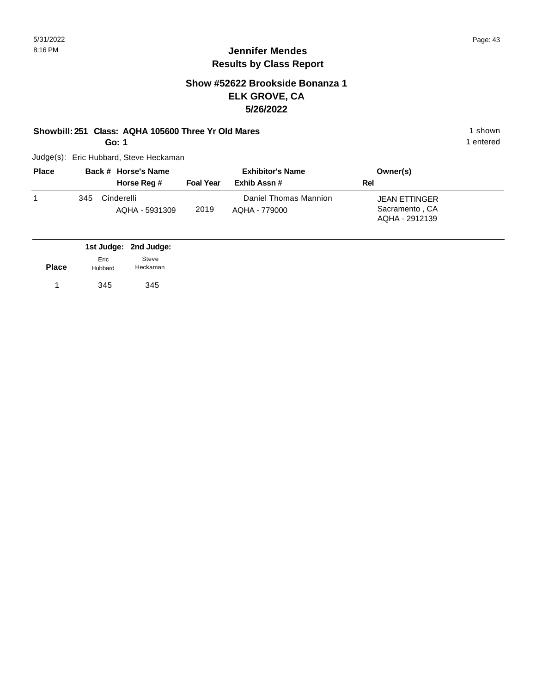## **Jennifer Mendes Results by Class Report**

# **Show #52622 Brookside Bonanza 1 ELK GROVE, CA 5/26/2022**

#### **Showbill: 251 Class: AQHA 105600 Three Yr Old Mares** 1 **Shown** 1 shown

**Go: 1**

| <b>Place</b> |     | Back # Horse's Name          | <b>Exhibitor's Name</b> |                                        | Owner(s)                                                 |  |
|--------------|-----|------------------------------|-------------------------|----------------------------------------|----------------------------------------------------------|--|
|              |     | Horse Reg #                  | <b>Foal Year</b>        | Exhib Assn #                           | Rel                                                      |  |
|              | 345 | Cinderelli<br>AQHA - 5931309 | 2019                    | Daniel Thomas Mannion<br>AQHA - 779000 | <b>JEAN ETTINGER</b><br>Sacramento, CA<br>AQHA - 2912139 |  |

|              |                 | 1st Judge: 2nd Judge: |
|--------------|-----------------|-----------------------|
| <b>Place</b> | Eric<br>Hubbard | Steve<br>Heckaman     |
|              | 345             | 345                   |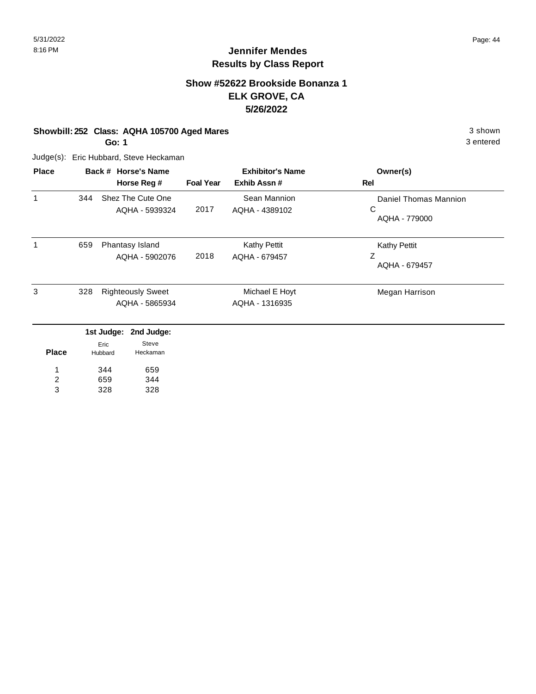# **Jennifer Mendes Results by Class Report**

## **Show #52622 Brookside Bonanza 1 ELK GROVE, CA 5/26/2022**

#### **Showbill: 252 Class: AQHA 105700 Aged Mares** 3 shown

**Go: 1**

| <b>Place</b>   | Back # Horse's Name |                 |                          | <b>Exhibitor's Name</b> |                     | Owner(s)              |  |
|----------------|---------------------|-----------------|--------------------------|-------------------------|---------------------|-----------------------|--|
|                |                     |                 | Horse Reg #              | <b>Foal Year</b>        | Exhib Assn#         | Rel                   |  |
| 1              | 344                 |                 | Shez The Cute One        |                         | Sean Mannion        | Daniel Thomas Mannion |  |
|                |                     |                 | AQHA - 5939324           | 2017                    | AQHA - 4389102      | C<br>AQHA - 779000    |  |
| 1              | 659                 |                 | Phantasy Island          |                         | <b>Kathy Pettit</b> | <b>Kathy Pettit</b>   |  |
|                |                     |                 | AQHA - 5902076           | 2018                    | AQHA - 679457       | Ζ<br>AQHA - 679457    |  |
| 3              | 328                 |                 | <b>Righteously Sweet</b> |                         | Michael E Hoyt      | Megan Harrison        |  |
|                |                     |                 | AQHA - 5865934           |                         | AQHA - 1316935      |                       |  |
|                |                     | 1st Judge:      | 2nd Judge:               |                         |                     |                       |  |
| <b>Place</b>   |                     | Eric<br>Hubbard | <b>Steve</b><br>Heckaman |                         |                     |                       |  |
|                |                     | 344             | 659                      |                         |                     |                       |  |
| $\overline{c}$ |                     | 659             | 344                      |                         |                     |                       |  |
| 3              |                     | 328             | 328                      |                         |                     |                       |  |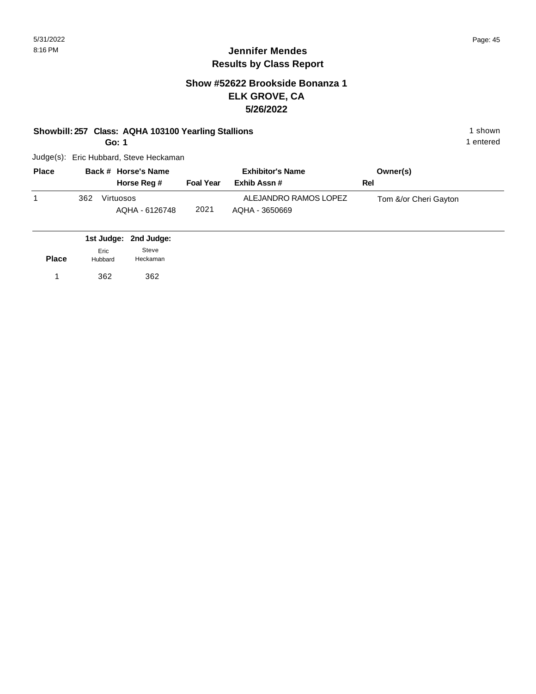## **Jennifer Mendes Results by Class Report**

## **Show #52622 Brookside Bonanza 1 ELK GROVE, CA 5/26/2022**

#### **Showbill: 257 Class: AQHA 103100 Yearling Stallions** 1 Shown 1 shown

**Go: 1**

| <b>Place</b> | Back # Horse's Name |                             | <b>Exhibitor's Name</b> |                                         | Owner(s)              |
|--------------|---------------------|-----------------------------|-------------------------|-----------------------------------------|-----------------------|
|              |                     | Horse Reg #                 | <b>Foal Year</b>        | Exhib Assn#                             | Rel                   |
|              | 362                 | Virtuosos<br>AQHA - 6126748 | 2021                    | ALEJANDRO RAMOS LOPEZ<br>AQHA - 3650669 | Tom &/or Cheri Gayton |

|              |                 | 1st Judge: 2nd Judge: |
|--------------|-----------------|-----------------------|
| <b>Place</b> | Fric<br>Hubbard | Steve<br>Heckaman     |
| 1            | 362             | 362                   |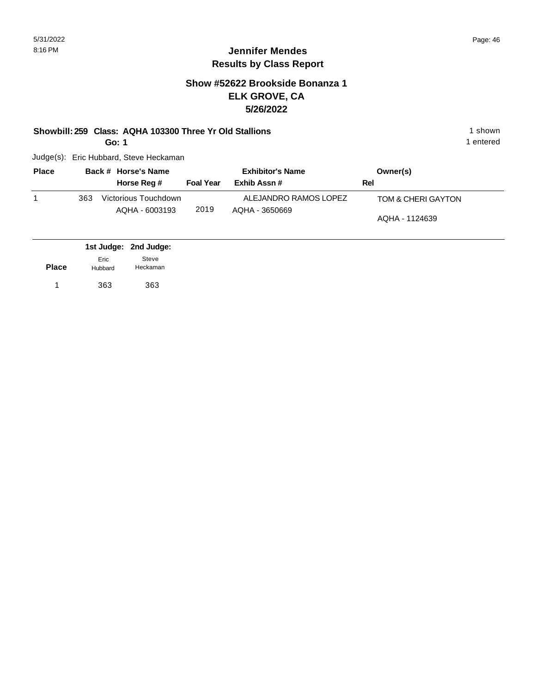## **Show #52622 Brookside Bonanza 1 ELK GROVE, CA 5/26/2022**

#### **Showbill: 259 Class: AQHA 103300 Three Yr Old Stallions** 1 Shown 1 shown

**Go: 1**

Judge(s): Eric Hubbard, Steve Heckaman

| <b>Place</b> |     | Back # Horse's Name                    | <b>Exhibitor's Name</b> |                                         | Owner(s)                             |  |
|--------------|-----|----------------------------------------|-------------------------|-----------------------------------------|--------------------------------------|--|
|              |     | Horse Reg #                            | <b>Foal Year</b>        | Exhib Assn #                            | Rel                                  |  |
|              | 363 | Victorious Touchdown<br>AQHA - 6003193 | 2019                    | ALEJANDRO RAMOS LOPEZ<br>AQHA - 3650669 | TOM & CHERI GAYTON<br>AQHA - 1124639 |  |

|              |                 | 1st Judge: 2nd Judge: |  |
|--------------|-----------------|-----------------------|--|
| <b>Place</b> | Eric<br>Hubbard | Steve<br>Heckaman     |  |
|              | 363             | 363                   |  |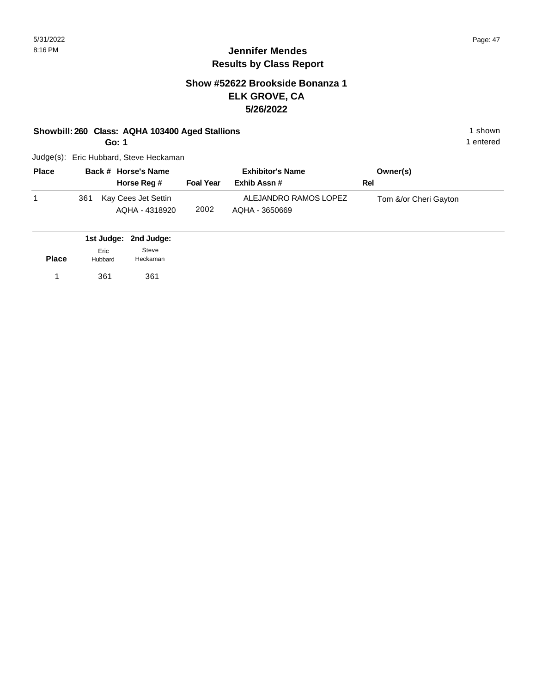# **Jennifer Mendes Results by Class Report**

## **Show #52622 Brookside Bonanza 1 ELK GROVE, CA 5/26/2022**

#### **Showbill: 260 Class: AQHA 103400 Aged Stallions** 1 shown 1 shown

**Go: 1**

| <b>Place</b> |     | Back # Horse's Name<br>Horse Reg #    | <b>Foal Year</b> | <b>Exhibitor's Name</b><br>Exhib Assn # | Owner(s)<br>Rel       |
|--------------|-----|---------------------------------------|------------------|-----------------------------------------|-----------------------|
|              | 361 | Kay Cees Jet Settin<br>AQHA - 4318920 | 2002             | ALEJANDRO RAMOS LOPEZ<br>AQHA - 3650669 | Tom &/or Cheri Gayton |

|              |                 | 1st Judge: 2nd Judge: |
|--------------|-----------------|-----------------------|
| <b>Place</b> | Fric<br>Hubbard | Steve<br>Heckaman     |
| 1.           | 361             | 361                   |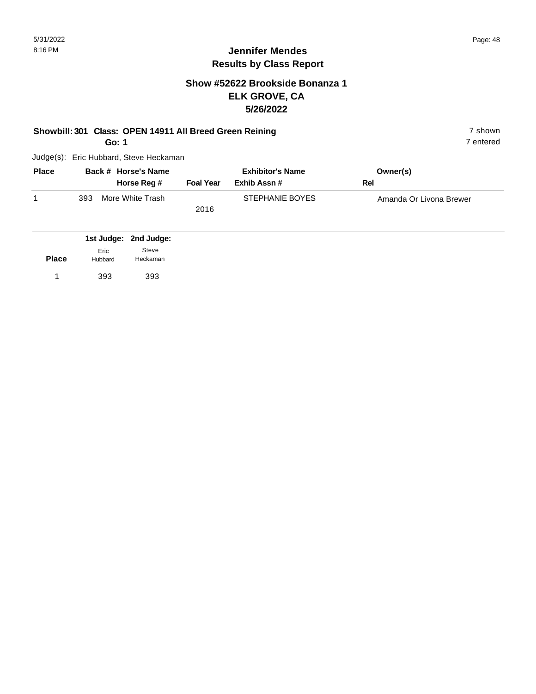#### **Jennifer Mendes Results by Class Report**

## **Show #52622 Brookside Bonanza 1 ELK GROVE, CA 5/26/2022**

#### **Showbill: 301 Class: OPEN 14911 All Breed Green Reining 7 shown 7 shown**

**Go: 1**

| <b>Place</b> | Back # Horse's Name     |                  | <b>Exhibitor's Name</b> | Owner(s)                |
|--------------|-------------------------|------------------|-------------------------|-------------------------|
|              | Horse Reg #             | <b>Foal Year</b> | Exhib Assn #            | Rel                     |
|              | More White Trash<br>393 |                  | STEPHANIE BOYES         | Amanda Or Livona Brewer |
|              |                         | 2016             |                         |                         |

|              |                 | 1st Judge: 2nd Judge: |
|--------------|-----------------|-----------------------|
| <b>Place</b> | Eric<br>Hubbard | Steve<br>Heckaman     |
| 1.           | 393             | 393                   |
|              |                 |                       |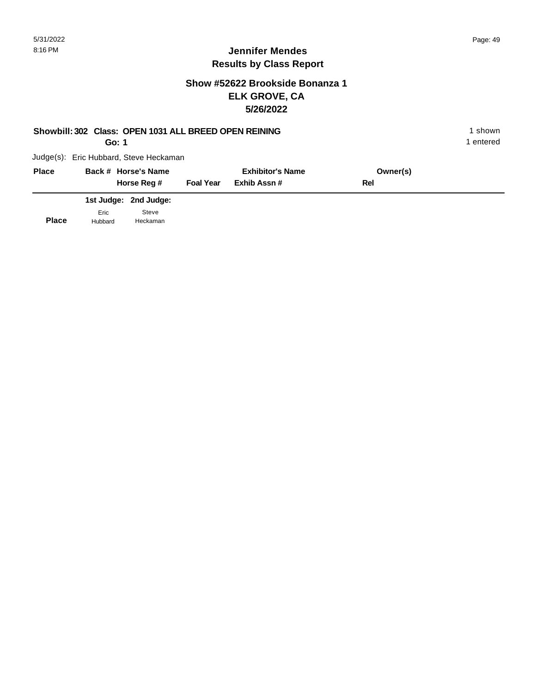#### **Jennifer Mendes Results by Class Report**

# **Show #52622 Brookside Bonanza 1 ELK GROVE, CA 5/26/2022**

#### **Showbill: 302 Class: OPEN 1031 ALL BREED OPEN REINING** 1 shown

**Go: 1**

Judge(s): Eric Hubbard, Steve Heckaman

| <b>Place</b> | Back # Horse's Name<br>Horse Reg # | <b>Foal Year</b> | <b>Exhibitor's Name</b><br>Exhib Assn # | Owner(s)<br>Rel |  |
|--------------|------------------------------------|------------------|-----------------------------------------|-----------------|--|
|              | 1st Judge: 2nd Judge:              |                  |                                         |                 |  |
|              | Steve<br>Eric                      |                  |                                         |                 |  |

**Place** Hubbard Heckaman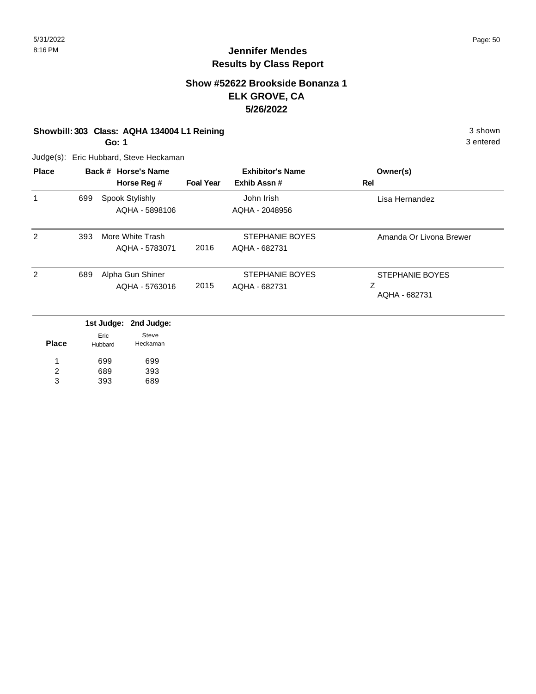# **Jennifer Mendes Results by Class Report**

## **Show #52622 Brookside Bonanza 1 ELK GROVE, CA 5/26/2022**

#### **Showbill: 303 Class: AQHA 134004 L1 Reining 3 shown 3 shown 3 shown**

**Go: 1**

| <b>Place</b> |     | Back # Horse's Name<br>Horse Reg # | <b>Foal Year</b> | <b>Exhibitor's Name</b><br>Exhib Assn# | Owner(s)<br>Rel                              |
|--------------|-----|------------------------------------|------------------|----------------------------------------|----------------------------------------------|
| 1            | 699 | Spook Stylishly<br>AQHA - 5898106  |                  | John Irish<br>AQHA - 2048956           | Lisa Hernandez                               |
| 2            | 393 | More White Trash<br>AQHA - 5783071 | 2016             | STEPHANIE BOYES<br>AQHA - 682731       | Amanda Or Livona Brewer                      |
| 2            | 689 | Alpha Gun Shiner<br>AQHA - 5763016 | 2015             | STEPHANIE BOYES<br>AQHA - 682731       | <b>STEPHANIE BOYES</b><br>Ζ<br>AQHA - 682731 |

|       |                 | 1st Judge: 2nd Judge: |
|-------|-----------------|-----------------------|
| Place | Eric<br>Hubbard | Steve<br>Heckaman     |
| 1     | 699             | 699                   |
| 2     | 689             | 393                   |
| з     | 393             | 689                   |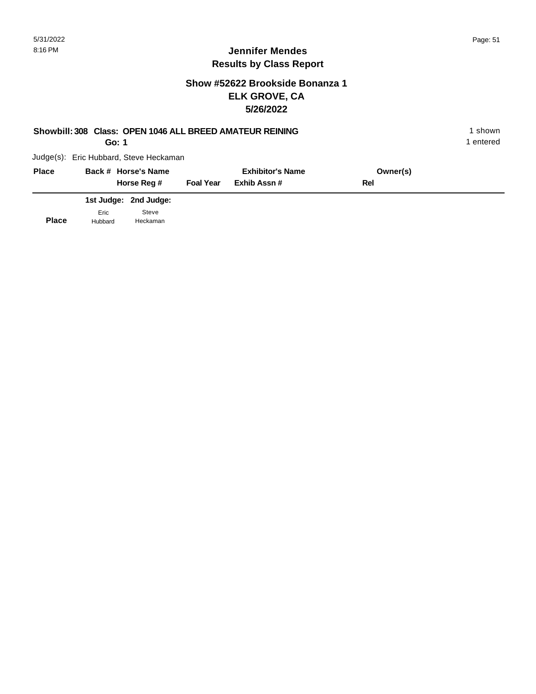## **Show #52622 Brookside Bonanza 1 ELK GROVE, CA 5/26/2022**

# **Showbill: 308 Class: OPEN 1046 ALL BREED AMATEUR REINING** 1 shown

**Go: 1**

1 entered

| <b>Place</b> |                 | Back # Horse's Name<br>Horse Reg # | <b>Foal Year</b> | <b>Exhibitor's Name</b><br>Exhib Assn # | Owner(s)<br>Rel |  |
|--------------|-----------------|------------------------------------|------------------|-----------------------------------------|-----------------|--|
|              |                 | 1st Judge: 2nd Judge:              |                  |                                         |                 |  |
| <b>Place</b> | Eric<br>Hubbard | Steve<br>Heckaman                  |                  |                                         |                 |  |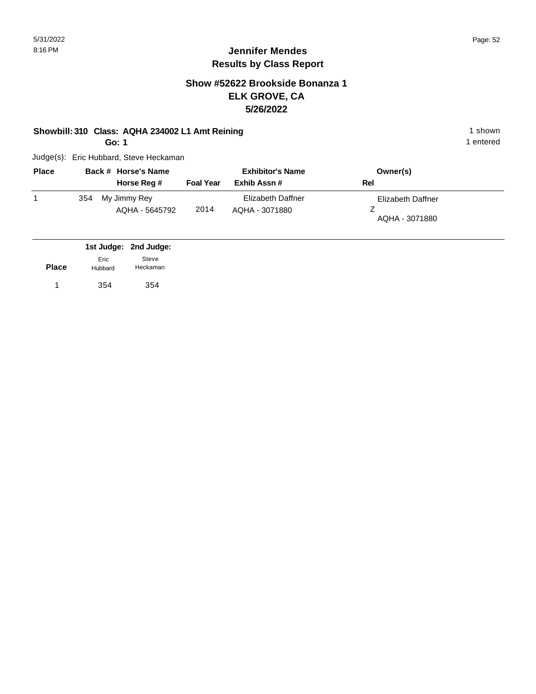# **Jennifer Mendes Results by Class Report**

## **Show #52622 Brookside Bonanza 1 ELK GROVE, CA 5/26/2022**

#### **Showbill: 310 Class: AQHA 234002 L1 Amt Reining 1 shown 1 shown**

**Go: 1**

| <b>Place</b> |     | Back # Horse's Name            |                  | <b>Exhibitor's Name</b>             | Owner(s)                            |
|--------------|-----|--------------------------------|------------------|-------------------------------------|-------------------------------------|
|              |     | Horse Reg #                    | <b>Foal Year</b> | Exhib Assn#                         | Rel                                 |
|              | 354 | My Jimmy Rey<br>AQHA - 5645792 | 2014             | Elizabeth Daffner<br>AQHA - 3071880 | Elizabeth Daffner<br>AQHA - 3071880 |

|              |                 | 1st Judge: 2nd Judge: |
|--------------|-----------------|-----------------------|
| <b>Place</b> | Eric<br>Hubbard | Steve<br>Heckaman     |
|              | 354             | 354                   |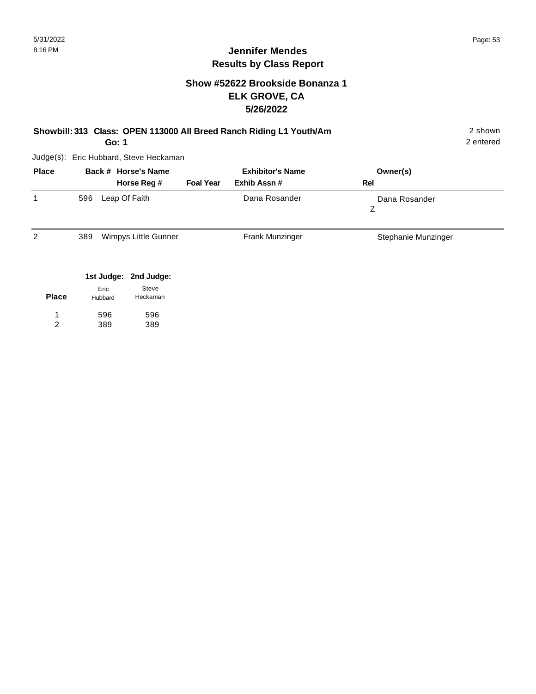## **Show #52622 Brookside Bonanza 1 ELK GROVE, CA 5/26/2022**

| Showbill: 313 Class: OPEN 113000 All Breed Ranch Riding L1 Youth/Am | 2 shown   |
|---------------------------------------------------------------------|-----------|
| Go: 1                                                               | 2 entered |

Judge(s): Eric Hubbard, Steve Heckaman

596 389

1 2 596 389

| <b>Place</b> |     |                 | Back # Horse's Name                        |                  | <b>Exhibitor's Name</b> | Owner(s)            |
|--------------|-----|-----------------|--------------------------------------------|------------------|-------------------------|---------------------|
|              |     |                 | Horse Reg #                                | <b>Foal Year</b> | Exhib Assn#             | Rel                 |
|              | 596 |                 | Leap Of Faith                              |                  | Dana Rosander           | Dana Rosander<br>Z  |
| 2            | 389 |                 | Wimpys Little Gunner                       |                  | Frank Munzinger         | Stephanie Munzinger |
| <b>Place</b> |     | Eric<br>Hubbard | 1st Judge: 2nd Judge:<br>Steve<br>Heckaman |                  |                         |                     |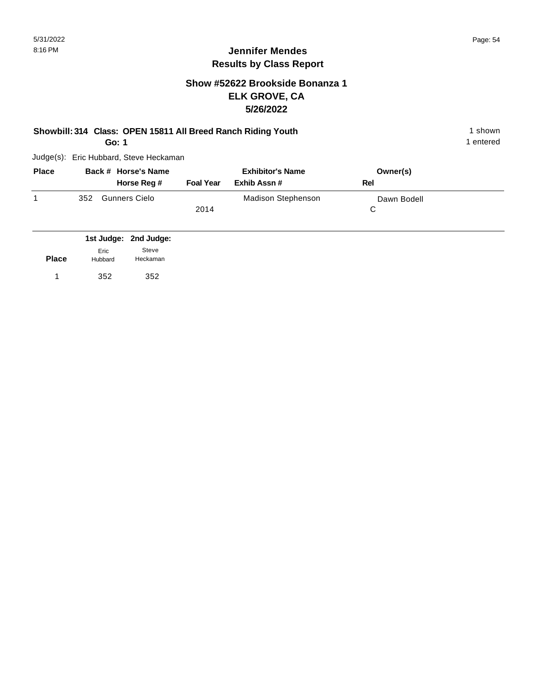## **Show #52622 Brookside Bonanza 1 ELK GROVE, CA 5/26/2022**

## **Showbill: 314 Class: OPEN 15811 All Breed Ranch Riding Youth** 1 shown 1 shown

**Go: 1**

Judge(s): Eric Hubbard, Steve Heckaman

| <b>Place</b> | Back # Horse's Name<br>Horse Reg # | <b>Foal Year</b> | <b>Exhibitor's Name</b><br>Exhib Assn # | Owner(s)<br>Rel |  |
|--------------|------------------------------------|------------------|-----------------------------------------|-----------------|--|
|              | <b>Gunners Cielo</b><br>352        | 2014             | <b>Madison Stephenson</b>               | Dawn Bodell     |  |

|              |                 | 1st Judge: 2nd Judge: |
|--------------|-----------------|-----------------------|
| <b>Place</b> | Eric<br>Hubbard | Steve<br>Heckaman     |
|              | 352             | 352                   |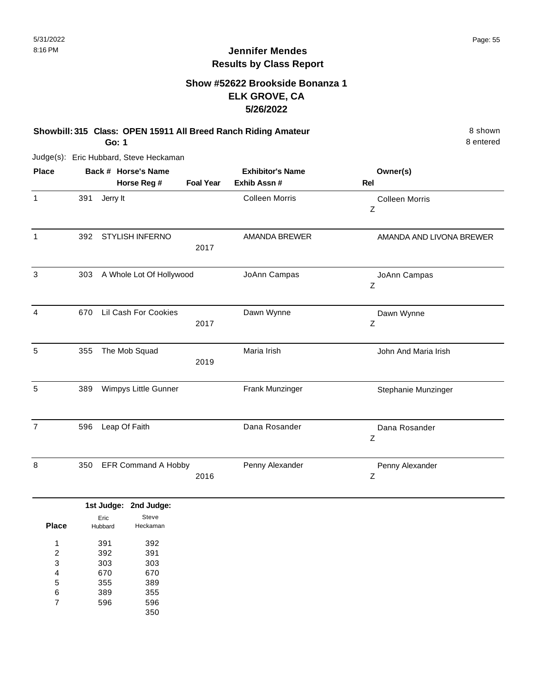#### **Show #52622 Brookside Bonanza 1 ELK GROVE, CA 5/26/2022**

**Showbill: 315 Class: OPEN 15911 All Breed Ranch Riding Amateur** 8 shown **Go: 1**

Judge(s): Eric Hubbard, Steve Heckaman

| Back # Horse's Name<br><b>Foal Year</b> | <b>Exhibitor's Name</b><br>Exhib Assn #                                                                                                                   | Owner(s)<br>Rel            |
|-----------------------------------------|-----------------------------------------------------------------------------------------------------------------------------------------------------------|----------------------------|
|                                         | <b>Colleen Morris</b>                                                                                                                                     | <b>Colleen Morris</b><br>Z |
| 2017                                    | <b>AMANDA BREWER</b>                                                                                                                                      | AMANDA AND LIVONA BREWER   |
|                                         | JoAnn Campas                                                                                                                                              | JoAnn Campas<br>Z          |
| 2017                                    | Dawn Wynne                                                                                                                                                | Dawn Wynne<br>Z            |
| 2019                                    | Maria Irish                                                                                                                                               | John And Maria Irish       |
|                                         | Frank Munzinger                                                                                                                                           | Stephanie Munzinger        |
|                                         | Dana Rosander                                                                                                                                             | Dana Rosander<br>Ζ         |
| 2016                                    | Penny Alexander                                                                                                                                           | Penny Alexander<br>Ζ       |
|                                         |                                                                                                                                                           |                            |
|                                         |                                                                                                                                                           |                            |
|                                         | <b>STYLISH INFERNO</b><br>A Whole Lot Of Hollywood<br>Lil Cash For Cookies<br>Wimpys Little Gunner<br><b>EFR Command A Hobby</b><br>1st Judge: 2nd Judge: |                            |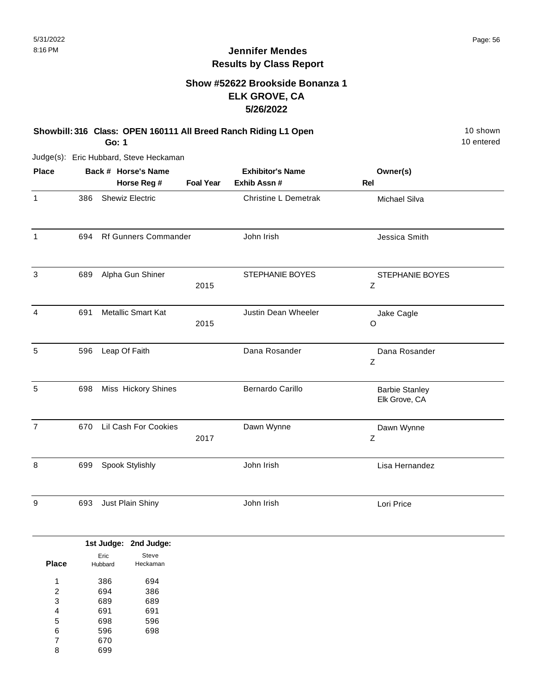# **Show #52622 Brookside Bonanza 1 ELK GROVE, CA 5/26/2022**

#### **Showbill: 316 Class: OPEN 160111 All Breed Ranch Riding L1 Open** 10 Shown 10 shown **Go: 1**

Judge(s): Eric Hubbard, Steve Heckaman

| <b>Place</b>   |     | Back # Horse's Name       |                  | <b>Exhibitor's Name</b>     | Owner(s)                               |  |
|----------------|-----|---------------------------|------------------|-----------------------------|----------------------------------------|--|
|                |     | Horse Reg #               | <b>Foal Year</b> | Exhib Assn #                | Rel                                    |  |
| $\mathbf{1}$   | 386 | <b>Shewiz Electric</b>    |                  | <b>Christine L Demetrak</b> | Michael Silva                          |  |
| 1              | 694 | Rf Gunners Commander      |                  | John Irish                  | Jessica Smith                          |  |
| 3              | 689 | Alpha Gun Shiner          | 2015             | STEPHANIE BOYES             | STEPHANIE BOYES<br>Ζ                   |  |
| 4              | 691 | <b>Metallic Smart Kat</b> | 2015             | Justin Dean Wheeler         | Jake Cagle<br>$\circ$                  |  |
| 5              | 596 | Leap Of Faith             |                  | Dana Rosander               | Dana Rosander<br>Z                     |  |
| 5              | 698 | Miss Hickory Shines       |                  | <b>Bernardo Carillo</b>     | <b>Barbie Stanley</b><br>Elk Grove, CA |  |
| $\overline{7}$ | 670 | Lil Cash For Cookies      | 2017             | Dawn Wynne                  | Dawn Wynne<br>Ζ                        |  |
| 8              | 699 | Spook Stylishly           |                  | John Irish                  | Lisa Hernandez                         |  |
| 9              | 693 | Just Plain Shiny          |                  | John Irish                  | Lori Price                             |  |

|              |         | 1st Judge: 2nd Judge: |
|--------------|---------|-----------------------|
|              | Eric    | Steve                 |
| <b>Place</b> | Hubbard | Heckaman              |
| 4            | 386     | 694                   |
| 2            | 694     | 386                   |
| 3            | 689     | 689                   |
| 4            | 691     | 691                   |
| 5            | 698     | 596                   |
| 6            | 596     | 698                   |
| 7            | 670     |                       |
| 8            | 699     |                       |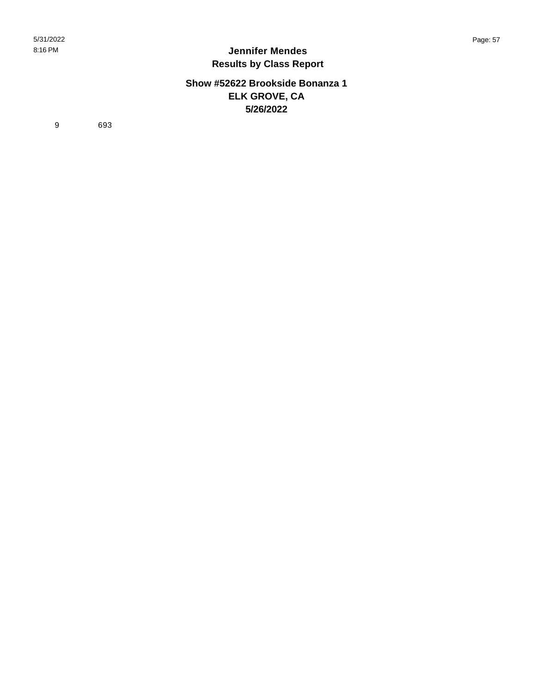#### **Show #52622 Brookside Bonanza 1 ELK GROVE, CA 5/26/2022**

9 693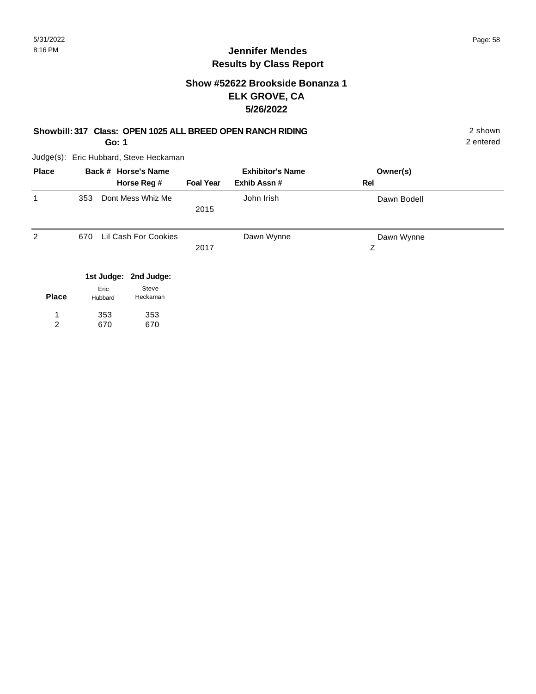## **Show #52622 Brookside Bonanza 1 ELK GROVE, CA 5/26/2022**

## **Showbill: 317 Class: OPEN 1025 ALL BREED OPEN RANCH RIDING** 2 shown

**Go: 1**

Judge(s): Eric Hubbard, Steve Heckaman

| <b>Place</b> | Back # Horse's Name<br>Horse Reg #                            | <b>Foal Year</b> | <b>Exhibitor's Name</b><br>Exhib Assn# | Owner(s)<br>Rel |  |
|--------------|---------------------------------------------------------------|------------------|----------------------------------------|-----------------|--|
| 1            | Dont Mess Whiz Me<br>353                                      | 2015             | John Irish                             | Dawn Bodell     |  |
| 2            | Lil Cash For Cookies<br>670                                   | 2017             | Dawn Wynne                             | Dawn Wynne<br>Ζ |  |
| <b>Place</b> | 1st Judge: 2nd Judge:<br>Steve<br>Eric<br>Heckaman<br>Hubbard |                  |                                        |                 |  |

| י ומטכ | nupparu | 1 IGUNGI I IGI I |
|--------|---------|------------------|
|        | 353     | 353              |
| 2      | 670     | 670              |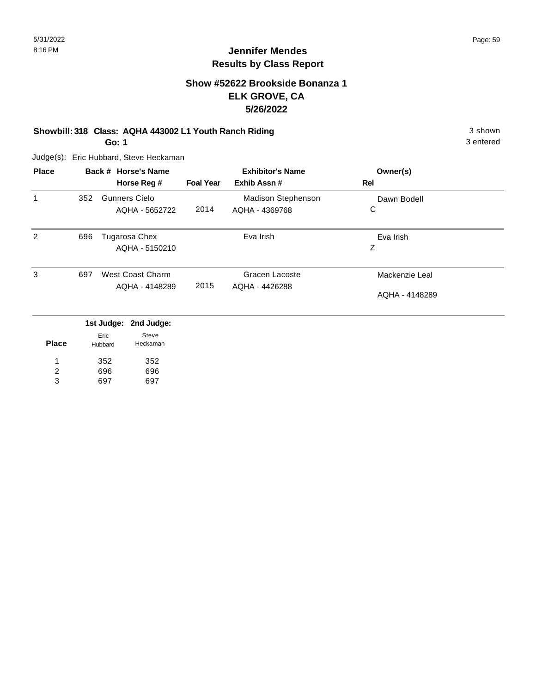## **Show #52622 Brookside Bonanza 1 ELK GROVE, CA 5/26/2022**

#### **Showbill: 318 Class: AQHA 443002 L1 Youth Ranch Riding** 3 shown

**Go: 1**

Judge(s): Eric Hubbard, Steve Heckaman

| <b>Place</b> |     | Back # Horse's Name   | <b>Foal Year</b> | <b>Exhibitor's Name</b><br>Exhib Assn# | Owner(s)<br>Rel |
|--------------|-----|-----------------------|------------------|----------------------------------------|-----------------|
|              |     | Horse Reg #           |                  |                                        |                 |
| $\mathbf 1$  | 352 | <b>Gunners Cielo</b>  |                  | <b>Madison Stephenson</b>              | Dawn Bodell     |
|              |     | AQHA - 5652722        | 2014             | AQHA - 4369768                         | С               |
| 2            | 696 | Tugarosa Chex         |                  | Eva Irish                              | Eva Irish       |
|              |     | AQHA - 5150210        |                  |                                        | Z               |
| 3            | 697 | West Coast Charm      |                  | Gracen Lacoste                         | Mackenzie Leal  |
|              |     | AQHA - 4148289        | 2015             | AQHA - 4426288                         |                 |
|              |     |                       |                  |                                        | AQHA - 4148289  |
|              |     | 104 ludger and ludger |                  |                                        |                 |

|              |                 | 1st Judge: 2nd Judge: |
|--------------|-----------------|-----------------------|
| <b>Place</b> | Eric<br>Hubbard | Steve<br>Heckaman     |
| 1            | 352             | 352                   |
| 2            | 696             | 696                   |
| 3            | 697             | 697                   |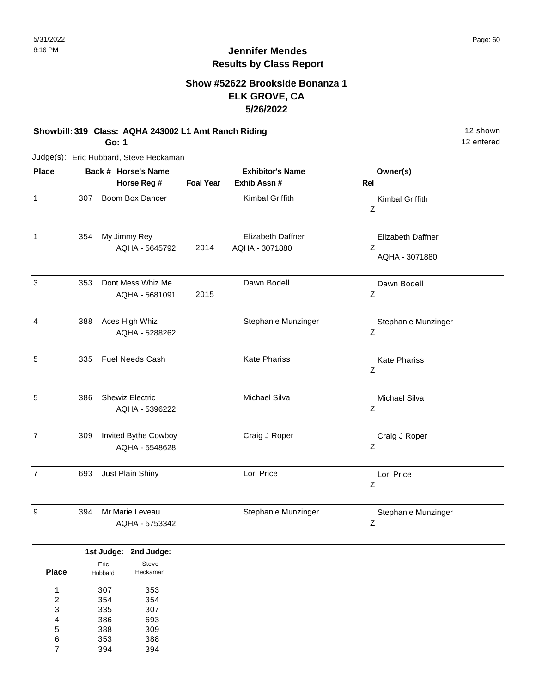# **Jennifer Mendes Results by Class Report**

## **Show #52622 Brookside Bonanza 1 ELK GROVE, CA 5/26/2022**

#### **Showbill: 319 Class: AQHA 243002 L1 Amt Ranch Riding** 12 Shown 12 shown

**Go: 1**

| <b>Place</b>   |     | Back # Horse's Name<br>Horse Reg #       | <b>Foal Year</b> | <b>Exhibitor's Name</b><br>Exhib Assn # | Owner(s)<br>Rel                          |
|----------------|-----|------------------------------------------|------------------|-----------------------------------------|------------------------------------------|
| $\mathbf{1}$   | 307 | Boom Box Dancer                          |                  | Kimbal Griffith                         | Kimbal Griffith<br>Z                     |
| 1              | 354 | My Jimmy Rey<br>AQHA - 5645792           | 2014             | Elizabeth Daffner<br>AQHA - 3071880     | Elizabeth Daffner<br>Z<br>AQHA - 3071880 |
| 3              | 353 | Dont Mess Whiz Me<br>AQHA - 5681091      | 2015             | Dawn Bodell                             | Dawn Bodell<br>Ζ                         |
| 4              | 388 | Aces High Whiz<br>AQHA - 5288262         |                  | Stephanie Munzinger                     | Stephanie Munzinger<br>$\mathsf Z$       |
| 5              | 335 | <b>Fuel Needs Cash</b>                   |                  | <b>Kate Phariss</b>                     | <b>Kate Phariss</b><br>$\mathsf Z$       |
| 5              | 386 | <b>Shewiz Electric</b><br>AQHA - 5396222 |                  | Michael Silva                           | Michael Silva<br>Z                       |
| $\overline{7}$ | 309 | Invited Bythe Cowboy<br>AQHA - 5548628   |                  | Craig J Roper                           | Craig J Roper<br>Z                       |
| $\overline{7}$ | 693 | Just Plain Shiny                         |                  | Lori Price                              | Lori Price<br>Z                          |
| 9              | 394 | Mr Marie Leveau<br>AQHA - 5753342        |                  | Stephanie Munzinger                     | Stephanie Munzinger<br>Z                 |

|       |                 | 1st Judge: 2nd Judge: |
|-------|-----------------|-----------------------|
| Place | Eric<br>Hubbard | Steve<br>Heckaman     |
| 1     | 307             | 353                   |
| 2     | 354             | 354                   |
| 3     | 335             | 307                   |
| 4     | 386             | 693                   |
| 5     | 388             | 309                   |
| 6     | 353             | 388                   |
|       | 394             | 394                   |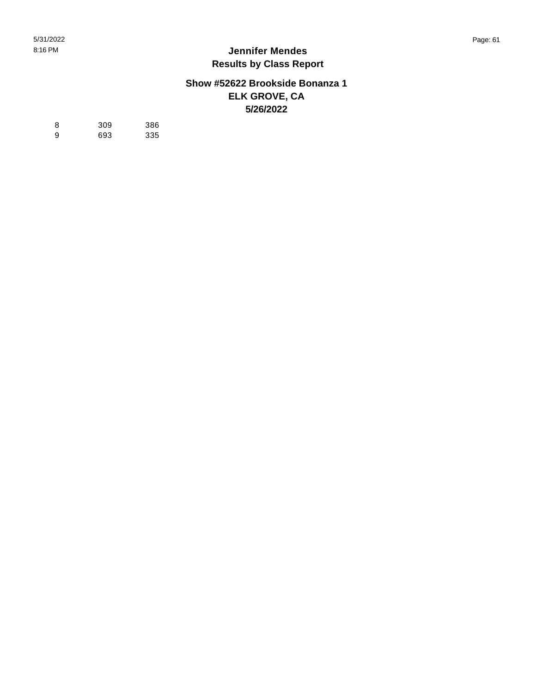#### **Show #52622 Brookside Bonanza 1 ELK GROVE, CA 5/26/2022**

| -8 | 309 | 386 |
|----|-----|-----|
| 9  | 693 | 335 |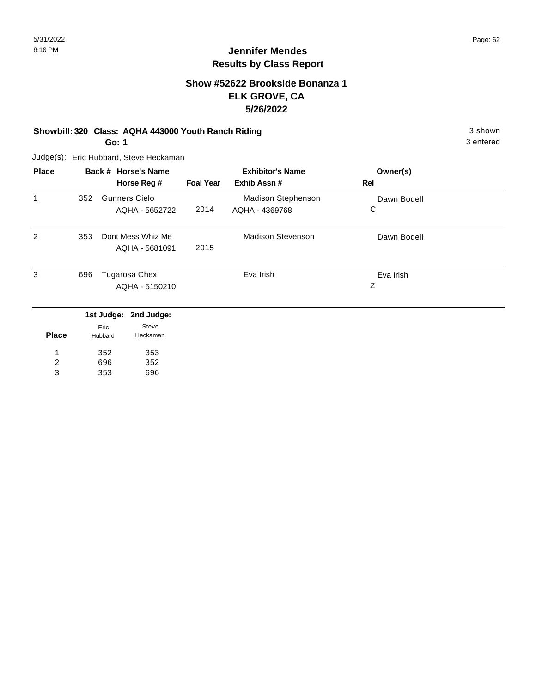# **Jennifer Mendes Results by Class Report**

## **Show #52622 Brookside Bonanza 1 ELK GROVE, CA 5/26/2022**

#### **Showbill: 320 Class: AQHA 443000 Youth Ranch Riding 3 Shown 3 shown 3 shown**

**Go: 1**

Judge(s): Eric Hubbard, Steve Heckaman

352 696 353

1 2 3

353 352 696

| <b>Place</b> | Back # Horse's Name |                                        |                  | <b>Exhibitor's Name</b>                     | Owner(s)         |  |
|--------------|---------------------|----------------------------------------|------------------|---------------------------------------------|------------------|--|
|              |                     | Horse Reg #                            | <b>Foal Year</b> | Exhib Assn#                                 | <b>Rel</b>       |  |
| 1            | 352                 | <b>Gunners Cielo</b><br>AQHA - 5652722 | 2014             | <b>Madison Stephenson</b><br>AQHA - 4369768 | Dawn Bodell<br>C |  |
|              |                     |                                        |                  |                                             |                  |  |
| 2            | 353                 | Dont Mess Whiz Me                      |                  | <b>Madison Stevenson</b>                    | Dawn Bodell      |  |
|              |                     | AQHA - 5681091                         | 2015             |                                             |                  |  |
| 3            | 696                 | Tugarosa Chex                          |                  | Eva Irish                                   | Eva Irish        |  |
|              |                     | AQHA - 5150210                         |                  |                                             | Ζ                |  |
|              |                     | 1st Judge: 2nd Judge:                  |                  |                                             |                  |  |
| <b>Place</b> |                     | Steve<br>Eric<br>Heckaman<br>Hubbard   |                  |                                             |                  |  |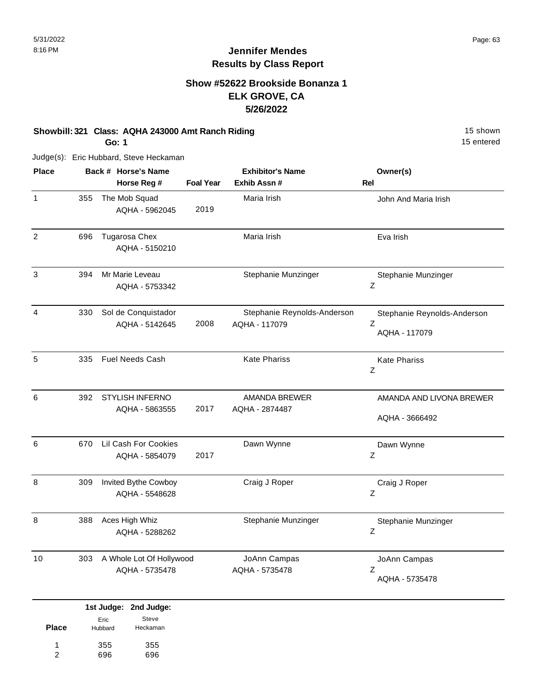## **Show #52622 Brookside Bonanza 1 ELK GROVE, CA 5/26/2022**

#### **Showbill: 321 Class: AQHA 243000 Amt Ranch Riding 15 Shown 15 shown**

**Go: 1**

Judge(s): Eric Hubbard, Steve Heckaman

| <b>Place</b>   |     | Back # Horse's Name<br>Horse Reg #         | <b>Foal Year</b> | <b>Exhibitor's Name</b><br>Exhib Assn #      | Owner(s)<br>Rel                                   |
|----------------|-----|--------------------------------------------|------------------|----------------------------------------------|---------------------------------------------------|
| $\mathbf{1}$   | 355 | The Mob Squad<br>AQHA - 5962045            | 2019             | Maria Irish                                  | John And Maria Irish                              |
| 2              | 696 | Tugarosa Chex<br>AQHA - 5150210            |                  | Maria Irish                                  | Eva Irish                                         |
| 3              | 394 | Mr Marie Leveau<br>AQHA - 5753342          |                  | Stephanie Munzinger                          | Stephanie Munzinger<br>Z                          |
| $\overline{4}$ | 330 | Sol de Conquistador<br>AQHA - 5142645      | 2008             | Stephanie Reynolds-Anderson<br>AQHA - 117079 | Stephanie Reynolds-Anderson<br>Z<br>AQHA - 117079 |
| 5              | 335 | <b>Fuel Needs Cash</b>                     |                  | <b>Kate Phariss</b>                          | <b>Kate Phariss</b><br>Ζ                          |
| 6              | 392 | STYLISH INFERNO<br>AQHA - 5863555          | 2017             | <b>AMANDA BREWER</b><br>AQHA - 2874487       | AMANDA AND LIVONA BREWER<br>AQHA - 3666492        |
| 6              | 670 | Lil Cash For Cookies<br>AQHA - 5854079     | 2017             | Dawn Wynne                                   | Dawn Wynne<br>Z                                   |
| 8              | 309 | Invited Bythe Cowboy<br>AQHA - 5548628     |                  | Craig J Roper                                | Craig J Roper<br>Ζ                                |
| 8              | 388 | Aces High Whiz<br>AQHA - 5288262           |                  | Stephanie Munzinger                          | Stephanie Munzinger<br>Ζ                          |
| 10             | 303 | A Whole Lot Of Hollywood<br>AQHA - 5735478 |                  | JoAnn Campas<br>AQHA - 5735478               | JoAnn Campas<br>Ζ<br>AQHA - 5735478               |
|                |     | 1st Judge: 2nd Judge:                      |                  |                                              |                                                   |

|       |         | ist Judge. Zhu Judge. |
|-------|---------|-----------------------|
| Place | Eric    | Steve<br>Heckaman     |
|       | Hubbard |                       |
| 1     | 355     | 355                   |
| 2     | 696     | 696                   |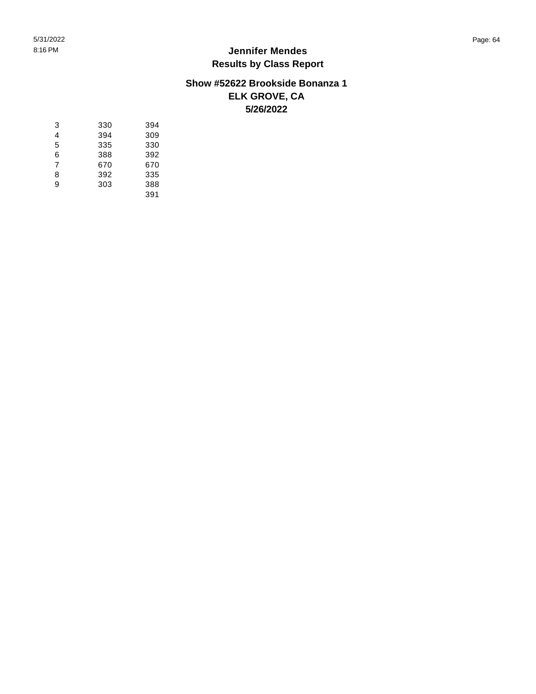#### **Show #52622 Brookside Bonanza 1 ELK GROVE, CA 5/26/2022**

| 3 | 330 | 394 |
|---|-----|-----|
| 4 | 394 | 309 |
| 5 | 335 | 330 |
| 6 | 388 | 392 |
| 7 | 670 | 670 |
| 8 | 392 | 335 |
| 9 | 303 | 388 |
|   |     | 391 |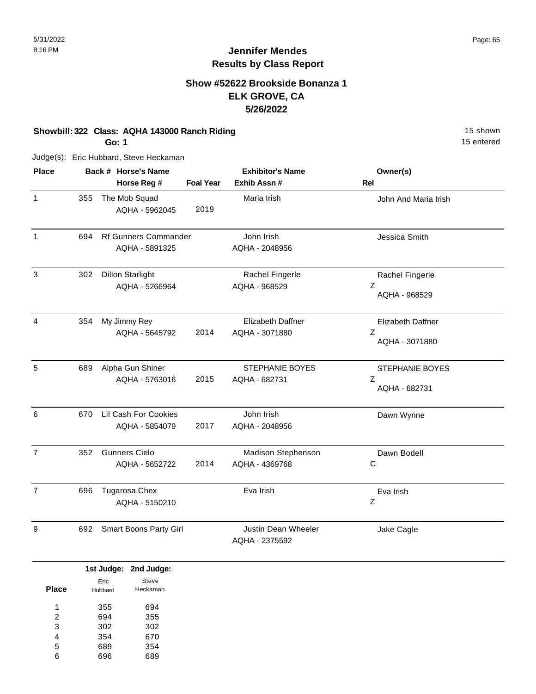## **Show #52622 Brookside Bonanza 1 ELK GROVE, CA 5/26/2022**

#### **Showbill: 322 Class: AQHA 143000 Ranch Riding** 15 Shown 15 shown

**Go: 1**

Judge(s): Eric Hubbard, Steve Heckaman

| <b>Place</b>   |     | Back # Horse's Name<br>Horse Reg #            | <b>Foal Year</b> | <b>Exhibitor's Name</b><br>Exhib Assn # | Owner(s)<br>Rel                                 |
|----------------|-----|-----------------------------------------------|------------------|-----------------------------------------|-------------------------------------------------|
| $\mathbf{1}$   | 355 | The Mob Squad<br>AQHA - 5962045               | 2019             | Maria Irish                             | John And Maria Irish                            |
| $\mathbf{1}$   | 694 | <b>Rf Gunners Commander</b><br>AQHA - 5891325 |                  | John Irish<br>AQHA - 2048956            | Jessica Smith                                   |
| 3              | 302 | <b>Dillon Starlight</b><br>AQHA - 5266964     |                  | Rachel Fingerle<br>AQHA - 968529        | Rachel Fingerle<br>Ζ<br>AQHA - 968529           |
| 4              | 354 | My Jimmy Rey<br>AQHA - 5645792                | 2014             | Elizabeth Daffner<br>AQHA - 3071880     | <b>Elizabeth Daffner</b><br>Ζ<br>AQHA - 3071880 |
| 5              | 689 | Alpha Gun Shiner<br>AQHA - 5763016            | 2015             | STEPHANIE BOYES<br>AQHA - 682731        | STEPHANIE BOYES<br>Z<br>AQHA - 682731           |
| 6              | 670 | Lil Cash For Cookies<br>AQHA - 5854079        | 2017             | John Irish<br>AQHA - 2048956            | Dawn Wynne                                      |
| $\overline{7}$ | 352 | <b>Gunners Cielo</b><br>AQHA - 5652722        | 2014             | Madison Stephenson<br>AQHA - 4369768    | Dawn Bodell<br>С                                |
| $\overline{7}$ | 696 | Tugarosa Chex<br>AQHA - 5150210               |                  | Eva Irish                               | Eva Irish<br>Ζ                                  |
| 9              | 692 | Smart Boons Party Girl                        |                  | Justin Dean Wheeler<br>AQHA - 2375592   | Jake Cagle                                      |

|       |         | 1st Judge: 2nd Judge: |  |
|-------|---------|-----------------------|--|
|       | Eric    | Steve                 |  |
| Place | Hubbard | Heckaman              |  |
| 1     | 355     | 694                   |  |
|       |         |                       |  |
| 2     | 694     | 355                   |  |
| 3     | 302     | 302                   |  |
| 4     | 354     | 670                   |  |
| 5     | 689     | 354                   |  |
| 6     | 696     | 689                   |  |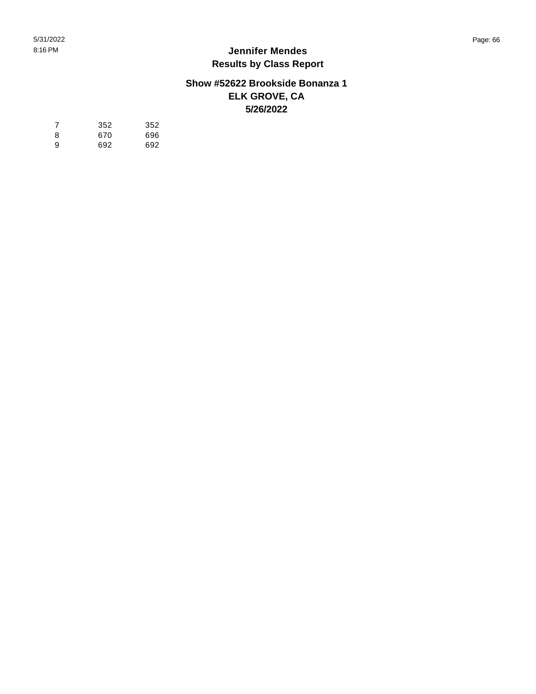#### **Show #52622 Brookside Bonanza 1 ELK GROVE, CA 5/26/2022**

| -7 | 352 | 352 |
|----|-----|-----|
| 8  | 670 | 696 |
| 9  | 692 | 692 |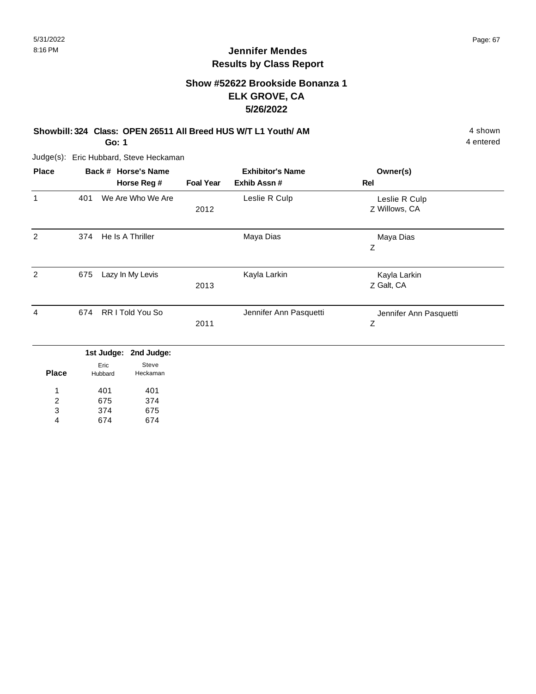## **Show #52622 Brookside Bonanza 1 ELK GROVE, CA 5/26/2022**

# **Showbill: 324 Class: OPEN 26511 All Breed HUS W/T L1 Youth/ AM** 4 shown 4 shown

**Go: 1**

Judge(s): Eric Hubbard, Steve Heckaman

| <b>Place</b> |     | Back # Horse's Name   |                  | <b>Exhibitor's Name</b> | Owner(s)               |
|--------------|-----|-----------------------|------------------|-------------------------|------------------------|
|              |     | Horse Reg #           | <b>Foal Year</b> | Exhib Assn#             | Rel                    |
| 1            | 401 | We Are Who We Are     |                  | Leslie R Culp           | Leslie R Culp          |
|              |     |                       | 2012             |                         | Z Willows, CA          |
| 2            | 374 | He Is A Thriller      |                  | Maya Dias               | Maya Dias              |
|              |     |                       |                  |                         | Ζ                      |
| 2            | 675 | Lazy In My Levis      |                  | Kayla Larkin            | Kayla Larkin           |
|              |     |                       | 2013             |                         | Z Galt, CA             |
| 4            | 674 | RR I Told You So      |                  | Jennifer Ann Pasquetti  | Jennifer Ann Pasquetti |
|              |     |                       | 2011             |                         | Z                      |
|              |     | 1st Judge: 2nd Judge: |                  |                         |                        |

| Place | Eric<br>Hubbard | Steve<br>Heckaman |
|-------|-----------------|-------------------|
| 1     | 401             | 401               |
| 2     | 675             | 374               |
| 3     | 374             | 675               |
|       | 674             | 674               |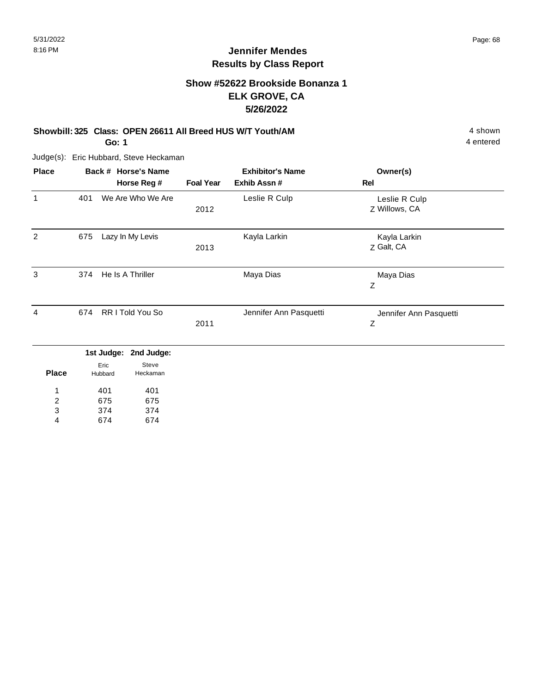# **Show #52622 Brookside Bonanza 1 ELK GROVE, CA 5/26/2022**

# **Showbill: 325 Class: OPEN 26611 All Breed HUS W/T Youth/AM** 4 shown 4 shown

**Go: 1**

Judge(s): Eric Hubbard, Steve Heckaman

| <b>Place</b> |     | Back # Horse's Name<br>Horse Reg # | <b>Foal Year</b> | <b>Exhibitor's Name</b><br>Exhib Assn# | Owner(s)<br>Rel                |  |
|--------------|-----|------------------------------------|------------------|----------------------------------------|--------------------------------|--|
| 1            | 401 | We Are Who We Are                  | 2012             | Leslie R Culp                          | Leslie R Culp<br>Z Willows, CA |  |
| 2            | 675 | Lazy In My Levis                   | 2013             | Kayla Larkin                           | Kayla Larkin<br>Z Galt, CA     |  |
| 3            | 374 | He Is A Thriller                   |                  | Maya Dias                              | Maya Dias<br>Ζ                 |  |
| 4            | 674 | <b>RRITold You So</b>              | 2011             | Jennifer Ann Pasquetti                 | Jennifer Ann Pasquetti<br>Ζ    |  |
|              |     | 1st Judge: 2nd Judge:              |                  |                                        |                                |  |

| <b>Place</b> | Eric<br>Hubbard | Steve<br>Heckaman |
|--------------|-----------------|-------------------|
| 1            | 401             | 401               |
| 2            | 675             | 675               |
| 3            | 374             | 374               |
|              | 674             | 674               |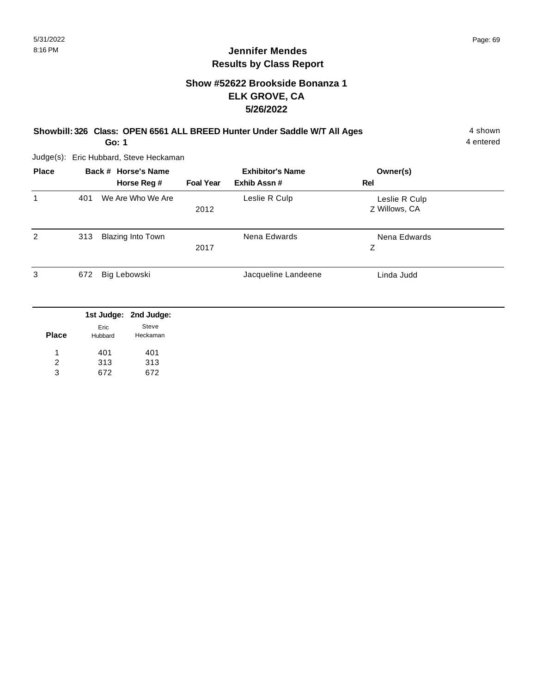# **Show #52622 Brookside Bonanza 1 ELK GROVE, CA 5/26/2022**

#### **Showbill: 326 Class: OPEN 6561 ALL BREED Hunter Under Saddle W/T All Ages** 4 shown **Go: 1**

4 entered

| <b>Place</b> |     | Back # Horse's Name<br>Horse Reg # | <b>Foal Year</b> | <b>Exhibitor's Name</b><br>Exhib Assn# | Owner(s)<br>Rel                |  |
|--------------|-----|------------------------------------|------------------|----------------------------------------|--------------------------------|--|
| 1            | 401 | We Are Who We Are                  | 2012             | Leslie R Culp                          | Leslie R Culp<br>Z Willows, CA |  |
| 2            | 313 | Blazing Into Town                  | 2017             | Nena Edwards                           | Nena Edwards<br>Z              |  |
| 3            | 672 | Big Lebowski                       |                  | Jacqueline Landeene                    | Linda Judd                     |  |

|              |                 | 1st Judge: 2nd Judge: |
|--------------|-----------------|-----------------------|
| <b>Place</b> | Eric<br>Hubbard | Steve<br>Heckaman     |
| 1            | 401             | 401                   |
| 2            | 313             | 313                   |
| 3            | 672             | 672                   |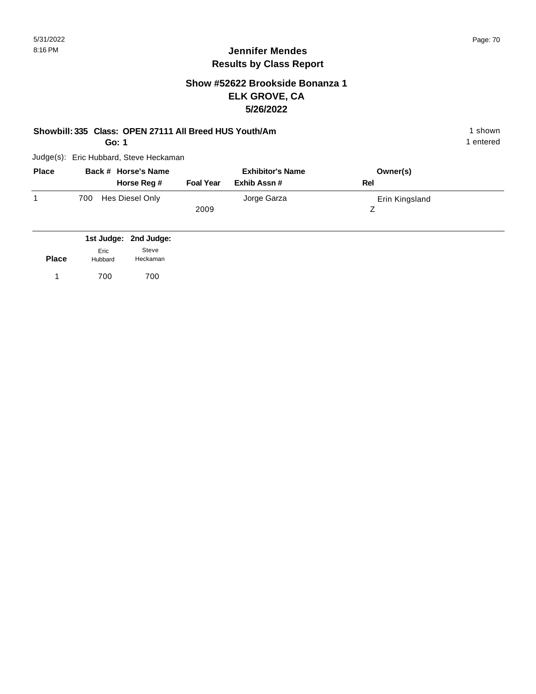# **Jennifer Mendes Results by Class Report**

## **Show #52622 Brookside Bonanza 1 ELK GROVE, CA 5/26/2022**

#### **Showbill: 335 Class: OPEN 27111 All Breed HUS Youth/Am** 1 shown 1 shown

**Go: 1**

| <b>Place</b> |     | Back # Horse's Name<br>Horse Reg # | <b>Foal Year</b> | <b>Exhibitor's Name</b><br>Exhib Assn # | Rel | Owner(s)       |
|--------------|-----|------------------------------------|------------------|-----------------------------------------|-----|----------------|
|              | 700 | Hes Diesel Only                    | 2009             | Jorge Garza                             |     | Erin Kingsland |

|              |                 | 1st Judge: 2nd Judge: |
|--------------|-----------------|-----------------------|
| <b>Place</b> | Eric<br>Hubbard | Steve<br>Heckaman     |
| $\mathbf{1}$ | 700             | 700                   |
|              |                 |                       |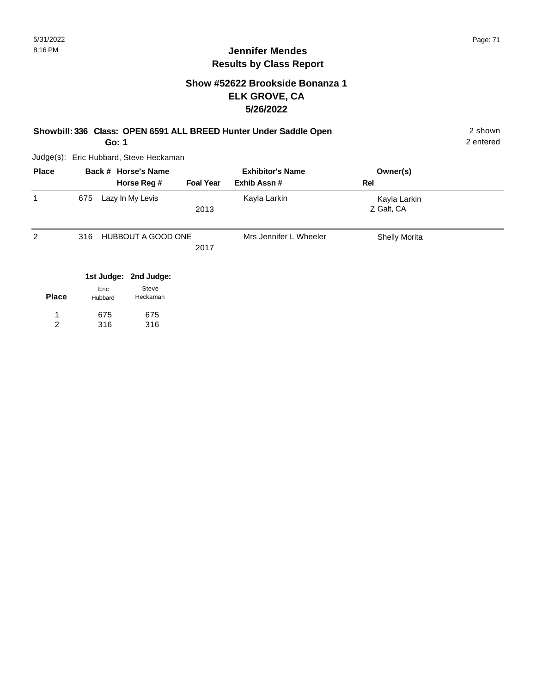#### **Show #52622 Brookside Bonanza 1 ELK GROVE, CA 5/26/2022**

**Showbill: 336 Class: OPEN 6591 ALL BREED Hunter Under Saddle Open** 2 shown 2 shown **Go: 1**

2 entered

| <b>Place</b> | Back # Horse's Name           |                            | <b>Exhibitor's Name</b> | Owner(s)                   |  |
|--------------|-------------------------------|----------------------------|-------------------------|----------------------------|--|
|              | Horse Reg #                   | <b>Foal Year</b>           | Exhib Assn#             | Rel                        |  |
| 1            | Lazy In My Levis<br>675       | 2013                       | Kayla Larkin            | Kayla Larkin<br>Z Galt, CA |  |
| 2            | 316                           | HUBBOUT A GOOD ONE<br>2017 | Mrs Jennifer L Wheeler  | <b>Shelly Morita</b>       |  |
|              | 1st Judge: 2nd Judge:<br>Eric | Steve                      |                         |                            |  |

| <b>Place</b> | Hubbard | Heckaman |
|--------------|---------|----------|
|              | 675     | 675      |
| 2            | 316     | 316      |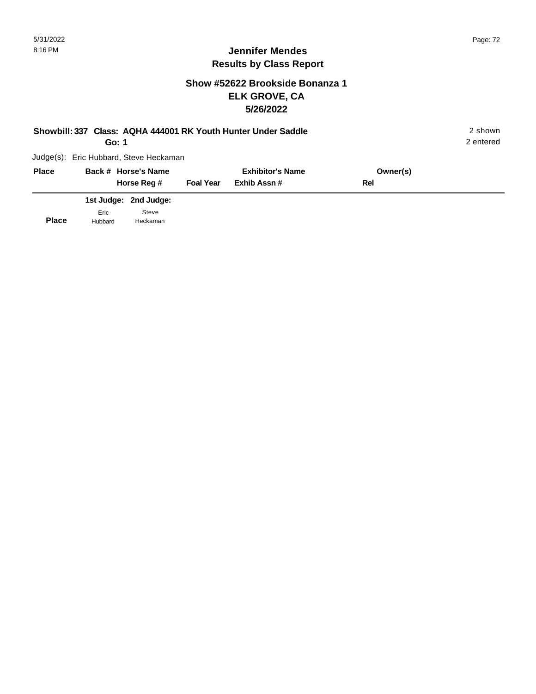## **Show #52622 Brookside Bonanza 1 ELK GROVE, CA 5/26/2022**

| Showbill: 337 Class: AQHA 444001 RK Youth Hunter Under Saddle | 2 shown<br>2 entered                   |                  |                         |          |  |
|---------------------------------------------------------------|----------------------------------------|------------------|-------------------------|----------|--|
|                                                               | Judge(s): Eric Hubbard, Steve Heckaman |                  |                         |          |  |
| <b>Place</b>                                                  | Back # Horse's Name                    |                  | <b>Exhibitor's Name</b> | Owner(s) |  |
|                                                               | Horse Reg #                            | <b>Foal Year</b> | Exhib Assn#             | Rel      |  |
|                                                               | 1st Judge: 2nd Judge:                  |                  |                         |          |  |

|              |         | <b>1St Judge:</b> Znd Judge: |
|--------------|---------|------------------------------|
|              | Fric    | Steve                        |
| <b>Place</b> | Hubbard | Heckaman                     |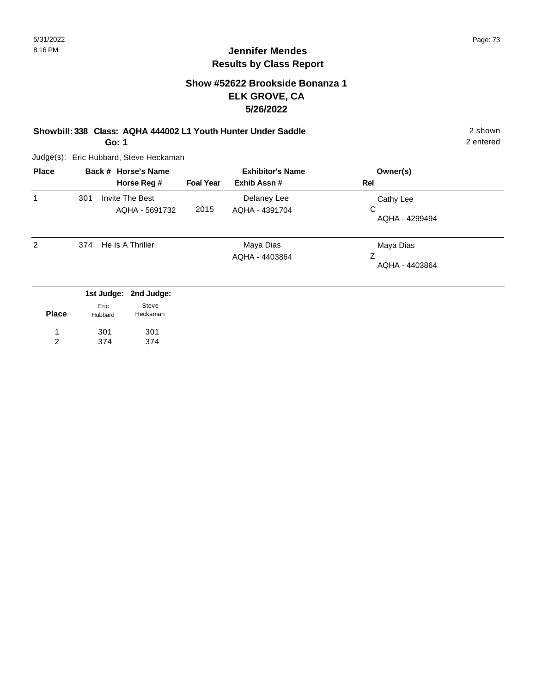## **Show #52622 Brookside Bonanza 1 ELK GROVE, CA 5/26/2022**

**Showbill: 338 Class: AQHA 444002 L1 Youth Hunter Under Saddle** 2 shown **Go: 1**

Judge(s): Eric Hubbard, Steve Heckaman

| <b>Place</b> |                 | Back # Horse's Name<br>Horse Reg #         | <b>Foal Year</b> | <b>Exhibitor's Name</b><br>Exhib Assn # | Owner(s)<br>Rel                  |  |
|--------------|-----------------|--------------------------------------------|------------------|-----------------------------------------|----------------------------------|--|
| 1            | 301             | Invite The Best<br>AQHA - 5691732          | 2015             | Delaney Lee<br>AQHA - 4391704           | Cathy Lee<br>C<br>AQHA - 4299494 |  |
| 2            | 374             | He Is A Thriller                           |                  | Maya Dias<br>AQHA - 4403864             | Maya Dias<br>Z<br>AQHA - 4403864 |  |
| <b>Place</b> | Eric<br>Hubbard | 1st Judge: 2nd Judge:<br>Steve<br>Heckaman |                  |                                         |                                  |  |

301 301 1

374

374 2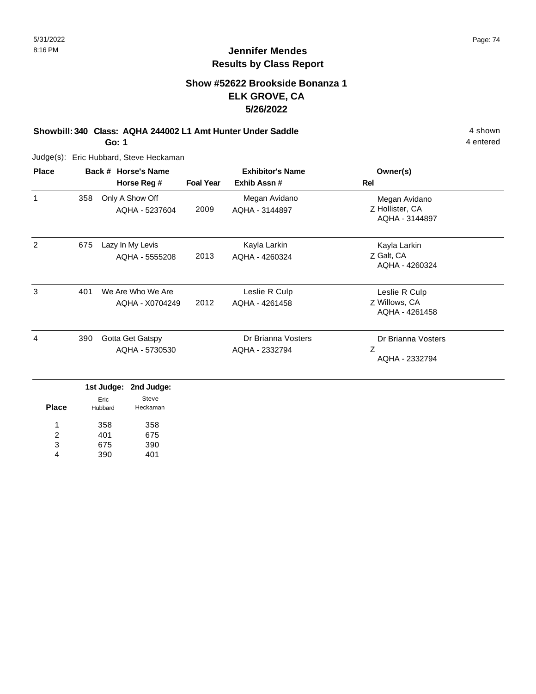## **Show #52622 Brookside Bonanza 1 ELK GROVE, CA 5/26/2022**

**Showbill: 340 Class: AQHA 244002 L1 Amt Hunter Under Saddle** 4 shown **Go: 1**

Judge(s): Eric Hubbard, Steve Heckaman

| <b>Place</b> |     | Back # Horse's Name                  | <b>Exhibitor's Name</b> |                                      | Owner(s)                                           |
|--------------|-----|--------------------------------------|-------------------------|--------------------------------------|----------------------------------------------------|
|              |     | Horse Reg #                          | <b>Foal Year</b>        | Exhib Assn#                          | Rel                                                |
| 1            | 358 | Only A Show Off<br>AQHA - 5237604    | 2009                    | Megan Avidano<br>AQHA - 3144897      | Megan Avidano<br>Z Hollister, CA<br>AQHA - 3144897 |
| 2            | 675 | Lazy In My Levis<br>AQHA - 5555208   | 2013                    | Kayla Larkin<br>AQHA - 4260324       | Kayla Larkin<br>Z Galt, CA<br>AQHA - 4260324       |
| 3            | 401 | We Are Who We Are<br>AQHA - X0704249 | 2012                    | Leslie R Culp<br>AQHA - 4261458      | Leslie R Culp<br>Z Willows, CA<br>AQHA - 4261458   |
| 4            | 390 | Gotta Get Gatspy<br>AQHA - 5730530   |                         | Dr Brianna Vosters<br>AQHA - 2332794 | Dr Brianna Vosters<br>Z<br>AQHA - 2332794          |

| <b>Place</b> | Eric<br>Hubbard | Steve<br>Heckaman |
|--------------|-----------------|-------------------|
| 1            | 358             | 358               |
| 2            | 401             | 675               |
| 3            | 675             | 390               |
|              | 390             | 401               |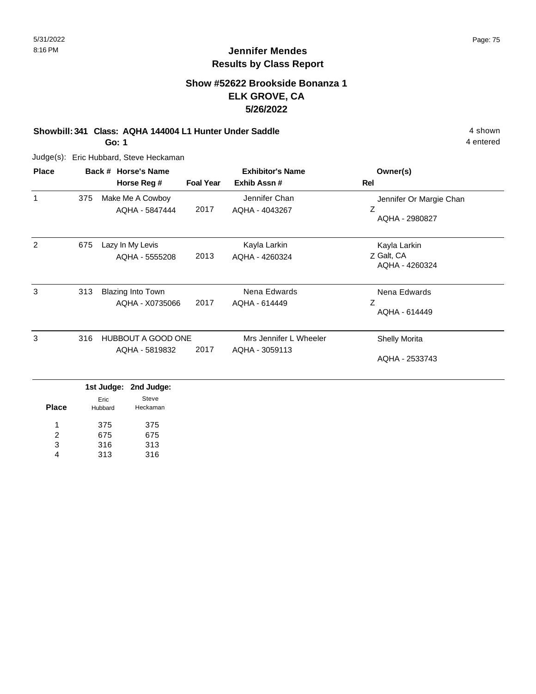## **Show #52622 Brookside Bonanza 1 ELK GROVE, CA 5/26/2022**

#### **Showbill: 341 Class: AQHA 144004 L1 Hunter Under Saddle** 4 shown **Go: 1**

Judge(s): Eric Hubbard, Steve Heckaman

| <b>Place</b> |     | Back # Horse's Name<br>Horse Reg #          | <b>Foal Year</b>                        | <b>Exhibitor's Name</b><br>Exhib Assn#         | Owner(s)<br>Rel                              |
|--------------|-----|---------------------------------------------|-----------------------------------------|------------------------------------------------|----------------------------------------------|
| 1            | 375 | Make Me A Cowboy<br>AQHA - 5847444          | Jennifer Chan<br>2017<br>AQHA - 4043267 | Jennifer Or Margie Chan<br>Ζ<br>AQHA - 2980827 |                                              |
| 2            | 675 | Lazy In My Levis<br>AQHA - 5555208          | 2013                                    | Kayla Larkin<br>AQHA - 4260324                 | Kayla Larkin<br>Z Galt, CA<br>AQHA - 4260324 |
| 3            | 313 | <b>Blazing Into Town</b><br>AQHA - X0735066 | 2017                                    | Nena Edwards<br>AQHA - 614449                  | Nena Edwards<br>Z<br>AQHA - 614449           |
| 3            | 316 | <b>HUBBOUT A GOOD ONE</b><br>AQHA - 5819832 | 2017                                    | Mrs Jennifer L Wheeler<br>AQHA - 3059113       | <b>Shelly Morita</b><br>AQHA - 2533743       |
|              |     | 2nd Judge:<br>1st Judge:                    |                                         |                                                |                                              |

| <b>Place</b> | Eric<br>Hubbard | Steve<br>Heckaman |
|--------------|-----------------|-------------------|
| 1            | 375             | 375               |
| 2            | 675             | 675               |
| 3            | 316             | 313               |
|              | 313             | 316               |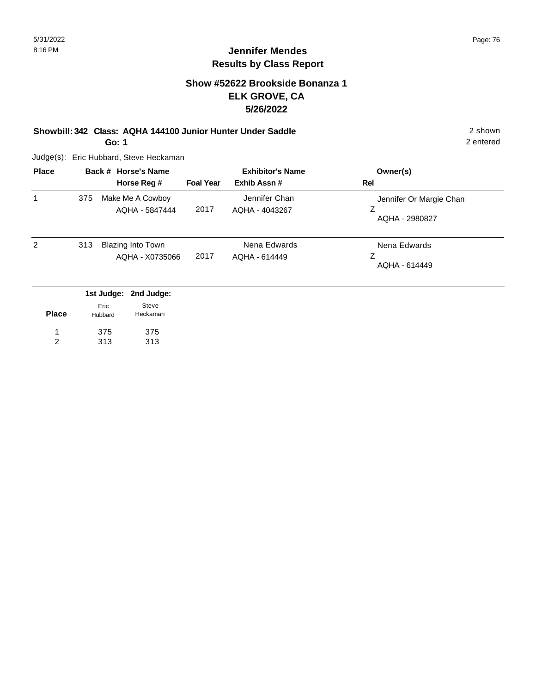## **Show #52622 Brookside Bonanza 1 ELK GROVE, CA 5/26/2022**

#### **Showbill: 342 Class: AQHA 144100 Junior Hunter Under Saddle** 2 shown **Go: 1**

Judge(s): Eric Hubbard, Steve Heckaman

| <b>Place</b> |     | Back # Horse's Name<br>Horse Reg #          | <b>Foal Year</b> | <b>Exhibitor's Name</b><br>Exhib Assn# | Owner(s)<br>Rel                                |
|--------------|-----|---------------------------------------------|------------------|----------------------------------------|------------------------------------------------|
| 1            | 375 | Make Me A Cowboy<br>AQHA - 5847444          | 2017             | Jennifer Chan<br>AQHA - 4043267        | Jennifer Or Margie Chan<br>Ζ<br>AQHA - 2980827 |
| 2            | 313 | <b>Blazing Into Town</b><br>AQHA - X0735066 | 2017             | Nena Edwards<br>AQHA - 614449          | Nena Edwards<br>Ζ<br>AQHA - 614449             |
|              |     | 1st Judge: 2nd Judge:<br>Steve<br>Eric      |                  |                                        |                                                |

| <b>Place</b> | ---<br>Hubbard | Heckaman |  |
|--------------|----------------|----------|--|
|              | 375            | 375      |  |
|              | 313            | 313      |  |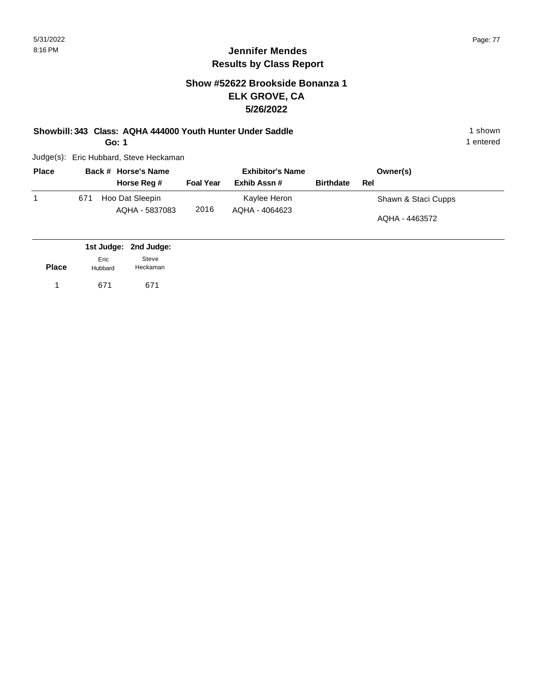## **Show #52622 Brookside Bonanza 1 ELK GROVE, CA 5/26/2022**

# **Showbill: 343 Class: AQHA 444000 Youth Hunter Under Saddle** 1 shown 1 shown

**Go: 1**

Judge(s): Eric Hubbard, Steve Heckaman

| <b>Place</b> |     | Back # Horse's Name               | <b>Exhibitor's Name</b> |                                |                  | Owner(s)            |
|--------------|-----|-----------------------------------|-------------------------|--------------------------------|------------------|---------------------|
|              |     | Horse Reg #                       | <b>Foal Year</b>        | Exhib Assn#                    | <b>Birthdate</b> | Rel                 |
|              | 671 | Hoo Dat Sleepin<br>AQHA - 5837083 | 2016                    | Kaylee Heron<br>AQHA - 4064623 |                  | Shawn & Staci Cupps |
|              |     |                                   |                         |                                |                  | AQHA - 4463572      |

|              |                 | 1st Judge: 2nd Judge: |
|--------------|-----------------|-----------------------|
| <b>Place</b> | Eric<br>Hubbard | Steve<br>Heckaman     |
|              | 671             | 671                   |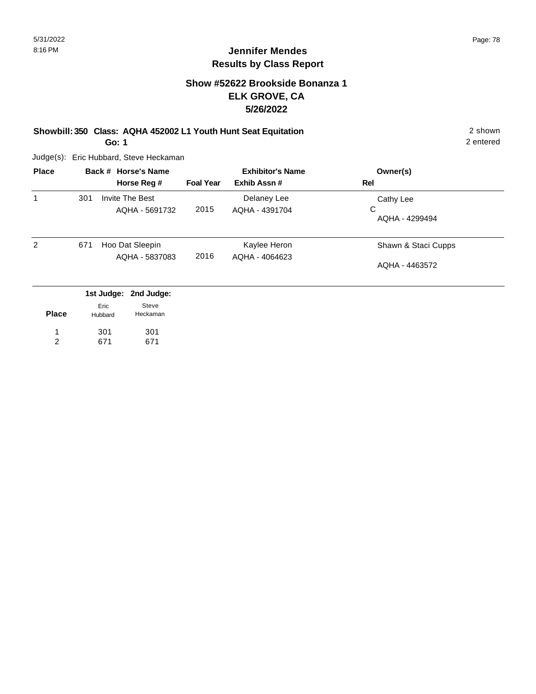## **Show #52622 Brookside Bonanza 1 ELK GROVE, CA 5/26/2022**

**Showbill: 350 Class: AQHA 452002 L1 Youth Hunt Seat Equitation** 2 shown **Go: 1**

Judge(s): Eric Hubbard, Steve Heckaman

| <b>Place</b> |     | Back # Horse's Name<br>Horse Reg #                            | <b>Foal Year</b> | <b>Exhibitor's Name</b><br>Exhib Assn# | Owner(s)<br>Rel                       |
|--------------|-----|---------------------------------------------------------------|------------------|----------------------------------------|---------------------------------------|
| 1            | 301 | Invite The Best<br>AQHA - 5691732                             | 2015             | Delaney Lee<br>AQHA - 4391704          | Cathy Lee<br>C<br>AQHA - 4299494      |
| 2            | 671 | Hoo Dat Sleepin<br>AQHA - 5837083                             | 2016             | Kaylee Heron<br>AQHA - 4064623         | Shawn & Staci Cupps<br>AQHA - 4463572 |
| <b>Place</b> |     | 1st Judge: 2nd Judge:<br>Steve<br>Eric<br>Heckaman<br>Hubbard |                  |                                        |                                       |

301 671 301 671 1 2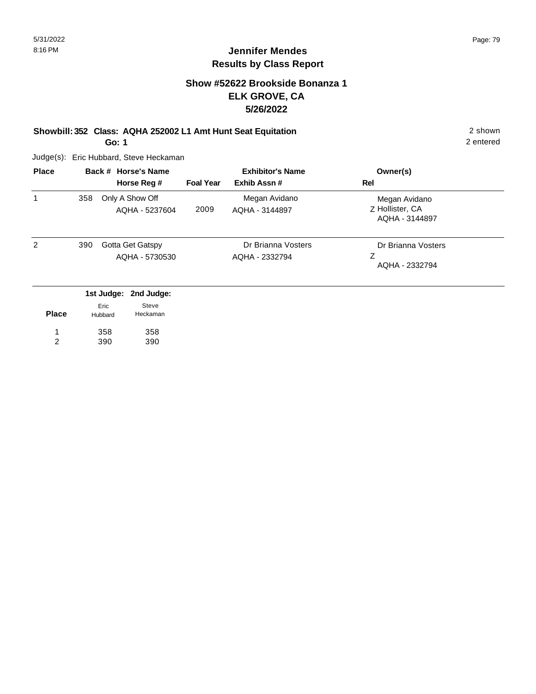## **Show #52622 Brookside Bonanza 1 ELK GROVE, CA 5/26/2022**

## **Showbill: 352 Class: AQHA 252002 L1 Amt Hunt Seat Equitation** 2 shown

**Go: 1**

Judge(s): Eric Hubbard, Steve Heckaman

358 390

1 2 358 390

| <b>Place</b> | Back # Horse's Name                       |                 |                                   | <b>Exhibitor's Name</b>              |                                           | Owner(s)                                           |
|--------------|-------------------------------------------|-----------------|-----------------------------------|--------------------------------------|-------------------------------------------|----------------------------------------------------|
|              |                                           |                 | Horse Reg #                       | <b>Foal Year</b>                     | Exhib Assn#                               | Rel                                                |
| 1            | 358                                       |                 | Only A Show Off<br>AQHA - 5237604 | 2009                                 | Megan Avidano<br>AQHA - 3144897           | Megan Avidano<br>Z Hollister, CA<br>AQHA - 3144897 |
| 2            | Gotta Get Gatspy<br>390<br>AQHA - 5730530 |                 |                                   | Dr Brianna Vosters<br>AQHA - 2332794 | Dr Brianna Vosters<br>Ζ<br>AQHA - 2332794 |                                                    |
|              |                                           | 1st Judge:      | 2nd Judge:                        |                                      |                                           |                                                    |
| <b>Place</b> |                                           | Eric<br>Hubbard | Steve<br>Heckaman                 |                                      |                                           |                                                    |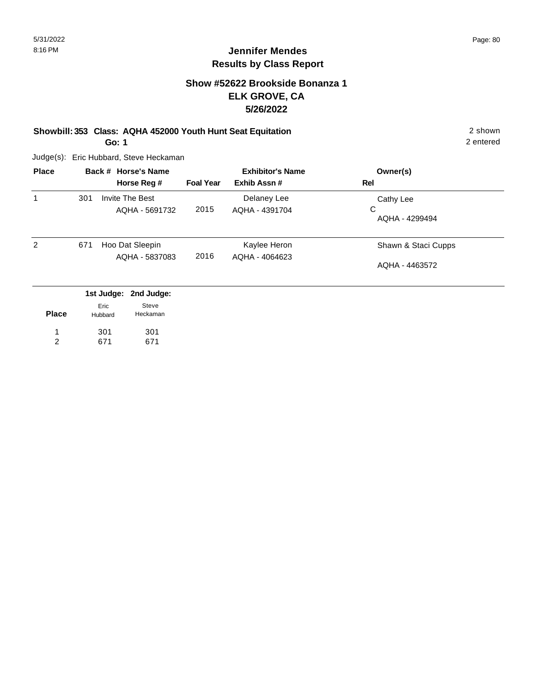## **Show #52622 Brookside Bonanza 1 ELK GROVE, CA 5/26/2022**

#### **Showbill: 353 Class: AQHA 452000 Youth Hunt Seat Equitation** 2 shown **Go: 1**

Judge(s): Eric Hubbard, Steve Heckaman

301 671

1 2 301 671

| <b>Place</b> | Back # Horse's Name |                 |                                   | <b>Exhibitor's Name</b> |                               | Owner(s)            |
|--------------|---------------------|-----------------|-----------------------------------|-------------------------|-------------------------------|---------------------|
|              |                     |                 | Horse Reg #                       | <b>Foal Year</b>        | Exhib Assn#                   | Rel                 |
| 1            | 301                 |                 | Invite The Best<br>AQHA - 5691732 | 2015                    | Delaney Lee<br>AQHA - 4391704 | Cathy Lee<br>C      |
|              |                     |                 |                                   |                         |                               | AQHA - 4299494      |
| 2            | 671                 |                 | Hoo Dat Sleepin                   |                         | Kaylee Heron                  | Shawn & Staci Cupps |
|              |                     |                 | AQHA - 5837083                    | 2016                    | AQHA - 4064623                | AQHA - 4463572      |
|              |                     |                 | 1st Judge: 2nd Judge:             |                         |                               |                     |
| <b>Place</b> |                     | Eric<br>Hubbard | Steve<br>Heckaman                 |                         |                               |                     |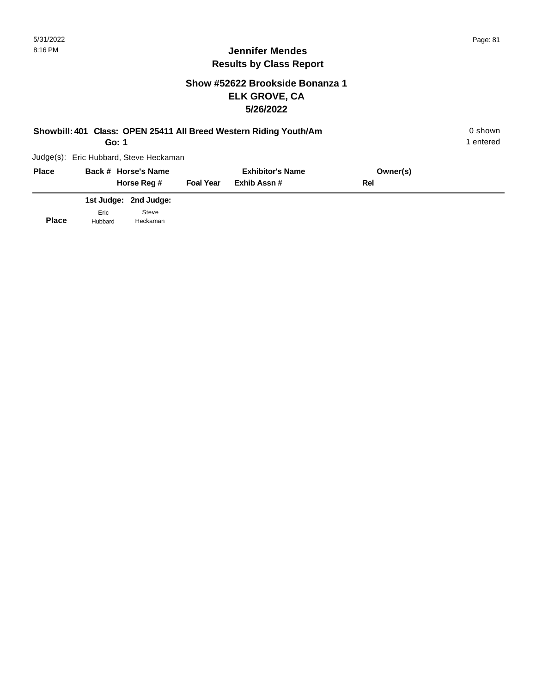## **Show #52622 Brookside Bonanza 1 ELK GROVE, CA 5/26/2022**

|              |       | Go: 1                                  |                  | Showbill: 401 Class: OPEN 25411 All Breed Western Riding Youth/Am |          | 0 shown<br>1 entered |
|--------------|-------|----------------------------------------|------------------|-------------------------------------------------------------------|----------|----------------------|
|              |       | Judge(s): Eric Hubbard, Steve Heckaman |                  |                                                                   |          |                      |
| <b>Place</b> |       | Back # Horse's Name                    |                  | <b>Exhibitor's Name</b>                                           | Owner(s) |                      |
|              |       | Horse Reg #                            | <b>Foal Year</b> | Exhib Assn#                                                       | Rel      |                      |
|              | $  -$ | 1st Judge: 2nd Judge:<br>0.1111        |                  |                                                                   |          |                      |

**Place** Eric Hubbard Steve Heckaman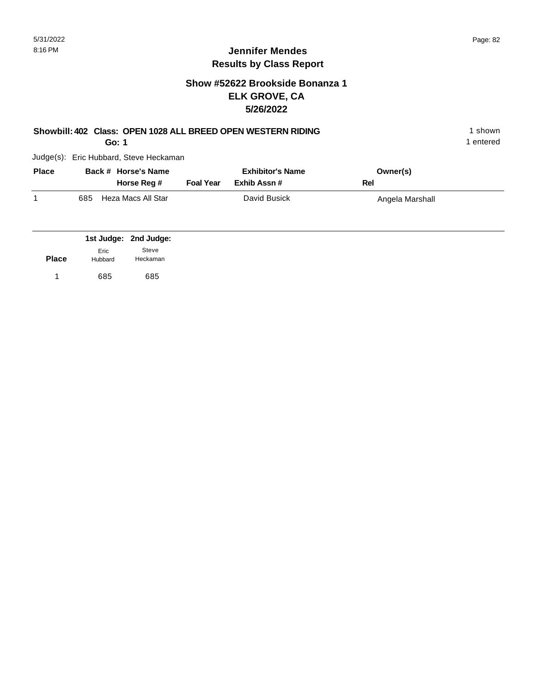1 entered

## **Jennifer Mendes Results by Class Report**

## **Show #52622 Brookside Bonanza 1 ELK GROVE, CA 5/26/2022**

## **Showbill: 402 Class: OPEN 1028 ALL BREED OPEN WESTERN RIDING** 1 shown

**Go: 1**

| <b>Place</b> |     | Back # Horse's Name<br>Horse Reg # | <b>Foal Year</b> | <b>Exhibitor's Name</b><br>Exhib Assn # | Owner(s)<br>Rel |  |
|--------------|-----|------------------------------------|------------------|-----------------------------------------|-----------------|--|
|              | 685 | Heza Macs All Star                 |                  | David Busick                            | Angela Marshall |  |

|              |                 | 1st Judge: 2nd Judge: |
|--------------|-----------------|-----------------------|
| <b>Place</b> | Eric<br>Hubbard | Steve<br>Heckaman     |
|              | 685             | 685                   |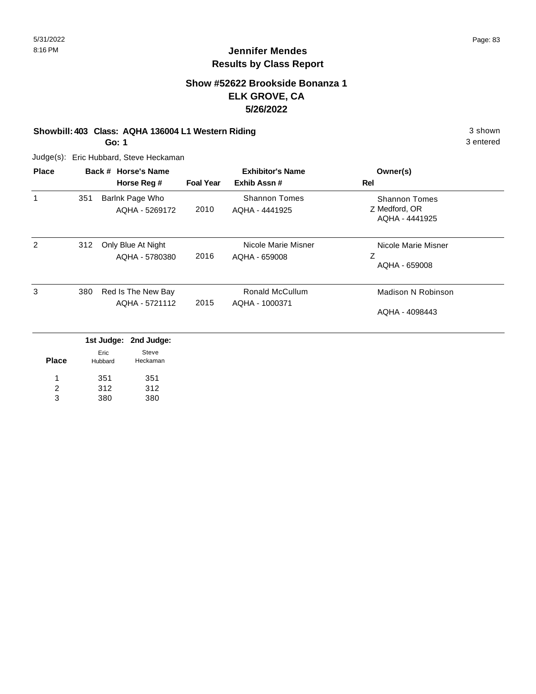## **Show #52622 Brookside Bonanza 1 ELK GROVE, CA 5/26/2022**

## **Showbill: 403 Class: AQHA 136004 L1 Western Riding 3 shown 3 shown** 3 shown

**Go: 1**

Judge(s): Eric Hubbard, Steve Heckaman

| <b>Place</b> |     | Back # Horse's Name                  |                  | <b>Exhibitor's Name</b>                  | Owner(s)                                                |
|--------------|-----|--------------------------------------|------------------|------------------------------------------|---------------------------------------------------------|
|              |     | Horse Reg #                          | <b>Foal Year</b> | Exhib Assn#                              | Rel                                                     |
| 1            | 351 | Barlnk Page Who<br>AQHA - 5269172    | 2010             | <b>Shannon Tomes</b><br>AQHA - 4441925   | <b>Shannon Tomes</b><br>Z Medford, OR<br>AQHA - 4441925 |
| 2            | 312 | Only Blue At Night<br>AQHA - 5780380 | 2016             | Nicole Marie Misner<br>AQHA - 659008     | Nicole Marie Misner<br>Z<br>AQHA - 659008               |
| 3            | 380 | Red Is The New Bay<br>AQHA - 5721112 | 2015             | <b>Ronald McCullum</b><br>AQHA - 1000371 | Madison N Robinson<br>AQHA - 4098443                    |

|       |                 | 1st Judge: 2nd Judge: |
|-------|-----------------|-----------------------|
| Place | Eric<br>Hubbard | Steve<br>Heckaman     |
| 1     | 351             | 351                   |
| 2     | 312             | 312                   |
| з     | 380             | 380                   |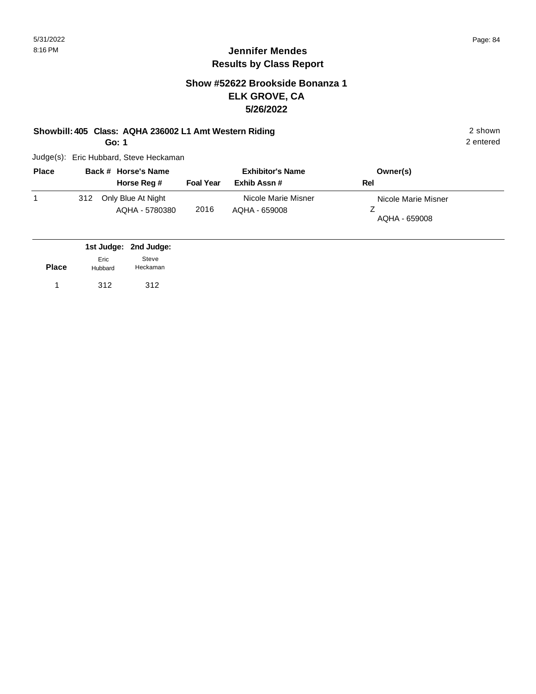2 entered

## **Jennifer Mendes Results by Class Report**

## **Show #52622 Brookside Bonanza 1 ELK GROVE, CA 5/26/2022**

#### **Showbill: 405 Class: AQHA 236002 L1 Amt Western Riding** 2 shown

**Go: 1**

| <b>Place</b> |     | Back # Horse's Name                  |                  | <b>Exhibitor's Name</b>              | Owner(s)                             |  |
|--------------|-----|--------------------------------------|------------------|--------------------------------------|--------------------------------------|--|
|              |     | Horse Reg #                          | <b>Foal Year</b> | Exhib Assn#                          | Rel                                  |  |
|              | 312 | Only Blue At Night<br>AQHA - 5780380 | 2016             | Nicole Marie Misner<br>AQHA - 659008 | Nicole Marie Misner<br>AQHA - 659008 |  |

|              |                 | 1st Judge: 2nd Judge: |
|--------------|-----------------|-----------------------|
| <b>Place</b> | Eric<br>Hubbard | Steve<br>Heckaman     |
|              | 312             | 312                   |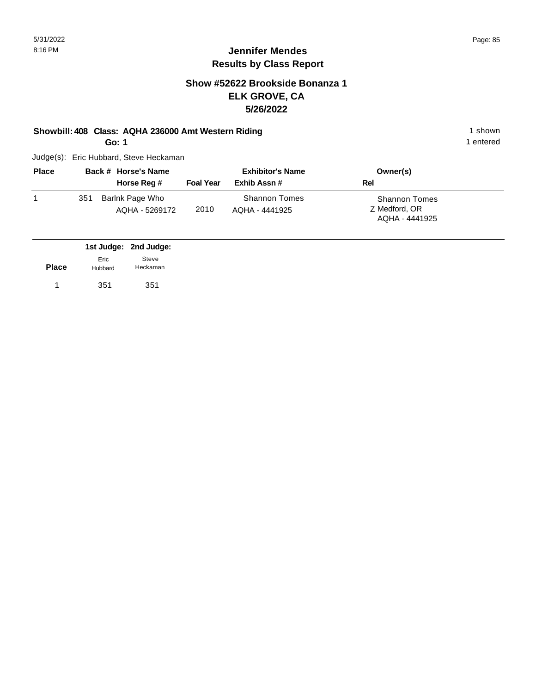1 entered

## **Jennifer Mendes Results by Class Report**

## **Show #52622 Brookside Bonanza 1 ELK GROVE, CA 5/26/2022**

#### **Showbill: 408 Class: AQHA 236000 Amt Western Riding 1 shown 1 shown**

**Go: 1**

| <b>Place</b> |     | Back # Horse's Name               |                  | <b>Exhibitor's Name</b>                | Owner(s)                                                |
|--------------|-----|-----------------------------------|------------------|----------------------------------------|---------------------------------------------------------|
|              |     | Horse Reg #                       | <b>Foal Year</b> | Exhib Assn#                            | Rel                                                     |
|              | 351 | Barlnk Page Who<br>AQHA - 5269172 | 2010             | <b>Shannon Tomes</b><br>AQHA - 4441925 | <b>Shannon Tomes</b><br>Z Medford, OR<br>AQHA - 4441925 |

|              |                 | 1st Judge: 2nd Judge: |
|--------------|-----------------|-----------------------|
| <b>Place</b> | Eric<br>Hubbard | Steve<br>Heckaman     |
|              | 351             | 351                   |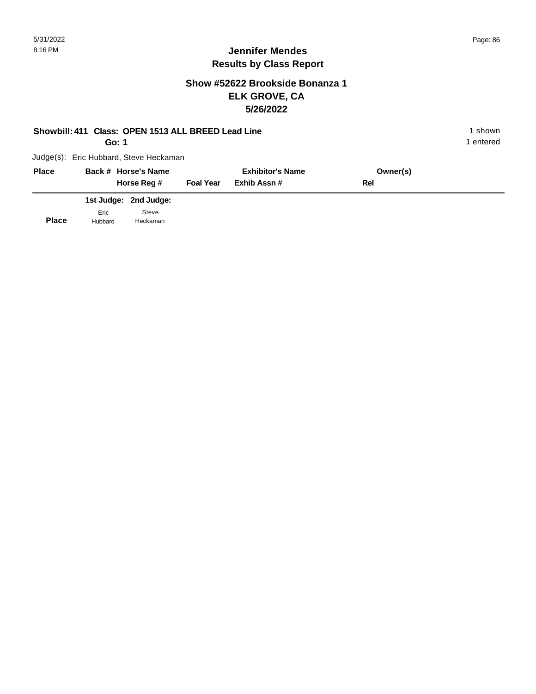## **Show #52622 Brookside Bonanza 1 ELK GROVE, CA 5/26/2022**

#### **Showbill: 411 Class: OPEN 1513 ALL BREED Lead Line** 1 **Shown** 1 shown

**Go: 1**

1 entered

| <b>Place</b> |                 | Back # Horse's Name<br>Horse Reg # | <b>Foal Year</b> | <b>Exhibitor's Name</b><br>Exhib Assn # | Owner(s)<br>Rel |
|--------------|-----------------|------------------------------------|------------------|-----------------------------------------|-----------------|
|              |                 | 1st Judge: 2nd Judge:              |                  |                                         |                 |
| <b>Place</b> | Eric<br>Hubbard | Steve<br>Heckaman                  |                  |                                         |                 |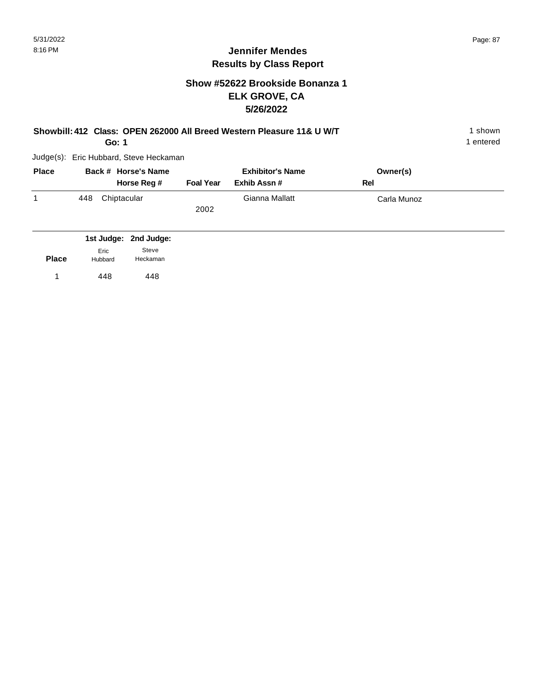1 entered

## **Jennifer Mendes Results by Class Report**

## **Show #52622 Brookside Bonanza 1 ELK GROVE, CA 5/26/2022**

#### **Showbill: 412 Class: OPEN 262000 All Breed Western Pleasure 11& U W/T** 1 Shown 1 shown

**Go: 1**

| <b>Place</b> |     | Back # Horse's Name<br>Horse Reg # | <b>Foal Year</b> | <b>Exhibitor's Name</b><br>Exhib Assn # | Owner(s)<br>Rel |
|--------------|-----|------------------------------------|------------------|-----------------------------------------|-----------------|
|              | 448 | Chiptacular                        | 2002             | Gianna Mallatt                          | Carla Munoz     |

|              |                 | 1st Judge: 2nd Judge: |
|--------------|-----------------|-----------------------|
| <b>Place</b> | Eric<br>Hubbard | Steve<br>Heckaman     |
|              | 448             | 448                   |
|              |                 |                       |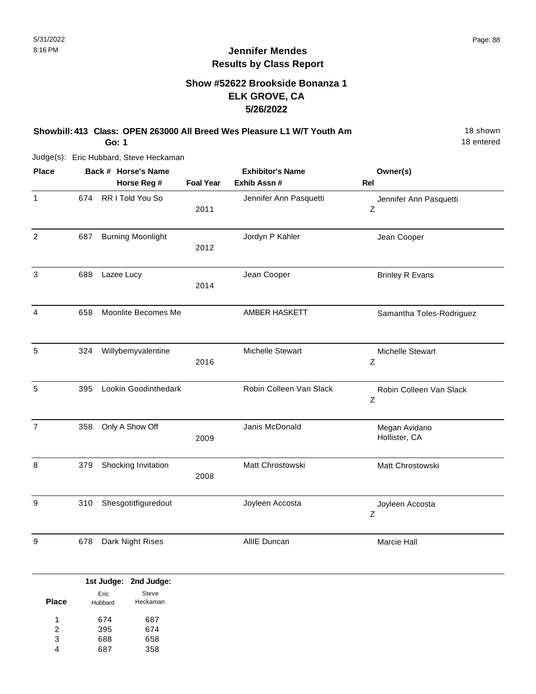## **Show #52622 Brookside Bonanza 1 ELK GROVE, CA 5/26/2022**

## **Showbill: 413 Class: OPEN 263000 All Breed Wes Pleasure L1 W/T Youth Am** 18 Shown

**Go: 1**

Judge(s): Eric Hubbard, Steve Heckaman

| <b>Place</b>   |     | Back # Horse's Name      |                  | <b>Exhibitor's Name</b> | Owner(s)                       |
|----------------|-----|--------------------------|------------------|-------------------------|--------------------------------|
|                |     | Horse Reg #              | <b>Foal Year</b> | Exhib Assn #            | Rel                            |
| $\mathbf{1}$   | 674 | RR I Told You So         | 2011             | Jennifer Ann Pasquetti  | Jennifer Ann Pasquetti<br>Ζ    |
| 2              | 687 | <b>Burning Moonlight</b> | 2012             | Jordyn P Kahler         | Jean Cooper                    |
| 3              | 688 | Lazee Lucy               | 2014             | Jean Cooper             | <b>Brinley R Evans</b>         |
| 4              | 658 | Moonlite Becomes Me      |                  | AMBER HASKETT           | Samantha Toles-Rodriguez       |
| 5              | 324 | Willybemyvalentine       | 2016             | Michelle Stewart        | Michelle Stewart<br>Ζ          |
| 5              | 395 | Lookin Goodinthedark     |                  | Robin Colleen Van Slack | Robin Colleen Van Slack<br>Z   |
| $\overline{7}$ | 358 | Only A Show Off          | 2009             | Janis McDonald          | Megan Avidano<br>Hollister, CA |
| 8              | 379 | Shocking Invitation      | 2008             | Matt Chrostowski        | Matt Chrostowski               |
| 9              | 310 | Shesgotitfiguredout      |                  | Joyleen Accosta         | Joyleen Accosta<br>Ζ           |
| 9              | 678 | Dark Night Rises         |                  | AllIE Duncan            | Marcie Hall                    |

|              |         | 1st Judge: 2nd Judge: |
|--------------|---------|-----------------------|
|              | Eric    | Steve                 |
| <b>Place</b> | Hubbard | Heckaman              |
| 1            | 674     | 687                   |
| 2            | 395     | 674                   |
| 3            | 688     | 658                   |
|              |         | 358                   |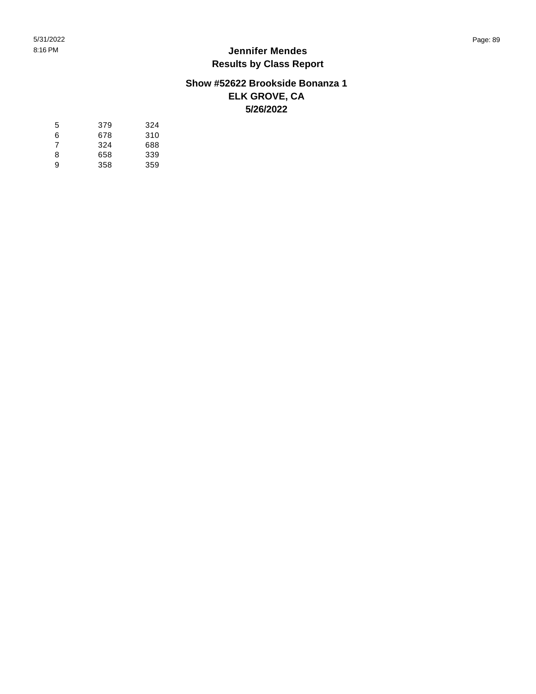## **Show #52622 Brookside Bonanza 1 ELK GROVE, CA 5/26/2022**

| 5 | 379 | 324 |
|---|-----|-----|
| 6 | 678 | 310 |
| 7 | 324 | 688 |
| 8 | 658 | 339 |
| 9 | 358 | 359 |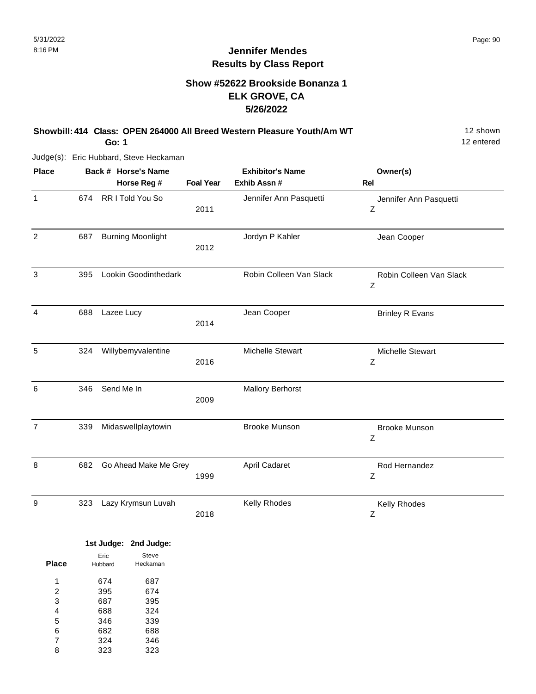## **Show #52622 Brookside Bonanza 1 ELK GROVE, CA 5/26/2022**

**Showbill: 414 Class: OPEN 264000 All Breed Western Pleasure Youth/Am WT** 12 Shown

**Go: 1**

Judge(s): Eric Hubbard, Steve Heckaman

| <b>Place</b>   |     | Back # Horse's Name      |                  | <b>Exhibitor's Name</b> | Owner(s)                     |
|----------------|-----|--------------------------|------------------|-------------------------|------------------------------|
|                |     | Horse Reg #              | <b>Foal Year</b> | Exhib Assn #            | <b>Rel</b>                   |
| $\mathbf{1}$   | 674 | RR I Told You So         | 2011             | Jennifer Ann Pasquetti  | Jennifer Ann Pasquetti<br>Z  |
| $\overline{2}$ | 687 | <b>Burning Moonlight</b> | 2012             | Jordyn P Kahler         | Jean Cooper                  |
| 3              | 395 | Lookin Goodinthedark     |                  | Robin Colleen Van Slack | Robin Colleen Van Slack<br>Ζ |
| 4              | 688 | Lazee Lucy               | 2014             | Jean Cooper             | <b>Brinley R Evans</b>       |
| 5              | 324 | Willybemyvalentine       | 2016             | Michelle Stewart        | Michelle Stewart<br>Ζ        |
| 6              | 346 | Send Me In               | 2009             | <b>Mallory Berhorst</b> |                              |
| $\overline{7}$ | 339 | Midaswellplaytowin       |                  | <b>Brooke Munson</b>    | <b>Brooke Munson</b><br>Ζ    |
| 8              | 682 | Go Ahead Make Me Grey    | 1999             | April Cadaret           | Rod Hernandez<br>Ζ           |
| 9              | 323 | Lazy Krymsun Luvah       | 2018             | Kelly Rhodes            | Kelly Rhodes<br>Ζ            |

|              |         | 1st Judge: 2nd Judge: |
|--------------|---------|-----------------------|
|              | Eric    | Steve                 |
| <b>Place</b> | Hubbard | Heckaman              |
| 1            | 674     | 687                   |
| 2            | 395     | 674                   |
| 3            | 687     | 395                   |
| 4            | 688     | 324                   |
| 5            | 346     | 339                   |
| 6            | 682     | 688                   |
| 7            | 324     | 346                   |
| 8            | 323     | 323                   |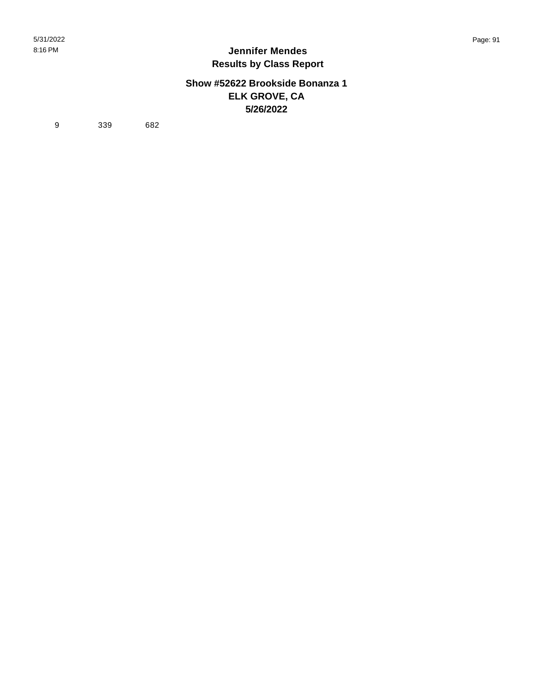### **Show #52622 Brookside Bonanza 1 ELK GROVE, CA 5/26/2022**

9 339 682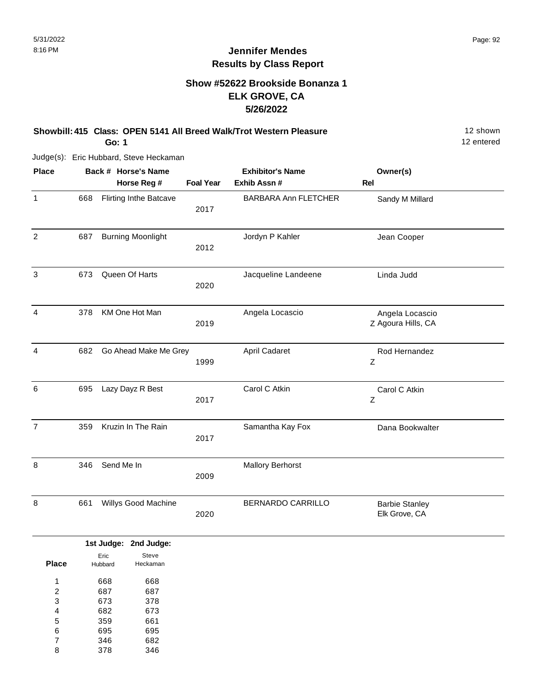## **Show #52622 Brookside Bonanza 1 ELK GROVE, CA 5/26/2022**

**Showbill: 415 Class: OPEN 5141 All Breed Walk/Trot Western Pleasure** 12 Shown

**Go: 1**

Judge(s): Eric Hubbard, Steve Heckaman

| <b>Place</b>   |     | Back # Horse's Name           |                  | <b>Exhibitor's Name</b>     | Owner(s)                               |  |
|----------------|-----|-------------------------------|------------------|-----------------------------|----------------------------------------|--|
|                |     | Horse Reg #                   | <b>Foal Year</b> | Exhib Assn #                | Rel                                    |  |
| 1              | 668 | <b>Flirting Inthe Batcave</b> | 2017             | <b>BARBARA Ann FLETCHER</b> | Sandy M Millard                        |  |
| $\overline{2}$ | 687 | <b>Burning Moonlight</b>      | 2012             | Jordyn P Kahler             | Jean Cooper                            |  |
| 3              | 673 | Queen Of Harts                | 2020             | Jacqueline Landeene         | Linda Judd                             |  |
| 4              | 378 | KM One Hot Man                | 2019             | Angela Locascio             | Angela Locascio<br>Z Agoura Hills, CA  |  |
| 4              | 682 | Go Ahead Make Me Grey         | 1999             | April Cadaret               | Rod Hernandez<br>Ζ                     |  |
| 6              | 695 | Lazy Dayz R Best              | 2017             | Carol C Atkin               | Carol C Atkin<br>Z                     |  |
| $\overline{7}$ | 359 | Kruzin In The Rain            | 2017             | Samantha Kay Fox            | Dana Bookwalter                        |  |
| 8              | 346 | Send Me In                    | 2009             | <b>Mallory Berhorst</b>     |                                        |  |
| 8              | 661 | Willys Good Machine           | 2020             | BERNARDO CARRILLO           | <b>Barbie Stanley</b><br>Elk Grove, CA |  |

|       |         | 1st Judge: 2nd Judge: |
|-------|---------|-----------------------|
|       | Eric    | Steve                 |
| Place | Hubbard | Heckaman              |
|       |         |                       |
| 1     | 668     | 668                   |
| 2     | 687     | 687                   |
| 3     | 673     | 378                   |
| 4     | 682     | 673                   |
| 5     | 359     | 661                   |
| 6     | 695     | 695                   |
| 7     | 346     | 682                   |
| 8     | 378     | 346                   |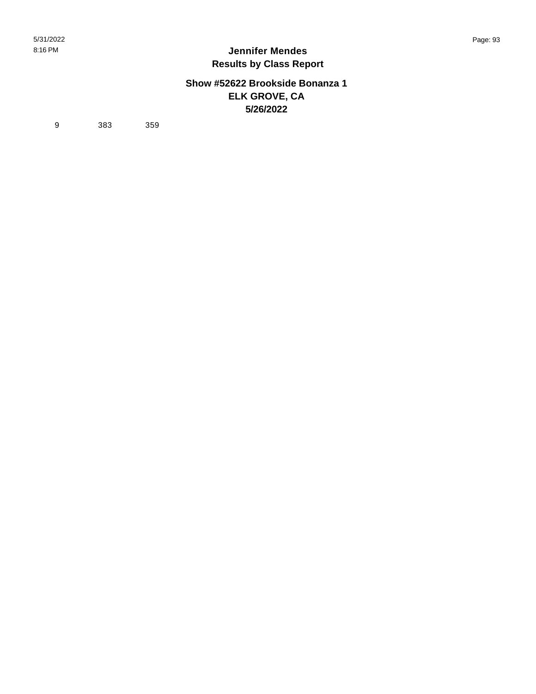### **Show #52622 Brookside Bonanza 1 ELK GROVE, CA 5/26/2022**

9 383 359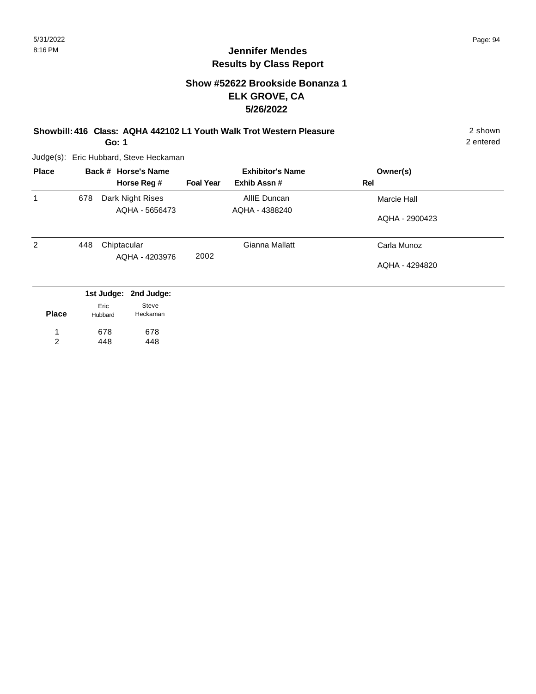## **Show #52622 Brookside Bonanza 1 ELK GROVE, CA 5/26/2022**

**Showbill: 416 Class: AQHA 442102 L1 Youth Walk Trot Western Pleasure** 2 shown

**Go: 1**

Judge(s): Eric Hubbard, Steve Heckaman

678 448

1 2 678 448

| <b>Place</b> |     |                 | Back # Horse's Name |                  | <b>Exhibitor's Name</b> |     | Owner(s)       |
|--------------|-----|-----------------|---------------------|------------------|-------------------------|-----|----------------|
|              |     |                 | Horse Reg #         | <b>Foal Year</b> | Exhib Assn#             | Rel |                |
| 1            | 678 |                 | Dark Night Rises    |                  | AllIE Duncan            |     | Marcie Hall    |
|              |     |                 | AQHA - 5656473      |                  | AQHA - 4388240          |     | AQHA - 2900423 |
| 2            | 448 | Chiptacular     | AQHA - 4203976      | 2002             | Gianna Mallatt          |     | Carla Munoz    |
|              |     |                 |                     |                  |                         |     | AQHA - 4294820 |
|              |     | 1st Judge:      | 2nd Judge:          |                  |                         |     |                |
| <b>Place</b> |     | Eric<br>Hubbard | Steve<br>Heckaman   |                  |                         |     |                |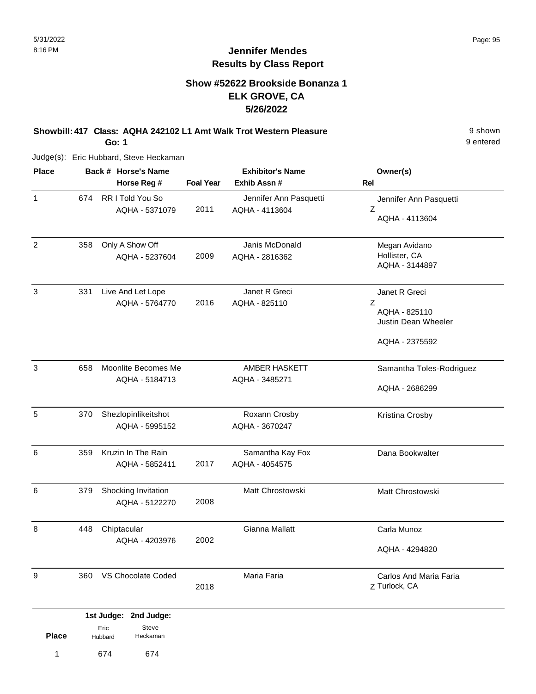## **Show #52622 Brookside Bonanza 1 ELK GROVE, CA 5/26/2022**

**Showbill: 417 Class: AQHA 242102 L1 Amt Walk Trot Western Pleasure** 9 Shown

**Go: 1**

Judge(s): Eric Hubbard, Steve Heckaman

| <b>Place</b>   |     | Back # Horse's Name                   |                  | <b>Exhibitor's Name</b>                  | Owner(s)                                                                     |
|----------------|-----|---------------------------------------|------------------|------------------------------------------|------------------------------------------------------------------------------|
|                |     | Horse Reg #                           | <b>Foal Year</b> | Exhib Assn#                              | <b>Rel</b>                                                                   |
| $\mathbf{1}$   | 674 | RR I Told You So<br>AQHA - 5371079    | 2011             | Jennifer Ann Pasquetti<br>AQHA - 4113604 | Jennifer Ann Pasquetti<br>Z<br>AQHA - 4113604                                |
| $\overline{2}$ | 358 | Only A Show Off<br>AQHA - 5237604     | 2009             | Janis McDonald<br>AQHA - 2816362         | Megan Avidano<br>Hollister, CA<br>AQHA - 3144897                             |
| 3              | 331 | Live And Let Lope<br>AQHA - 5764770   | 2016             | Janet R Greci<br>AQHA - 825110           | Janet R Greci<br>Ζ<br>AQHA - 825110<br>Justin Dean Wheeler<br>AQHA - 2375592 |
| 3              | 658 | Moonlite Becomes Me<br>AQHA - 5184713 |                  | <b>AMBER HASKETT</b><br>AQHA - 3485271   | Samantha Toles-Rodriguez<br>AQHA - 2686299                                   |
| 5              | 370 | Shezlopinlikeitshot<br>AQHA - 5995152 |                  | Roxann Crosby<br>AQHA - 3670247          | Kristina Crosby                                                              |
| 6              | 359 | Kruzin In The Rain<br>AQHA - 5852411  | 2017             | Samantha Kay Fox<br>AQHA - 4054575       | Dana Bookwalter                                                              |
| 6              | 379 | Shocking Invitation<br>AQHA - 5122270 | 2008             | Matt Chrostowski                         | Matt Chrostowski                                                             |
| 8              | 448 | Chiptacular<br>AQHA - 4203976         | 2002             | Gianna Mallatt                           | Carla Munoz<br>AQHA - 4294820                                                |
| 9              | 360 | VS Chocolate Coded                    | 2018             | Maria Faria                              | Carlos And Maria Faria<br>Z Turlock, CA                                      |
|                |     | 1st Judge: 2nd Judge:                 |                  |                                          |                                                                              |
| <b>Place</b>   |     | Steve<br>Eric<br>Heckaman<br>Hubbard  |                  |                                          |                                                                              |

1 674 674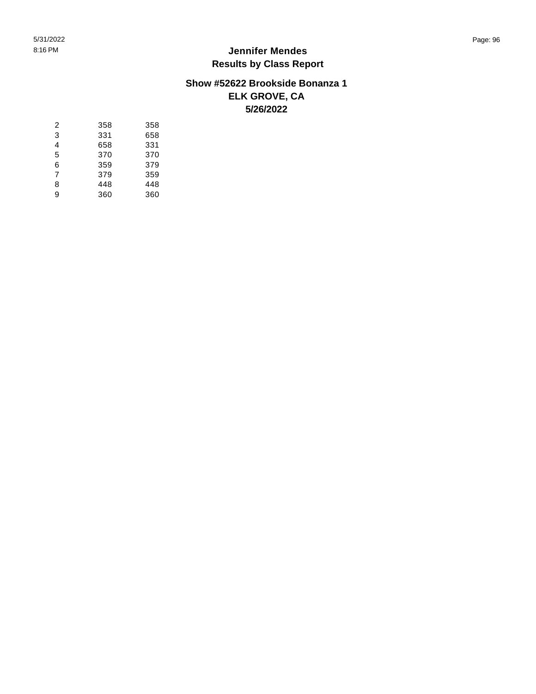## **Show #52622 Brookside Bonanza 1 ELK GROVE, CA 5/26/2022**

| 2 | 358 | 358 |
|---|-----|-----|
| 3 | 331 | 658 |
| 4 | 658 | 331 |
| 5 | 370 | 370 |
| 6 | 359 | 379 |
| 7 | 379 | 359 |
| 8 | 448 | 448 |
| 9 | 360 | 360 |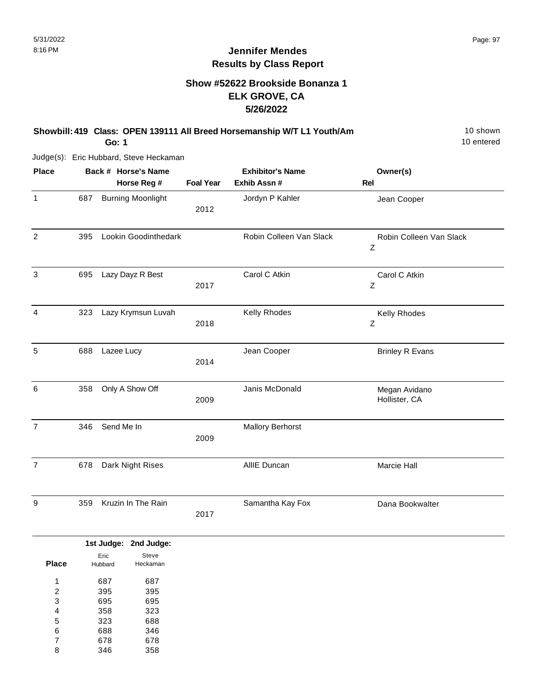## **Show #52622 Brookside Bonanza 1 ELK GROVE, CA 5/26/2022**

#### **Showbill: 419 Class: OPEN 139111 All Breed Horsemanship W/T L1 Youth/Am** 10 Shown

**Go: 1**

Judge(s): Eric Hubbard, Steve Heckaman

| <b>Place</b>   |     | Back # Horse's Name      |                  | <b>Exhibitor's Name</b> | Owner(s)                       |
|----------------|-----|--------------------------|------------------|-------------------------|--------------------------------|
|                |     | Horse Reg #              | <b>Foal Year</b> | Exhib Assn #            | Rel                            |
| $\mathbf{1}$   | 687 | <b>Burning Moonlight</b> | 2012             | Jordyn P Kahler         | Jean Cooper                    |
| $\overline{2}$ | 395 | Lookin Goodinthedark     |                  | Robin Colleen Van Slack | Robin Colleen Van Slack<br>Z   |
| $\mathbf{3}$   | 695 | Lazy Dayz R Best         | 2017             | Carol C Atkin           | Carol C Atkin<br>Ζ             |
| $\overline{4}$ | 323 | Lazy Krymsun Luvah       | 2018             | Kelly Rhodes            | Kelly Rhodes<br>Ζ              |
| 5              | 688 | Lazee Lucy               | 2014             | Jean Cooper             | <b>Brinley R Evans</b>         |
| 6              | 358 | Only A Show Off          | 2009             | Janis McDonald          | Megan Avidano<br>Hollister, CA |
| $\overline{7}$ | 346 | Send Me In               | 2009             | <b>Mallory Berhorst</b> |                                |
| $\overline{7}$ | 678 | Dark Night Rises         |                  | AllIE Duncan            | Marcie Hall                    |
| 9              | 359 | Kruzin In The Rain       | 2017             | Samantha Kay Fox        | Dana Bookwalter                |

|                |         | 1st Judge: 2nd Judge: |
|----------------|---------|-----------------------|
|                | Eric    | Steve                 |
| <b>Place</b>   | Hubbard | Heckaman              |
| 1              | 687     | 687                   |
| 2              | 395     | 395                   |
| 3              | 695     | 695                   |
| 4              | 358     | 323                   |
| 5              | 323     | 688                   |
| 6              | 688     | 346                   |
| $\overline{7}$ | 678     | 678                   |
| 8              | 346     | 358                   |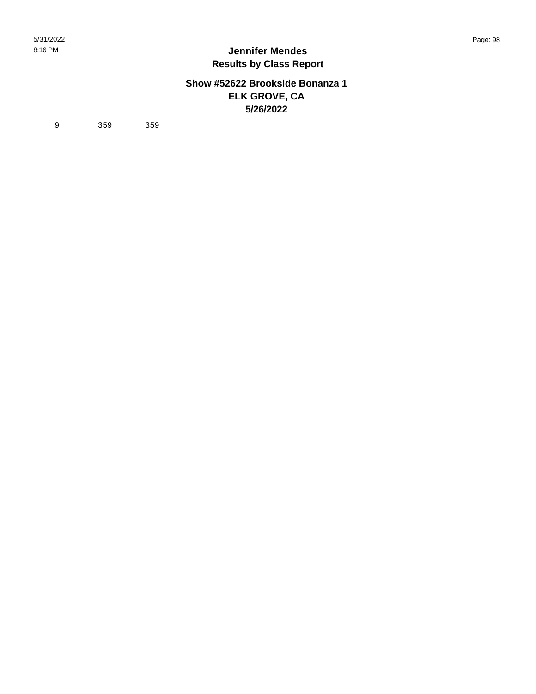### **Show #52622 Brookside Bonanza 1 ELK GROVE, CA 5/26/2022**

9 359 359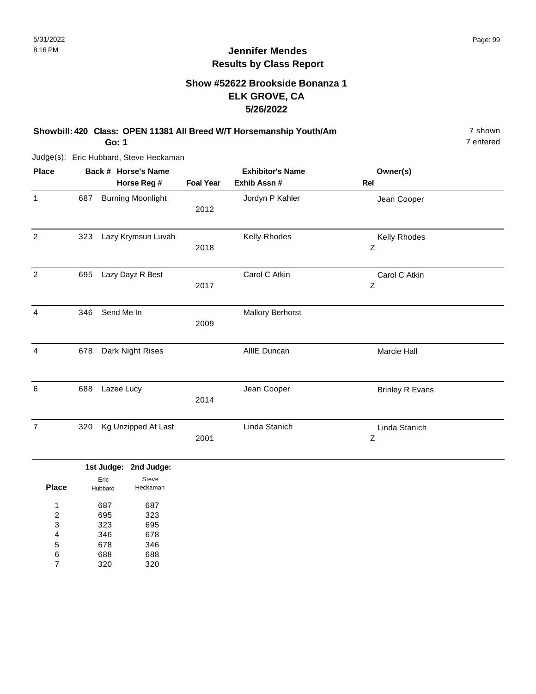## **Show #52622 Brookside Bonanza 1 ELK GROVE, CA 5/26/2022**

**Showbill: 420 Class: OPEN 11381 All Breed W/T Horsemanship Youth/Am** 7 shown 7 shown

**Go: 1**

Judge(s): Eric Hubbard, Steve Heckaman

| <b>Place</b>   | Back # Horse's Name |                          |                  | <b>Exhibitor's Name</b> | Owner(s)               |  |
|----------------|---------------------|--------------------------|------------------|-------------------------|------------------------|--|
|                |                     | Horse Reg #              | <b>Foal Year</b> | Exhib Assn #            | <b>Rel</b>             |  |
| $\mathbf{1}$   | 687                 | <b>Burning Moonlight</b> | 2012             | Jordyn P Kahler         | Jean Cooper            |  |
| $\overline{2}$ | 323                 | Lazy Krymsun Luvah       | 2018             | Kelly Rhodes            | Kelly Rhodes<br>Z      |  |
| 2              | 695                 | Lazy Dayz R Best         | 2017             | Carol C Atkin           | Carol C Atkin<br>Z     |  |
| 4              | 346                 | Send Me In               | 2009             | <b>Mallory Berhorst</b> |                        |  |
| 4              | 678                 | Dark Night Rises         |                  | AllIE Duncan            | <b>Marcie Hall</b>     |  |
| 6              | 688                 | Lazee Lucy               | 2014             | Jean Cooper             | <b>Brinley R Evans</b> |  |
| $\overline{7}$ | 320                 | Kg Unzipped At Last      | 2001             | Linda Stanich           | Linda Stanich<br>Z     |  |
|                |                     | 1st Judge: 2nd Judge:    |                  |                         |                        |  |

| <b>Place</b> | Eric<br>Hubbard | Steve<br>Heckaman |
|--------------|-----------------|-------------------|
| 1            | 687             | 687               |
| 2            | 695             | 323               |
| 3            | 323             | 695               |
| 4            | 346             | 678               |
| 5            | 678             | 346               |
| 6            | 688             | 688               |
|              | 320             | 320               |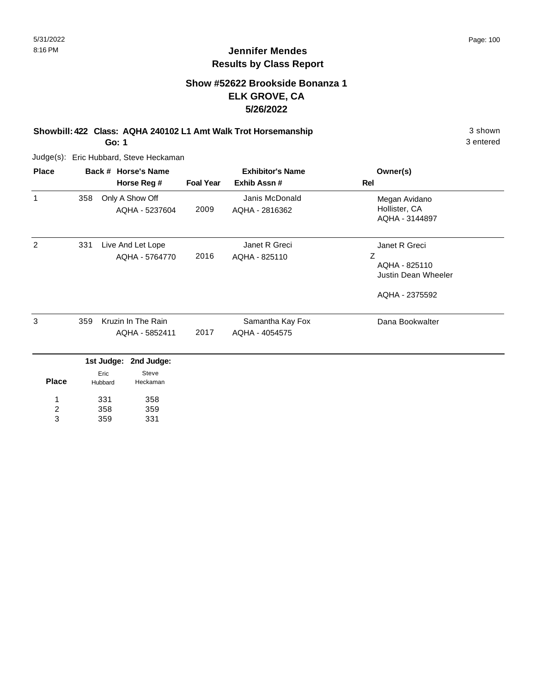3 entered

## **Jennifer Mendes Results by Class Report**

## **Show #52622 Brookside Bonanza 1 ELK GROVE, CA 5/26/2022**

**Showbill: 422 Class: AQHA 240102 L1 Amt Walk Trot Horsemanship** 3 shown 3 shown **Go: 1**

Judge(s): Eric Hubbard, Steve Heckaman

331 358 359

1 2 3

358 359 331

| <b>Place</b> |     |                 | Back # Horse's Name                  | <b>Exhibitor's Name</b> |                                    | Owner(s)                                                                     |
|--------------|-----|-----------------|--------------------------------------|-------------------------|------------------------------------|------------------------------------------------------------------------------|
|              |     |                 | Horse Reg #                          | <b>Foal Year</b>        | Exhib Assn#                        | Rel                                                                          |
| 1            | 358 |                 | Only A Show Off<br>AQHA - 5237604    | 2009                    | Janis McDonald<br>AQHA - 2816362   | Megan Avidano<br>Hollister, CA<br>AQHA - 3144897                             |
| 2            | 331 |                 | Live And Let Lope<br>AQHA - 5764770  | 2016                    | Janet R Greci<br>AQHA - 825110     | Janet R Greci<br>Ζ<br>AQHA - 825110<br>Justin Dean Wheeler<br>AQHA - 2375592 |
| 3            | 359 |                 | Kruzin In The Rain<br>AQHA - 5852411 | 2017                    | Samantha Kay Fox<br>AQHA - 4054575 | Dana Bookwalter                                                              |
|              |     | 1st Judge:      | 2nd Judge:                           |                         |                                    |                                                                              |
| <b>Place</b> |     | Eric<br>Hubbard | Steve<br>Heckaman                    |                         |                                    |                                                                              |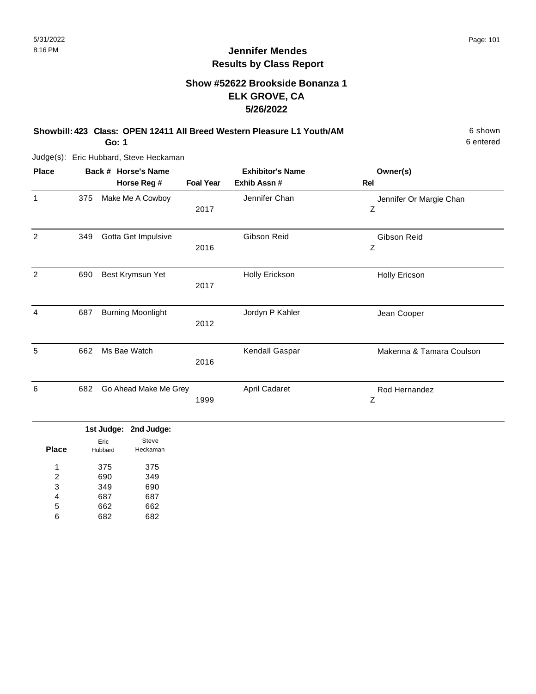## **Show #52622 Brookside Bonanza 1 ELK GROVE, CA 5/26/2022**

## **Showbill: 423 Class: OPEN 12411 All Breed Western Pleasure L1 Youth/AM** 6 Shown 6 shown

**Go: 1**

Judge(s): Eric Hubbard, Steve Heckaman

| <b>Place</b> |     | Back # Horse's Name      | <b>Exhibitor's Name</b> |                      | Owner(s)                     |
|--------------|-----|--------------------------|-------------------------|----------------------|------------------------------|
|              |     | Horse Reg #              | <b>Foal Year</b>        | Exhib Assn#          | <b>Rel</b>                   |
| 1            | 375 | Make Me A Cowboy         | 2017                    | Jennifer Chan        | Jennifer Or Margie Chan<br>Ζ |
| 2            | 349 | Gotta Get Impulsive      | 2016                    | Gibson Reid          | Gibson Reid<br>Ζ             |
| 2            | 690 | Best Krymsun Yet         | 2017                    | Holly Erickson       | Holly Ericson                |
| 4            | 687 | <b>Burning Moonlight</b> | 2012                    | Jordyn P Kahler      | Jean Cooper                  |
| 5            | 662 | Ms Bae Watch             | 2016                    | Kendall Gaspar       | Makenna & Tamara Coulson     |
| 6            | 682 | Go Ahead Make Me Grey    | 1999                    | <b>April Cadaret</b> | Rod Hernandez<br>Ζ           |

|       |                 | 1st Judge: 2nd Judge: |
|-------|-----------------|-----------------------|
| Place | Eric<br>Hubbard | Steve<br>Heckaman     |
| 1     | 375             | 375                   |
| 2     | 690             | 349                   |
| 3     | 349             | 690                   |
| 4     | 687             | 687                   |
| 5     | 662             | 662                   |
| հ     | 682             | 682                   |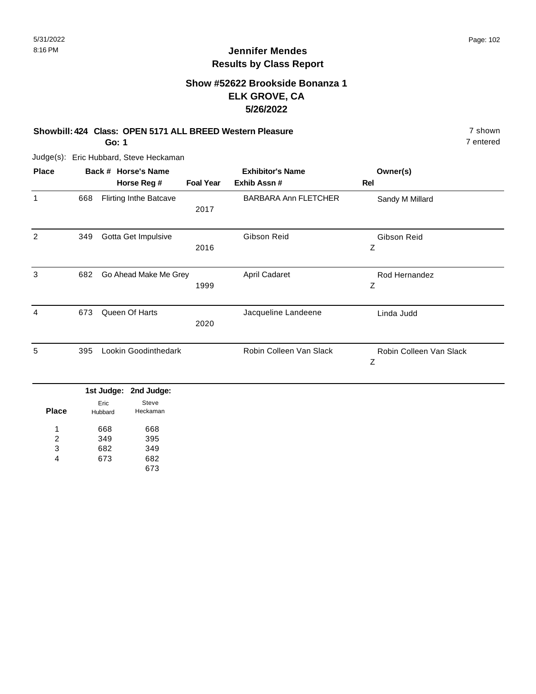## **Show #52622 Brookside Bonanza 1 ELK GROVE, CA 5/26/2022**

#### **Showbill: 424 Class: OPEN 5171 ALL BREED Western Pleasure** 7 shown

**Go: 1**

Judge(s): Eric Hubbard, Steve Heckaman

| <b>Place</b> |     | Back # Horse's Name           |                  | <b>Exhibitor's Name</b>     | Owner(s)                     |
|--------------|-----|-------------------------------|------------------|-----------------------------|------------------------------|
|              |     | Horse Reg #                   | <b>Foal Year</b> | Exhib Assn#                 | Rel                          |
| 1            | 668 | <b>Flirting Inthe Batcave</b> | 2017             | <b>BARBARA Ann FLETCHER</b> | Sandy M Millard              |
| 2            | 349 | Gotta Get Impulsive           | 2016             | Gibson Reid                 | Gibson Reid<br>Ζ             |
| 3            | 682 | Go Ahead Make Me Grey         | 1999             | April Cadaret               | Rod Hernandez<br>Ζ           |
| 4            | 673 | Queen Of Harts                | 2020             | Jacqueline Landeene         | Linda Judd                   |
| 5            | 395 | Lookin Goodinthedark          |                  | Robin Colleen Van Slack     | Robin Colleen Van Slack<br>Ζ |

|              |                 | 1st Judge: 2nd Judge: |  |
|--------------|-----------------|-----------------------|--|
| <b>Place</b> | Eric<br>Hubbard | Steve<br>Heckaman     |  |
| 1            | 668             | 668                   |  |
| 2            | 349             | 395                   |  |
| 3            | 682             | 349                   |  |
| 4            | 673             | 682                   |  |
|              |                 | 673                   |  |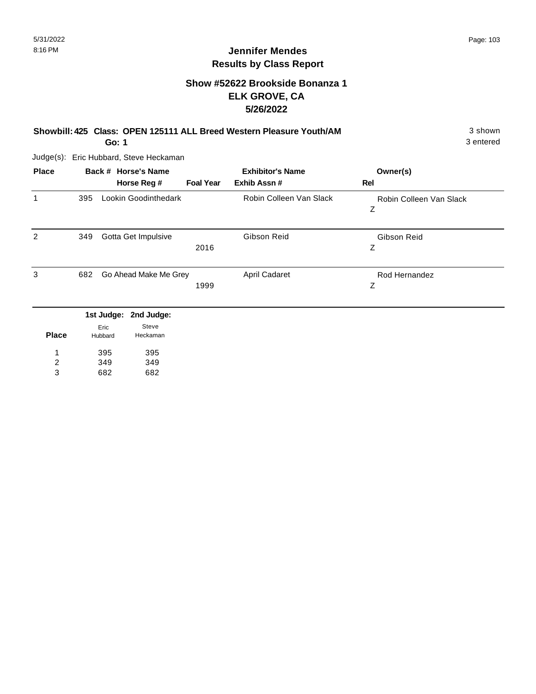## **Show #52622 Brookside Bonanza 1 ELK GROVE, CA 5/26/2022**

**Showbill: 425 Class: OPEN 125111 ALL Breed Western Pleasure Youth/AM** 3 Shown 3 shown

**Go: 1**

Judge(s): Eric Hubbard, Steve Heckaman

| <b>Place</b> |     |                 | Back # Horse's Name   |                  | <b>Exhibitor's Name</b> | Owner(s)                     |
|--------------|-----|-----------------|-----------------------|------------------|-------------------------|------------------------------|
|              |     |                 | Horse Reg #           | <b>Foal Year</b> | Exhib Assn#             | Rel                          |
| $\mathbf{1}$ | 395 |                 | Lookin Goodinthedark  |                  | Robin Colleen Van Slack | Robin Colleen Van Slack<br>Ζ |
| 2            | 349 |                 | Gotta Get Impulsive   | 2016             | Gibson Reid             | Gibson Reid<br>Ζ             |
| 3            | 682 |                 | Go Ahead Make Me Grey | 1999             | April Cadaret           | Rod Hernandez<br>Ζ           |
|              |     | 1st Judge:      | 2nd Judge:            |                  |                         |                              |
| <b>Place</b> |     | Eric<br>Hubbard | Steve<br>Heckaman     |                  |                         |                              |

395 395 349 1 2

349 682 682 3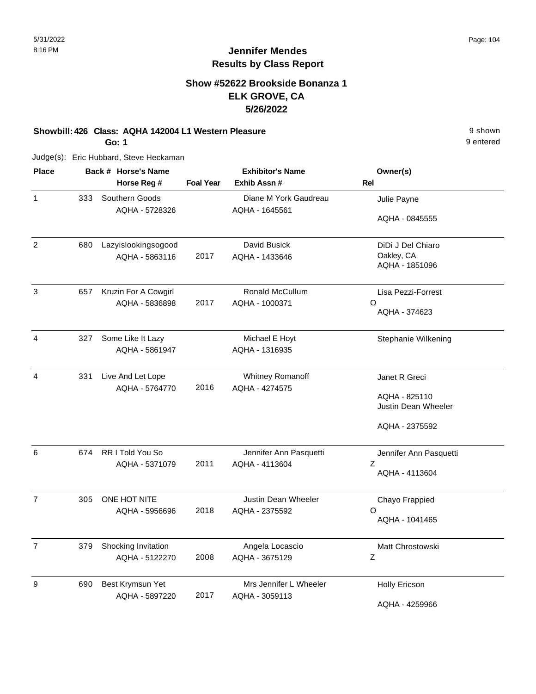9 entered

## **Jennifer Mendes Results by Class Report**

## **Show #52622 Brookside Bonanza 1 ELK GROVE, CA 5/26/2022**

#### **Showbill: 426 Class: AQHA 142004 L1 Western Pleasure** 9 shown

**Go: 1**

| <b>Place</b>   |     | Back # Horse's Name  |                  | <b>Exhibitor's Name</b>    | Owner(s)               |
|----------------|-----|----------------------|------------------|----------------------------|------------------------|
|                |     | Horse Reg #          | <b>Foal Year</b> | Exhib Assn#                | Rel                    |
| 1              | 333 | Southern Goods       |                  | Diane M York Gaudreau      | Julie Payne            |
|                |     | AQHA - 5728326       |                  | AQHA - 1645561             |                        |
|                |     |                      |                  |                            | AQHA - 0845555         |
| $\overline{2}$ | 680 | Lazyislookingsogood  |                  | David Busick               | DiDi J Del Chiaro      |
|                |     | AQHA - 5863116       | 2017             | AQHA - 1433646             | Oakley, CA             |
|                |     |                      |                  |                            | AQHA - 1851096         |
| 3              | 657 | Kruzin For A Cowgirl |                  | Ronald McCullum            | Lisa Pezzi-Forrest     |
|                |     | AQHA - 5836898       | 2017             | AQHA - 1000371             | O                      |
|                |     |                      |                  |                            | AQHA - 374623          |
| 4              | 327 | Some Like It Lazy    |                  | Michael E Hoyt             | Stephanie Wilkening    |
|                |     | AQHA - 5861947       |                  | AQHA - 1316935             |                        |
| 4              | 331 | Live And Let Lope    |                  | Whitney Romanoff           | Janet R Greci          |
|                |     | AQHA - 5764770       | 2016             | AQHA - 4274575             |                        |
|                |     |                      |                  |                            | AQHA - 825110          |
|                |     |                      |                  |                            | Justin Dean Wheeler    |
|                |     |                      |                  |                            | AQHA - 2375592         |
| 6              | 674 | RR I Told You So     |                  | Jennifer Ann Pasquetti     | Jennifer Ann Pasquetti |
|                |     | AQHA - 5371079       | 2011             | AQHA - 4113604             | Ζ                      |
|                |     |                      |                  |                            | AQHA - 4113604         |
| $\overline{7}$ | 305 | ONE HOT NITE         |                  | <b>Justin Dean Wheeler</b> | Chayo Frappied         |
|                |     | AQHA - 5956696       | 2018             | AQHA - 2375592             | O                      |
|                |     |                      |                  |                            | AQHA - 1041465         |
| $\overline{7}$ | 379 | Shocking Invitation  |                  | Angela Locascio            | Matt Chrostowski       |
|                |     | AQHA - 5122270       | 2008             | AQHA - 3675129             | Ζ                      |
| 9              | 690 | Best Krymsun Yet     |                  | Mrs Jennifer L Wheeler     | <b>Holly Ericson</b>   |
|                |     | AQHA - 5897220       | 2017             | AQHA - 3059113             |                        |
|                |     |                      |                  |                            | AQHA - 4259966         |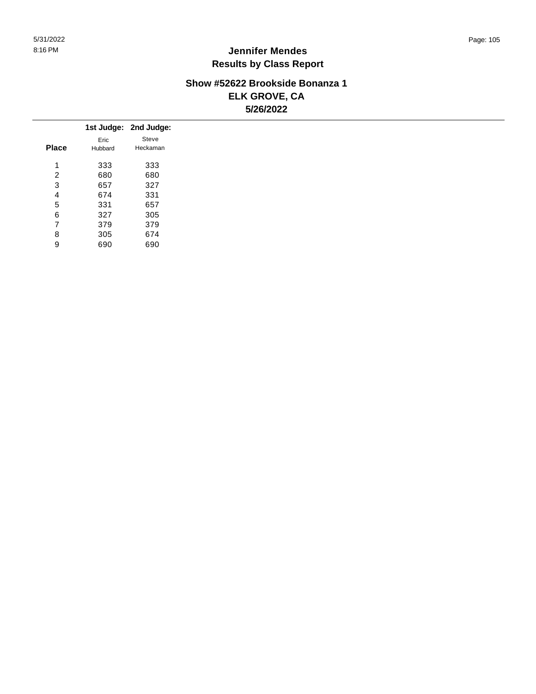## **Show #52622 Brookside Bonanza 1 ELK GROVE, CA 5/26/2022**

|              |         | 1st Judge: 2nd Judge: |
|--------------|---------|-----------------------|
|              | Eric    | Steve                 |
| <b>Place</b> | Hubbard | Heckaman              |
| 1            | 333     | 333                   |
| 2            | 680     | 680                   |
| 3            | 657     | 327                   |
| 4            | 674     | 331                   |
| 5            | 331     | 657                   |
| 6            | 327     | 305                   |
| 7            | 379     | 379                   |
| 8            | 305     | 674                   |
| 9            | 690     | 690                   |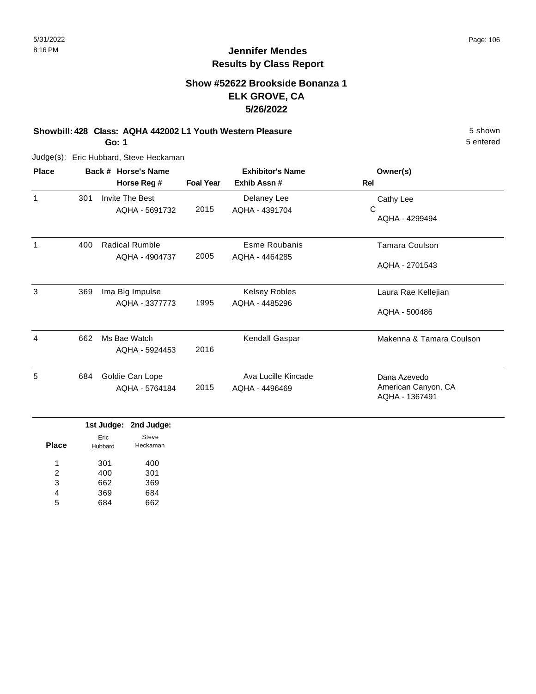## **Show #52622 Brookside Bonanza 1 ELK GROVE, CA 5/26/2022**

**Showbill: 428 Class: AQHA 442002 L1 Youth Western Pleasure** 5 shown

**Go: 1**

Judge(s): Eric Hubbard, Steve Heckaman

| <b>Place</b> |     | Back # Horse's Name               | <b>Exhibitor's Name</b> |                                       | Owner(s)                                              |
|--------------|-----|-----------------------------------|-------------------------|---------------------------------------|-------------------------------------------------------|
|              |     | Horse Reg #                       | <b>Foal Year</b>        | Exhib Assn #                          | Rel                                                   |
| 1            | 301 | <b>Invite The Best</b>            |                         | Delaney Lee                           | Cathy Lee                                             |
|              |     | AQHA - 5691732                    | 2015                    | AQHA - 4391704                        | С<br>AQHA - 4299494                                   |
| 1            | 400 | <b>Radical Rumble</b>             |                         | Esme Roubanis                         | <b>Tamara Coulson</b>                                 |
|              |     | AQHA - 4904737                    | 2005                    | AQHA - 4464285                        | AQHA - 2701543                                        |
| 3            | 369 | Ima Big Impulse                   |                         | <b>Kelsey Robles</b>                  | Laura Rae Kellejian                                   |
|              |     | AQHA - 3377773                    | 1995                    | AQHA - 4485296                        | AQHA - 500486                                         |
| 4            | 662 | Ms Bae Watch<br>AQHA - 5924453    | 2016                    | Kendall Gaspar                        | Makenna & Tamara Coulson                              |
| 5            | 684 | Goldie Can Lope<br>AQHA - 5764184 | 2015                    | Ava Lucille Kincade<br>AQHA - 4496469 | Dana Azevedo<br>American Canyon, CA<br>AQHA - 1367491 |

|              |         | 1st Judge: 2nd Judge: |
|--------------|---------|-----------------------|
|              | Eric    | Steve                 |
| <b>Place</b> | Hubbard | Heckaman              |
| 1            | 301     | 400                   |
| 2            | 400     | 301                   |
| 3            | 662     | 369                   |
| 4            | 369     | 684                   |
| 5            |         | 62                    |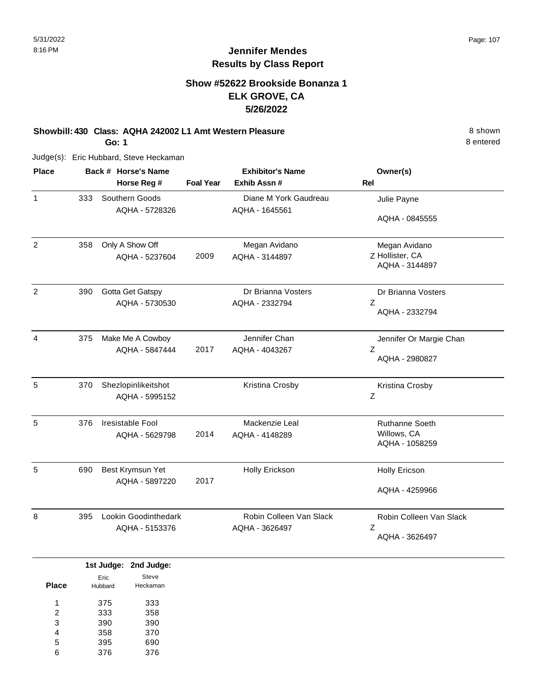8 entered

## **Jennifer Mendes Results by Class Report**

## **Show #52622 Brookside Bonanza 1 ELK GROVE, CA 5/26/2022**

**Showbill: 430 Class: AQHA 242002 L1 Amt Western Pleasure** 8 Shown

**Go: 1**

| <b>Place</b>   | Back # Horse's Name |                      |                  | <b>Exhibitor's Name</b> | Owner(s)                |  |
|----------------|---------------------|----------------------|------------------|-------------------------|-------------------------|--|
|                |                     | Horse Reg #          | <b>Foal Year</b> | Exhib Assn #            | Rel                     |  |
| 1              | 333                 | Southern Goods       |                  | Diane M York Gaudreau   | Julie Payne             |  |
|                |                     | AQHA - 5728326       |                  | AQHA - 1645561          |                         |  |
|                |                     |                      |                  |                         | AQHA - 0845555          |  |
| $\overline{2}$ | 358                 | Only A Show Off      |                  | Megan Avidano           | Megan Avidano           |  |
|                |                     | AQHA - 5237604       | 2009             | AQHA - 3144897          | Z Hollister, CA         |  |
|                |                     |                      |                  |                         | AQHA - 3144897          |  |
| $\overline{2}$ | 390                 | Gotta Get Gatspy     |                  | Dr Brianna Vosters      | Dr Brianna Vosters      |  |
|                |                     | AQHA - 5730530       |                  | AQHA - 2332794          | Z                       |  |
|                |                     |                      |                  |                         | AQHA - 2332794          |  |
| 4              | 375                 | Make Me A Cowboy     |                  | Jennifer Chan           | Jennifer Or Margie Chan |  |
|                |                     | AQHA - 5847444       | 2017             | AQHA - 4043267          | Ζ                       |  |
|                |                     |                      |                  |                         | AQHA - 2980827          |  |
| 5              | 370                 | Shezlopinlikeitshot  |                  | Kristina Crosby         | Kristina Crosby         |  |
|                |                     | AQHA - 5995152       |                  |                         | Ζ                       |  |
| 5              | 376                 | Iresistable Fool     |                  | Mackenzie Leal          | <b>Ruthanne Soeth</b>   |  |
|                |                     | AQHA - 5629798       | 2014             | AQHA - 4148289          | Willows, CA             |  |
|                |                     |                      |                  |                         | AQHA - 1058259          |  |
| 5              | 690                 | Best Krymsun Yet     |                  | Holly Erickson          | <b>Holly Ericson</b>    |  |
|                |                     | AQHA - 5897220       | 2017             |                         |                         |  |
|                |                     |                      |                  |                         | AQHA - 4259966          |  |
| 8              | 395                 | Lookin Goodinthedark |                  | Robin Colleen Van Slack | Robin Colleen Van Slack |  |
|                |                     | AQHA - 5153376       |                  | AQHA - 3626497          | Ζ                       |  |
|                |                     |                      |                  |                         | AQHA - 3626497          |  |

|              |         | 1st Judge: 2nd Judge: |
|--------------|---------|-----------------------|
|              | Eric    | Steve                 |
| <b>Place</b> | Hubbard | Heckaman              |
| 1            | 375     | 333                   |
| 2            | 333     | 358                   |
| 3            | 390     | 390                   |
| 4            | 358     | 370                   |
| 5            | 395     | 690                   |
| 6            | 376     | 376                   |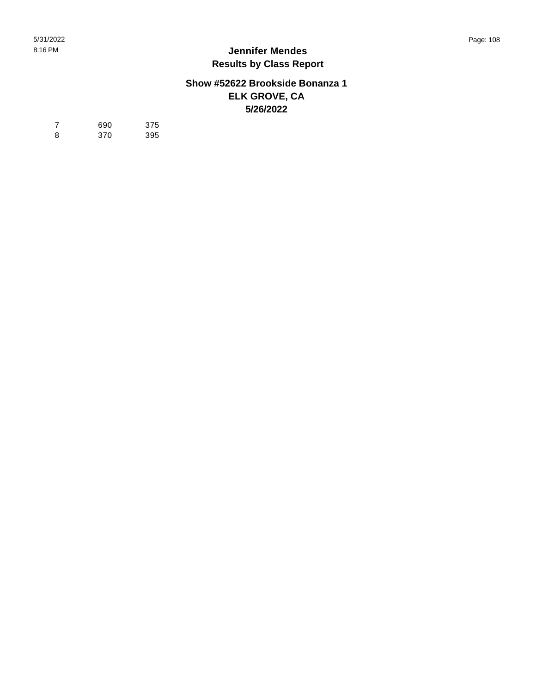## **Show #52622 Brookside Bonanza 1 ELK GROVE, CA 5/26/2022**

| $\overline{7}$ | 690 | 375 |
|----------------|-----|-----|
| 8              | 370 | 395 |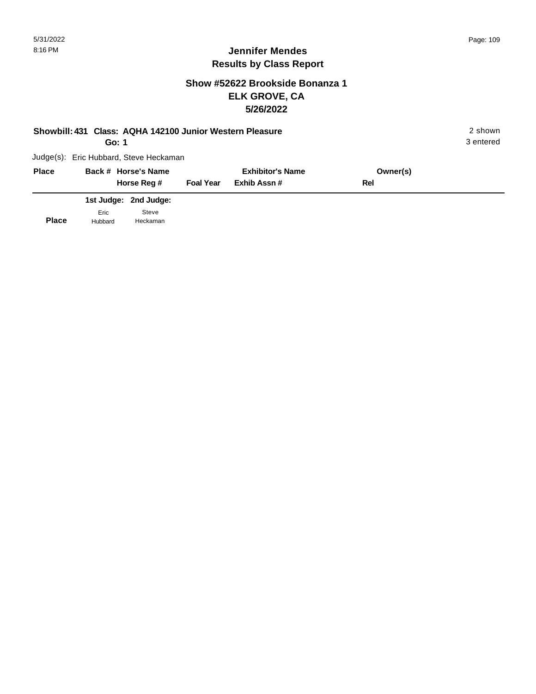## **Show #52622 Brookside Bonanza 1 ELK GROVE, CA 5/26/2022**

|  | Showbill: 431 Class: AQHA 142100 Junior Western Pleasure | 2 shown |
|--|----------------------------------------------------------|---------|
|--|----------------------------------------------------------|---------|

**Go: 1**

3 entered

| <b>Place</b> |                 | Back # Horse's Name<br>Horse Reg # | <b>Foal Year</b> | <b>Exhibitor's Name</b><br>Exhib Assn # | Owner(s)<br>Rel |
|--------------|-----------------|------------------------------------|------------------|-----------------------------------------|-----------------|
|              |                 | 1st Judge: 2nd Judge:              |                  |                                         |                 |
| <b>Place</b> | Eric<br>Hubbard | Steve<br>Heckaman                  |                  |                                         |                 |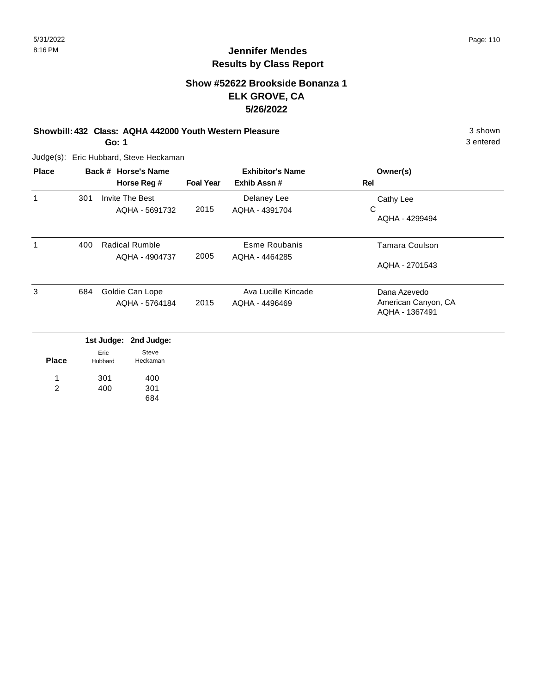## **Show #52622 Brookside Bonanza 1 ELK GROVE, CA 5/26/2022**

#### **Showbill: 432 Class: AQHA 442000 Youth Western Pleasure** 3 shown

**Go: 1**

Judge(s): Eric Hubbard, Steve Heckaman

| <b>Place</b> |     | Back # Horse's Name |                  | <b>Exhibitor's Name</b> | Owner(s)                              |
|--------------|-----|---------------------|------------------|-------------------------|---------------------------------------|
|              |     | Horse Reg #         | <b>Foal Year</b> | Exhib Assn#             | Rel                                   |
| 1            | 301 | Invite The Best     |                  | Delaney Lee             | Cathy Lee                             |
|              |     | AQHA - 5691732      | 2015             | AQHA - 4391704          | С<br>AQHA - 4299494                   |
| 1            | 400 | Radical Rumble      | 2005             | Esme Roubanis           | Tamara Coulson                        |
|              |     | AQHA - 4904737      |                  | AQHA - 4464285          | AQHA - 2701543                        |
| 3            | 684 | Goldie Can Lope     |                  | Ava Lucille Kincade     | Dana Azevedo                          |
|              |     | AQHA - 5764184      | 2015             | AQHA - 4496469          | American Canyon, CA<br>AQHA - 1367491 |
|              |     |                     |                  |                         |                                       |

|              |                 | 1st Judge: 2nd Judge: |
|--------------|-----------------|-----------------------|
| <b>Place</b> | Eric<br>Hubbard | Steve<br>Heckaman     |
| 1            | 301             | 400                   |
| 2            | 400             | 301                   |
|              |                 | 84.                   |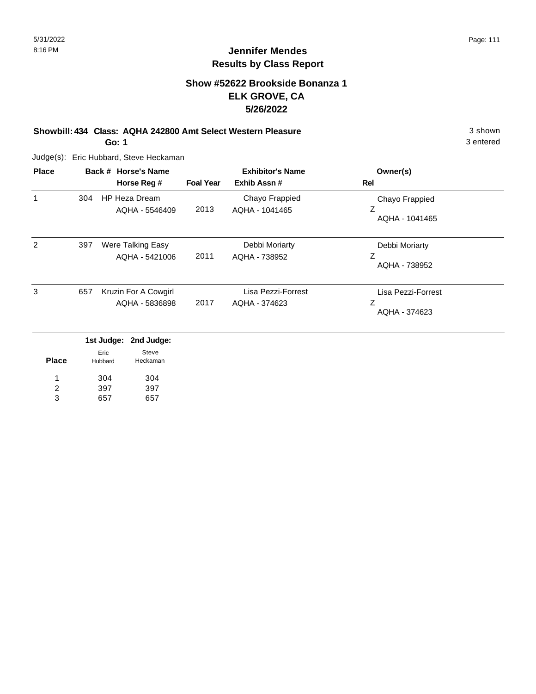## **Show #52622 Brookside Bonanza 1 ELK GROVE, CA 5/26/2022**

**Showbill: 434 Class: AQHA 242800 Amt Select Western Pleasure** 3 shown

**Go: 1**

Judge(s): Eric Hubbard, Steve Heckaman

| <b>Place</b> |     | Back # Horse's Name<br>Horse Reg #        | <b>Foal Year</b> | <b>Exhibitor's Name</b><br>Exhib Assn# | Owner(s)<br>Rel                          |
|--------------|-----|-------------------------------------------|------------------|----------------------------------------|------------------------------------------|
| 1            | 304 | HP Heza Dream<br>AQHA - 5546409           | 2013             | Chayo Frappied<br>AQHA - 1041465       | Chayo Frappied<br>Z<br>AQHA - 1041465    |
| 2            | 397 | Were Talking Easy<br>AQHA - 5421006       | 2011             | Debbi Moriarty<br>AQHA - 738952        | Debbi Moriarty<br>Ζ<br>AQHA - 738952     |
| 3            | 657 | Kruzin For A Cowgirl<br>AQHA - 5836898    | 2017             | Lisa Pezzi-Forrest<br>AQHA - 374623    | Lisa Pezzi-Forrest<br>Ζ<br>AQHA - 374623 |
|              |     | 1st Judge:<br>2nd Judge:<br>Steve<br>Eric |                  |                                        |                                          |

| <b>Place</b> | Eric<br>Hubbard | Steve<br>Heckaman |
|--------------|-----------------|-------------------|
| 1            | 304             | 304               |
| 2            | 397             | 397               |
| з            | 657             | 657               |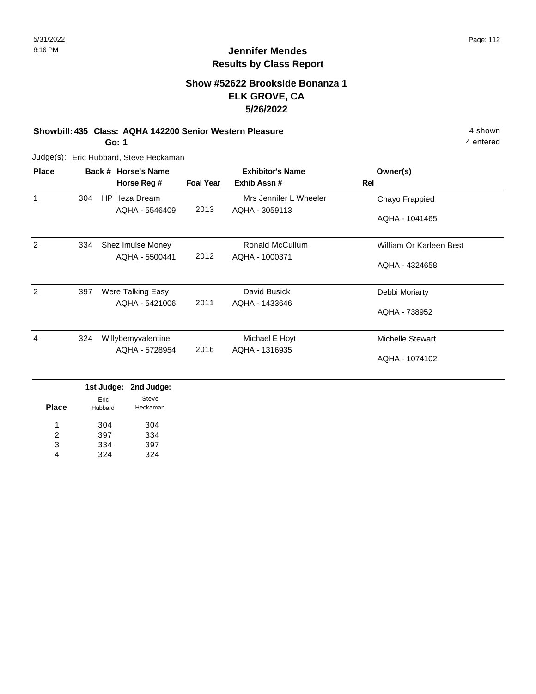## **Show #52622 Brookside Bonanza 1 ELK GROVE, CA 5/26/2022**

#### **Showbill: 435 Class: AQHA 142200 Senior Western Pleasure** 4 shown

**Go: 1**

Judge(s): Eric Hubbard, Steve Heckaman

| <b>Place</b> |     | Back # Horse's Name  |                  | <b>Exhibitor's Name</b> | Owner(s)                |
|--------------|-----|----------------------|------------------|-------------------------|-------------------------|
|              |     | Horse Reg #          | <b>Foal Year</b> | Exhib Assn#             | Rel                     |
| 1            | 304 | <b>HP Heza Dream</b> |                  | Mrs Jennifer L Wheeler  | Chayo Frappied          |
|              |     | AQHA - 5546409       | 2013             | AQHA - 3059113          | AQHA - 1041465          |
| 2            | 334 | Shez Imulse Money    |                  | Ronald McCullum         | William Or Karleen Best |
|              |     | AQHA - 5500441       | 2012             | AQHA - 1000371          | AQHA - 4324658          |
| 2            | 397 | Were Talking Easy    |                  | David Busick            | Debbi Moriarty          |
|              |     | AQHA - 5421006       | 2011             | AQHA - 1433646          | AQHA - 738952           |
| 4            | 324 | Willybemyvalentine   |                  | Michael E Hoyt          | <b>Michelle Stewart</b> |
|              |     | AQHA - 5728954       | 2016             | AQHA - 1316935          | AQHA - 1074102          |

|         | 1st Judge: 2nd Judge: |
|---------|-----------------------|
| Eric    | Steve                 |
| Hubbard | Heckaman              |
| 304     | 304                   |
| 397     | 334                   |
| 334     | 397                   |
| 324     | 324                   |
|         |                       |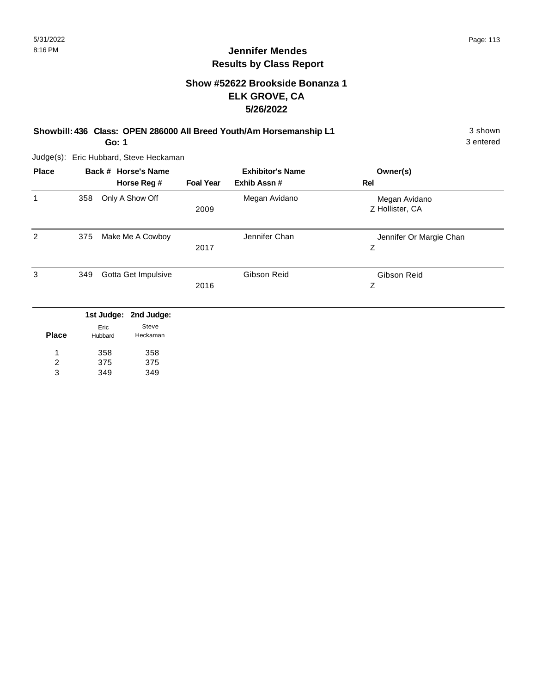## **Show #52622 Brookside Bonanza 1 ELK GROVE, CA 5/26/2022**

**Showbill: 436 Class: OPEN 286000 All Breed Youth/Am Horsemanship L1** 3 shown

**Go: 1**

Judge(s): Eric Hubbard, Steve Heckaman

| <b>Place</b> | Back # Horse's Name                      | Horse Reg #         | <b>Foal Year</b> | <b>Exhibitor's Name</b><br>Exhib Assn# | Owner(s)<br>Rel                  |
|--------------|------------------------------------------|---------------------|------------------|----------------------------------------|----------------------------------|
| 1            | 358                                      | Only A Show Off     | 2009             | Megan Avidano                          | Megan Avidano<br>Z Hollister, CA |
| 2            | 375                                      | Make Me A Cowboy    | 2017             | Jennifer Chan                          | Jennifer Or Margie Chan<br>Z     |
| 3            | 349                                      | Gotta Get Impulsive | 2016             | Gibson Reid                            | Gibson Reid<br>Z                 |
| <b>Place</b> | 1st Judge: 2nd Judge:<br>Eric<br>Hubbard | Steve<br>Heckaman   |                  |                                        |                                  |

| <b>Place</b> | Hubbard | Heckama |
|--------------|---------|---------|
|              | 358     | 358     |
| 2            | 375     | 375     |

349 349 3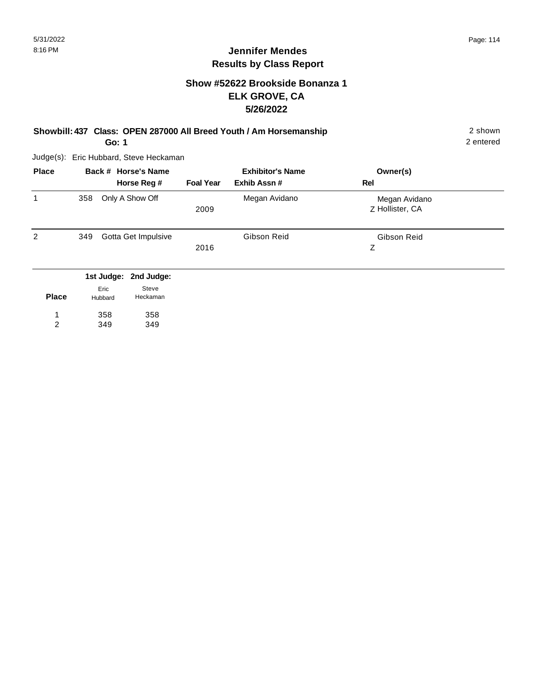#### **Jennifer Mendes Results by Class Report**

## **Show #52622 Brookside Bonanza 1 ELK GROVE, CA 5/26/2022**

**Showbill: 437 Class: OPEN 287000 All Breed Youth / Am Horsemanship** 2 shown

**Go: 1**

Judge(s): Eric Hubbard, Steve Heckaman

358 349

1 2 358 349

| <b>Place</b> |     |                               | Back # Horse's Name             |                  | <b>Exhibitor's Name</b> | Owner(s)                         |
|--------------|-----|-------------------------------|---------------------------------|------------------|-------------------------|----------------------------------|
|              |     |                               | Horse Reg #                     | <b>Foal Year</b> | Exhib Assn#             | <b>Rel</b>                       |
| 1            | 358 |                               | Only A Show Off                 | 2009             | Megan Avidano           | Megan Avidano<br>Z Hollister, CA |
| 2            | 349 |                               | Gotta Get Impulsive             | 2016             | Gibson Reid             | Gibson Reid<br>Z                 |
| <b>Place</b> |     | 1st Judge:<br>Eric<br>Hubbard | 2nd Judge:<br>Steve<br>Heckaman |                  |                         |                                  |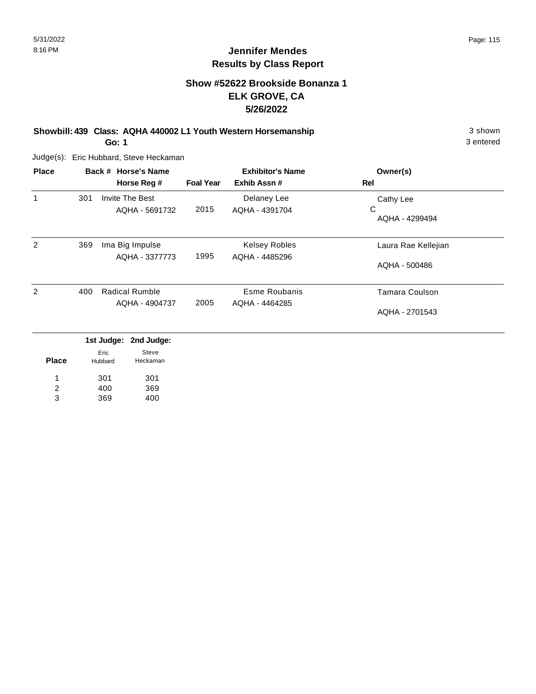## **Show #52622 Brookside Bonanza 1 ELK GROVE, CA 5/26/2022**

**Showbill: 439 Class: AQHA 440002 L1 Youth Western Horsemanship** 3 shown 3 shown **Go: 1**

Judge(s): Eric Hubbard, Steve Heckaman

| <b>Place</b>   |     | Back # Horse's Name<br>Horse Reg #       | <b>Foal Year</b> | <b>Exhibitor's Name</b><br>Exhib Assn# | Owner(s)<br>Rel                  |
|----------------|-----|------------------------------------------|------------------|----------------------------------------|----------------------------------|
| 1              | 301 | <b>Invite The Best</b><br>AQHA - 5691732 | 2015             | Delaney Lee<br>AQHA - 4391704          | Cathy Lee<br>С<br>AQHA - 4299494 |
| $\overline{2}$ | 369 | Ima Big Impulse<br>AQHA - 3377773        | 1995             | <b>Kelsey Robles</b><br>AQHA - 4485296 | Laura Rae Kellejian              |
|                |     |                                          |                  |                                        | AQHA - 500486                    |
| 2              | 400 | <b>Radical Rumble</b><br>AQHA - 4904737  | 2005             | Esme Roubanis<br>AQHA - 4464285        | <b>Tamara Coulson</b>            |
|                |     |                                          |                  |                                        | AQHA - 2701543                   |
|                |     |                                          |                  |                                        |                                  |

|              |                 | 1st Judge: 2nd Judge: |
|--------------|-----------------|-----------------------|
| <b>Place</b> | Eric<br>Hubbard | Steve<br>Heckaman     |
| 1            | 301             | 301                   |
| 2            | 400             | 369                   |
| 3            | 369             | 400                   |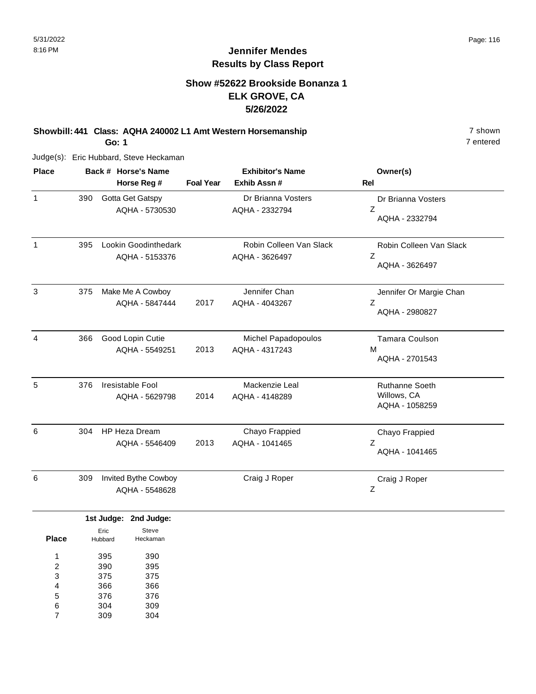# **Show #52622 Brookside Bonanza 1 ELK GROVE, CA 5/26/2022**

**Showbill: 441 Class: AQHA 240002 L1 Amt Western Horsemanship** 7 shown 7 shown

**Go: 1**

Judge(s): Eric Hubbard, Steve Heckaman

| <b>Place</b> |     | Back # Horse's Name                    |                  | <b>Exhibitor's Name</b>                   | Owner(s)                                               |
|--------------|-----|----------------------------------------|------------------|-------------------------------------------|--------------------------------------------------------|
|              |     | Horse Reg #                            | <b>Foal Year</b> | Exhib Assn#                               | <b>Rel</b>                                             |
| 1            | 390 | Gotta Get Gatspy<br>AQHA - 5730530     |                  | Dr Brianna Vosters<br>AQHA - 2332794      | Dr Brianna Vosters<br>Z<br>AQHA - 2332794              |
| 1            | 395 | Lookin Goodinthedark<br>AQHA - 5153376 |                  | Robin Colleen Van Slack<br>AQHA - 3626497 | Robin Colleen Van Slack<br>Z<br>AQHA - 3626497         |
| 3            | 375 | Make Me A Cowboy<br>AQHA - 5847444     | 2017             | Jennifer Chan<br>AQHA - 4043267           | Jennifer Or Margie Chan<br>Z<br>AQHA - 2980827         |
| 4            | 366 | Good Lopin Cutie<br>AQHA - 5549251     | 2013             | Michel Papadopoulos<br>AQHA - 4317243     | Tamara Coulson<br>M<br>AQHA - 2701543                  |
| 5            | 376 | Iresistable Fool<br>AQHA - 5629798     | 2014             | Mackenzie Leal<br>AQHA - 4148289          | <b>Ruthanne Soeth</b><br>Willows, CA<br>AQHA - 1058259 |
| 6            | 304 | <b>HP Heza Dream</b><br>AQHA - 5546409 | 2013             | Chayo Frappied<br>AQHA - 1041465          | Chayo Frappied<br>Z<br>AQHA - 1041465                  |
| 6            | 309 | Invited Bythe Cowboy<br>AQHA - 5548628 |                  | Craig J Roper                             | Craig J Roper<br>Z                                     |

|       |         | 1st Judge: 2nd Judge: |
|-------|---------|-----------------------|
|       | Eric    | Steve                 |
| Place | Hubbard | Heckaman              |
|       |         |                       |
| 1     | 395     | 390                   |
| 2     | 390     | 395                   |
| 3     | 375     | 375                   |
| 4     | 366     | 366                   |
| 5     | 376     | 376                   |
| 6     | 304     | 309                   |
|       | 309     | 304                   |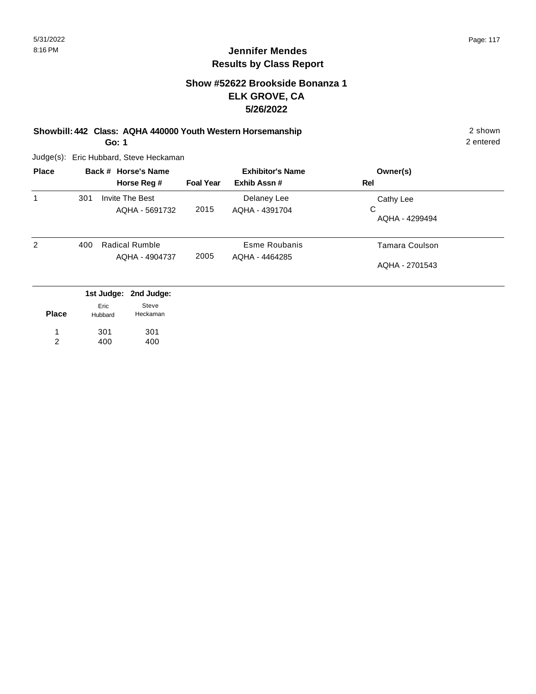#### **Show #52622 Brookside Bonanza 1 ELK GROVE, CA 5/26/2022**

**Showbill: 442 Class: AQHA 440000 Youth Western Horsemanship** 2 shown **Go: 1**

Judge(s): Eric Hubbard, Steve Heckaman

| <b>Place</b> |     | Back # Horse's Name<br>Horse Reg #                               | <b>Foal Year</b> | <b>Exhibitor's Name</b><br>Exhib Assn# | Owner(s)<br>Rel                  |
|--------------|-----|------------------------------------------------------------------|------------------|----------------------------------------|----------------------------------|
| 1            | 301 | <b>Invite The Best</b><br>AQHA - 5691732                         | 2015             | Delaney Lee<br>AQHA - 4391704          | Cathy Lee<br>C<br>AQHA - 4299494 |
| 2            | 400 | Radical Rumble<br>AQHA - 4904737                                 | 2005             | Esme Roubanis<br>AQHA - 4464285        | Tamara Coulson<br>AQHA - 2701543 |
| <b>Place</b> |     | 1st Judge:<br>2nd Judge:<br>Steve<br>Eric<br>Heckaman<br>Hubbard |                  |                                        |                                  |

301 400 301 400 1 2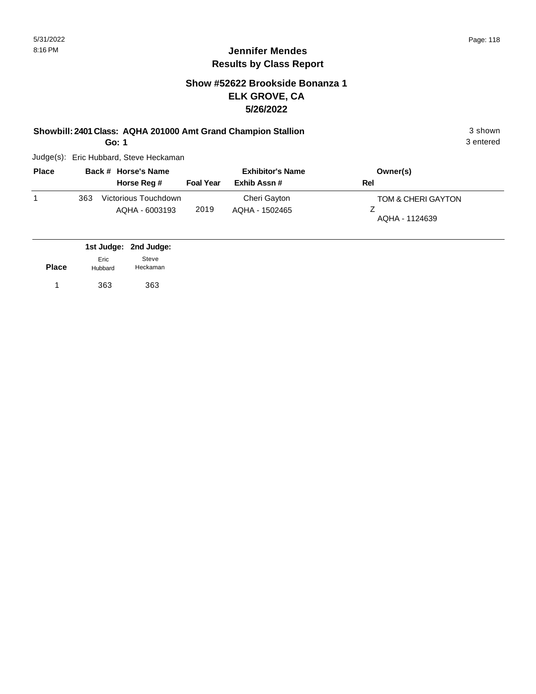#### **Jennifer Mendes Results by Class Report**

## **Show #52622 Brookside Bonanza 1 ELK GROVE, CA 5/26/2022**

#### **Showbill: 2401 Class: AQHA 201000 Amt Grand Champion Stallion** 3 shown

**Go: 1**

| <b>Place</b> |     | Back # Horse's Name  | <b>Exhibitor's Name</b> |                | Owner(s)           |
|--------------|-----|----------------------|-------------------------|----------------|--------------------|
|              |     | Horse Reg #          | <b>Foal Year</b>        | Exhib Assn #   | Rel                |
|              | 363 | Victorious Touchdown |                         | Cheri Gayton   | TOM & CHERI GAYTON |
|              |     | AQHA - 6003193       | 2019                    | AQHA - 1502465 | AQHA - 1124639     |

|              |                 | 1st Judge: 2nd Judge: |
|--------------|-----------------|-----------------------|
| <b>Place</b> | Eric<br>Hubbard | Steve<br>Heckaman     |
|              | 363             | 363                   |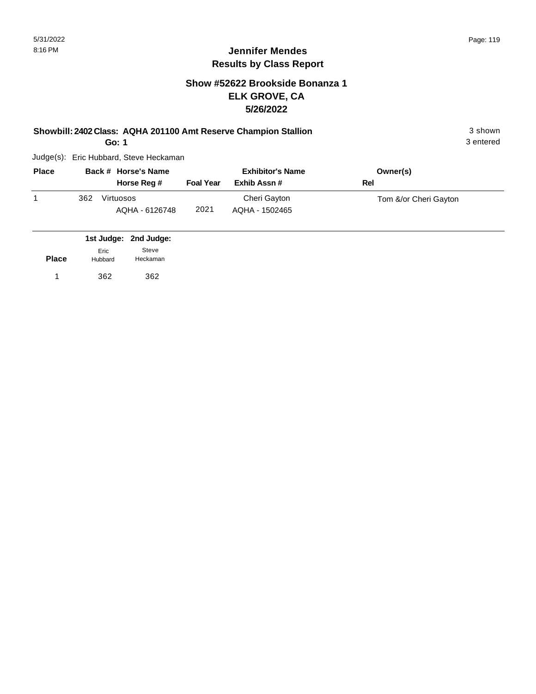## **Jennifer Mendes Results by Class Report**

## **Show #52622 Brookside Bonanza 1 ELK GROVE, CA 5/26/2022**

**Showbill: 2402 Class: AQHA 201100 Amt Reserve Champion Stallion** 3 shown

**Go: 1**

| <b>Place</b> | Back # Horse's Name |                             | <b>Exhibitor's Name</b> |                                | Owner(s)              |
|--------------|---------------------|-----------------------------|-------------------------|--------------------------------|-----------------------|
|              |                     | Horse Reg #                 | <b>Foal Year</b>        | Exhib Assn #                   | Rel                   |
|              | 362                 | Virtuosos<br>AQHA - 6126748 | 2021                    | Cheri Gayton<br>AQHA - 1502465 | Tom &/or Cheri Gayton |

|              |                 | 1st Judge: 2nd Judge: |
|--------------|-----------------|-----------------------|
| <b>Place</b> | Eric<br>Hubbard | Steve<br>Heckaman     |
|              | 362             | 362                   |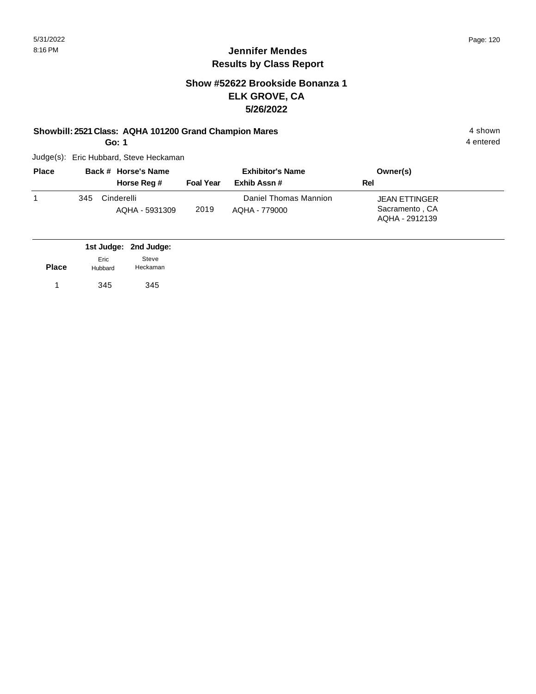## **Jennifer Mendes Results by Class Report**

## **Show #52622 Brookside Bonanza 1 ELK GROVE, CA 5/26/2022**

#### **Showbill: 2521 Class: AQHA 101200 Grand Champion Mares** 4 shown 4 shown

**Go: 1**

| <b>Place</b> |     | Back # Horse's Name          | <b>Exhibitor's Name</b> |                                        | Owner(s)                                                 |  |
|--------------|-----|------------------------------|-------------------------|----------------------------------------|----------------------------------------------------------|--|
|              |     | Horse Reg #                  | <b>Foal Year</b>        | Exhib Assn#                            | Rel                                                      |  |
|              | 345 | Cinderelli<br>AQHA - 5931309 | 2019                    | Daniel Thomas Mannion<br>AOHA - 779000 | <b>JEAN ETTINGER</b><br>Sacramento, CA<br>AQHA - 2912139 |  |

|              |                 | 1st Judge: 2nd Judge: |
|--------------|-----------------|-----------------------|
| <b>Place</b> | Eric<br>Hubbard | Steve<br>Heckaman     |
|              | 345             | 345                   |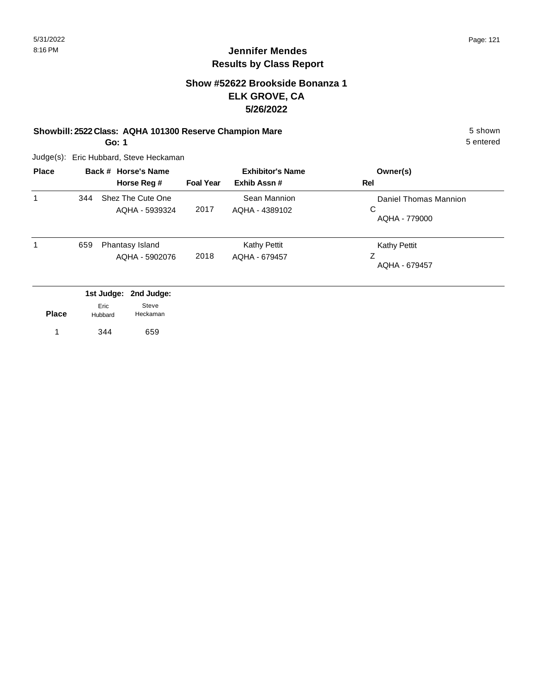## **Show #52622 Brookside Bonanza 1 ELK GROVE, CA 5/26/2022**

#### **Showbill: 2522 Class: AQHA 101300 Reserve Champion Mare** 5 shown

**Go: 1**

Judge(s): Eric Hubbard, Steve Heckaman

| <b>Place</b> |     | Back # Horse's Name<br>Horse Reg #  | <b>Foal Year</b> | <b>Exhibitor's Name</b><br>Exhib Assn# | Owner(s)<br>Rel                             |
|--------------|-----|-------------------------------------|------------------|----------------------------------------|---------------------------------------------|
| 1            | 344 | Shez The Cute One<br>AQHA - 5939324 | 2017             | Sean Mannion<br>AQHA - 4389102         | Daniel Thomas Mannion<br>C<br>AQHA - 779000 |
| 1            | 659 | Phantasy Island<br>AQHA - 5902076   | 2018             | <b>Kathy Pettit</b><br>AOHA - 679457   | <b>Kathy Pettit</b><br>Ζ<br>AQHA - 679457   |
|              |     | 1st Judge: 2nd Judge:               |                  |                                        |                                             |

| <b>Place</b> | Eric<br>Hubbard | Steve<br>Heckaman |  |
|--------------|-----------------|-------------------|--|
|              | 344             | 659               |  |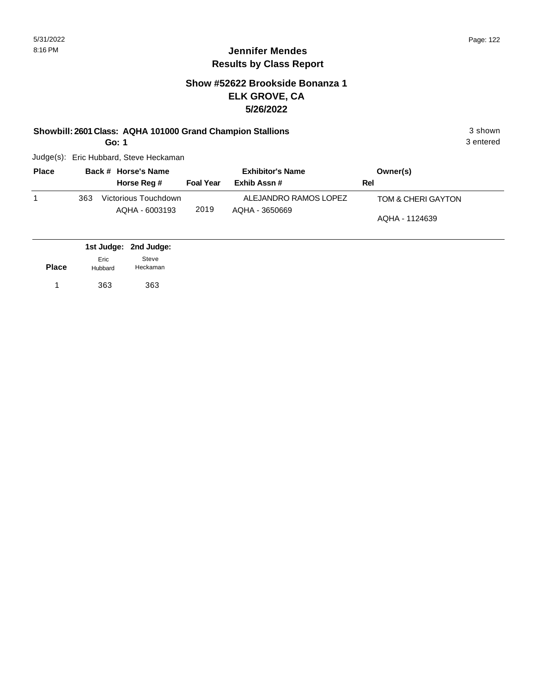## **Show #52622 Brookside Bonanza 1 ELK GROVE, CA 5/26/2022**

#### **Showbill: 2601 Class: AQHA 101000 Grand Champion Stallions** 3 shown

**Go: 1**

| <b>Place</b> |     | Back # Horse's Name  |                  | <b>Exhibitor's Name</b> | Owner(s)           |
|--------------|-----|----------------------|------------------|-------------------------|--------------------|
|              |     | Horse Reg #          | <b>Foal Year</b> | Exhib Assn#             | Rel                |
|              | 363 | Victorious Touchdown |                  | ALEJANDRO RAMOS LOPEZ   | TOM & CHERI GAYTON |
|              |     | AQHA - 6003193       | 2019             | AQHA - 3650669          | AQHA - 1124639     |

|              |                 | 1st Judge: 2nd Judge: |  |
|--------------|-----------------|-----------------------|--|
| <b>Place</b> | Eric<br>Hubbard | Steve<br>Heckaman     |  |
| 1            | 363             | 363                   |  |